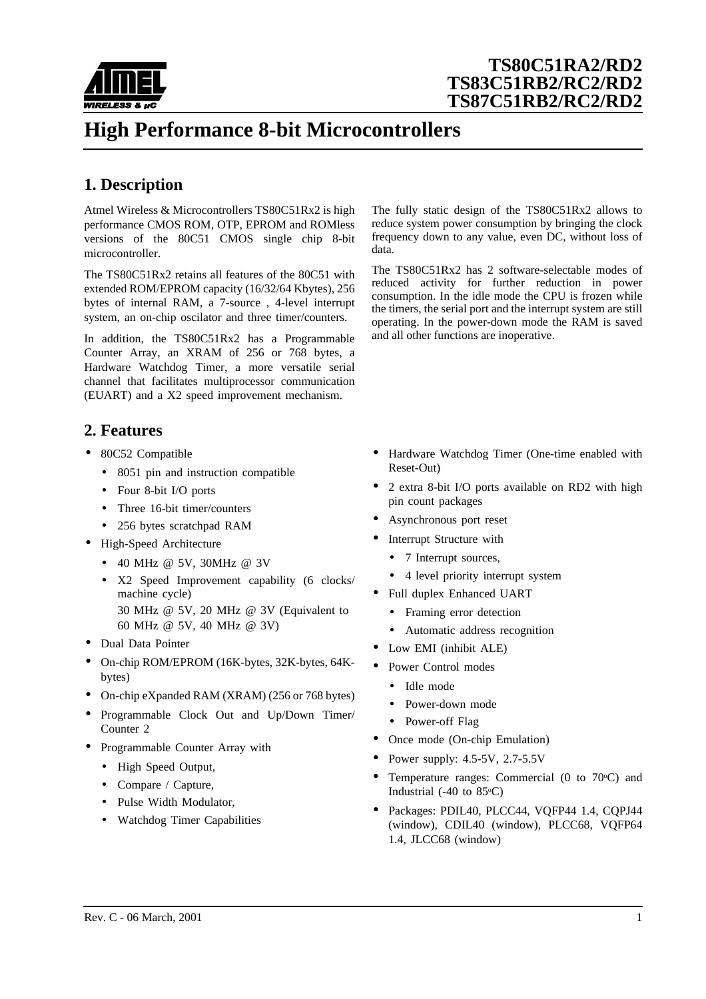

# **High Performance 8-bit Microcontrollers**

## **1. Description**

Atmel Wireless & Microcontrollers TS80C51Rx2 is high performance CMOS ROM, OTP, EPROM and ROMless versions of the 80C51 CMOS single chip 8-bit microcontroller.

The TS80C51Rx2 retains all features of the 80C51 with extended ROM/EPROM capacity (16/32/64 Kbytes), 256 bytes of internal RAM, a 7-source , 4-level interrupt system, an on-chip oscilator and three timer/counters.

In addition, the TS80C51Rx2 has a Programmable Counter Array, an XRAM of 256 or 768 bytes, a Hardware Watchdog Timer, a more versatile serial channel that facilitates multiprocessor communication (EUART) and a X2 speed improvement mechanism.

### **2. Features**

- 80C52 Compatible
	- 8051 pin and instruction compatible
	- Four 8-bit I/O ports
	- Three 16-bit timer/counters
	- 256 bytes scratchpad RAM
- High-Speed Architecture
	- 40 MHz @ 5V, 30MHz @ 3V
	- X2 Speed Improvement capability (6 clocks/ machine cycle)
		- 30 MHz @ 5V, 20 MHz @ 3V (Equivalent to 60 MHz @ 5V, 40 MHz @ 3V)
- Dual Data Pointer
- On-chip ROM/EPROM (16K-bytes, 32K-bytes, 64Kbytes)
- On-chip eXpanded RAM (XRAM) (256 or 768 bytes)
- Programmable Clock Out and Up/Down Timer/ Counter 2
- Programmable Counter Array with
	- High Speed Output,
	- Compare / Capture,
	- Pulse Width Modulator,
	- Watchdog Timer Capabilities

The fully static design of the TS80C51Rx2 allows to reduce system power consumption by bringing the clock frequency down to any value, even DC, without loss of data.

The TS80C51Rx2 has 2 software-selectable modes of reduced activity for further reduction in power consumption. In the idle mode the CPU is frozen while the timers, the serial port and the interrupt system are still operating. In the power-down mode the RAM is saved and all other functions are inoperative.

- Hardware Watchdog Timer (One-time enabled with Reset-Out)
- 2 extra 8-bit I/O ports available on RD2 with high pin count packages
- Asynchronous port reset
- Interrupt Structure with
	- 7 Interrupt sources,
	- 4 level priority interrupt system
- Full duplex Enhanced UART
	- Framing error detection
	- Automatic address recognition
- Low EMI (inhibit ALE)
- Power Control modes
	- Idle mode
	- Power-down mode
	- Power-off Flag
- Once mode (On-chip Emulation)
- Power supply:  $4.5-5V$ ,  $2.7-5.5V$
- Temperature ranges: Commercial (0 to  $70^{\circ}$ C) and Industrial  $(-40 \text{ to } 85^{\circ}\text{C})$
- Packages: PDIL40, PLCC44, VQFP44 1.4, CQPJ44 (window), CDIL40 (window), PLCC68, VQFP64 1.4, JLCC68 (window)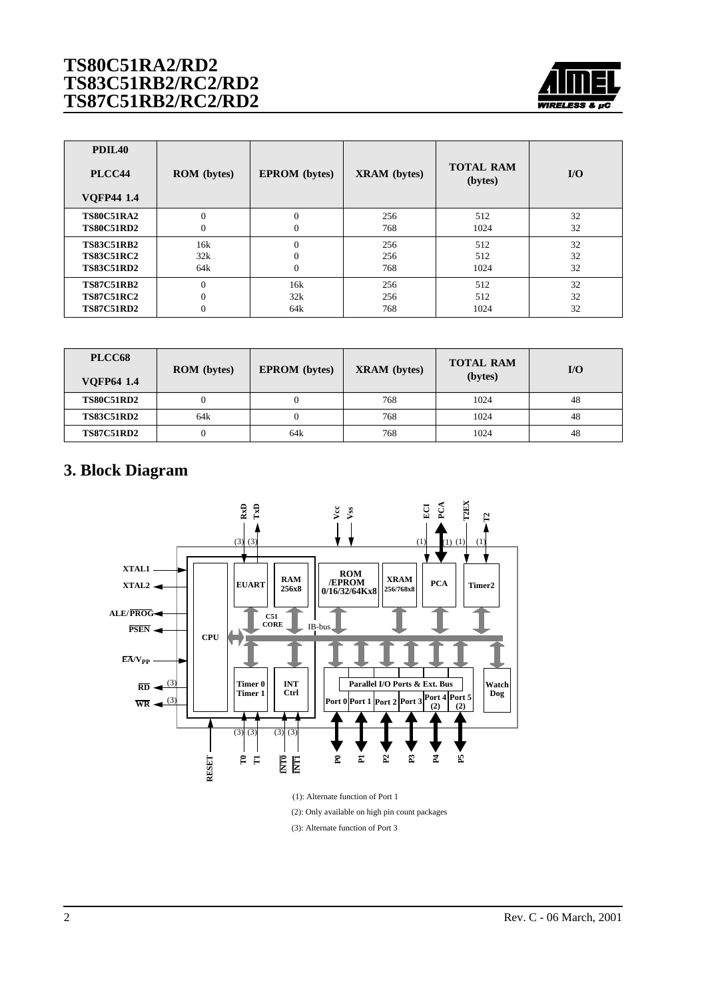

| PDIL <sub>40</sub><br>PLCC44<br><b>VQFP44 1.4</b> | <b>ROM</b> (bytes) | <b>EPROM</b> (bytes) | <b>XRAM</b> (bytes) | <b>TOTAL RAM</b><br>(bytes) | $\mathbf{I}/\mathbf{O}$ |
|---------------------------------------------------|--------------------|----------------------|---------------------|-----------------------------|-------------------------|
| <b>TS80C51RA2</b>                                 | $\Omega$           | $\Omega$             | 256                 | 512                         | 32                      |
| <b>TS80C51RD2</b>                                 | $\mathbf{0}$       | $\mathbf{0}$         | 768                 | 1024                        | 32                      |
| <b>TS83C51RB2</b>                                 | 16k                | $\theta$             | 256                 | 512                         | 32                      |
| <b>TS83C51RC2</b>                                 | 32k                | $\Omega$             | 256                 | 512                         | 32                      |
| <b>TS83C51RD2</b>                                 | 64k                | $\Omega$             | 768                 | 1024                        | 32                      |
| <b>TS87C51RB2</b>                                 | $\Omega$           | 16k                  | 256                 | 512                         | 32                      |
| <b>TS87C51RC2</b>                                 | $\mathbf{0}$       | 32k                  | 256                 | 512                         | 32                      |
| <b>TS87C51RD2</b>                                 | $\mathbf{0}$       | 64k                  | 768                 | 1024                        | 32                      |

| PLCC68<br><b>VOFP64 1.4</b> | <b>ROM</b> (bytes) | <b>EPROM</b> (bytes) | <b>XRAM</b> (bytes) | <b>TOTAL RAM</b><br>(bytes) | $U$ |
|-----------------------------|--------------------|----------------------|---------------------|-----------------------------|-----|
| <b>TS80C51RD2</b>           | $\theta$           |                      | 768                 | 1024                        | 48  |
| <b>TS83C51RD2</b>           | 64k                |                      | 768                 | 1024                        | 48  |
| <b>TS87C51RD2</b>           | 0                  | 64k                  | 768                 | 1024                        | 48  |

## **3. Block Diagram**

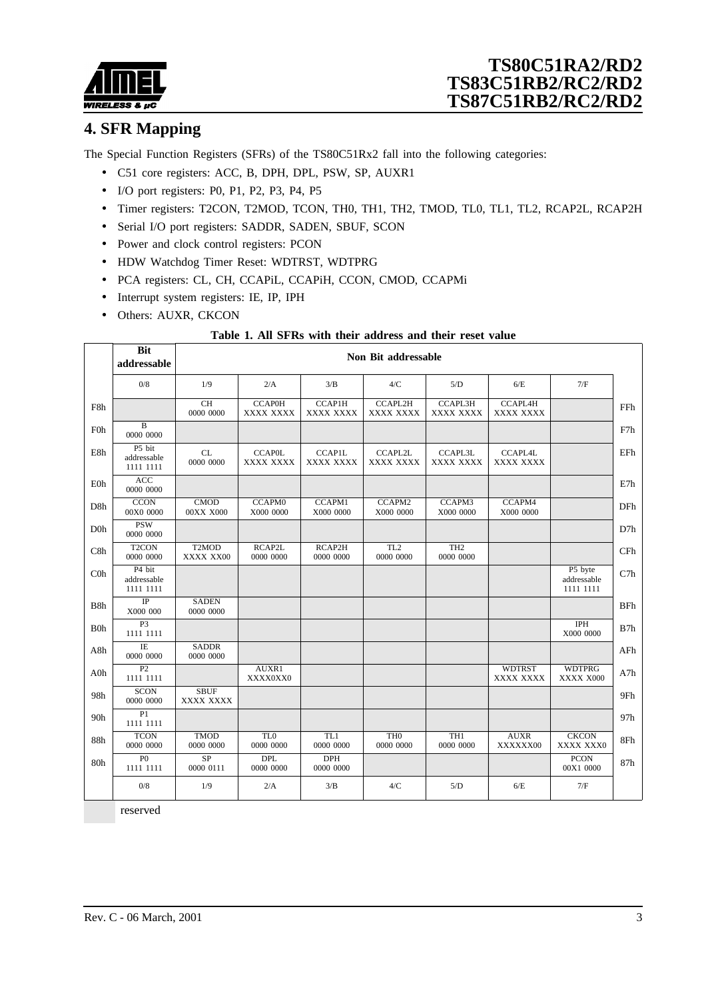

## **4. SFR Mapping**

The Special Function Registers (SFRs) of the TS80C51Rx2 fall into the following categories:

- C51 core registers: ACC, B, DPH, DPL, PSW, SP, AUXR1
- I/O port registers: P0, P1, P2, P3, P4, P5
- Timer registers: T2CON, T2MOD, TCON, TH0, TH1, TH2, TMOD, TL0, TL1, TL2, RCAP2L, RCAP2H
- Serial I/O port registers: SADDR, SADEN, SBUF, SCON
- Power and clock control registers: PCON
- HDW Watchdog Timer Reset: WDTRST, WDTPRG
- PCA registers: CL, CH, CCAPiL, CCAPiH, CCON, CMOD, CCAPMi
- Interrupt system registers: IE, IP, IPH
- Others: AUXR, CKCON

#### **Table 1. All SFRs with their address and their reset value**

|                  | <b>Bit</b><br>addressable          |                                 | Non Bit addressable          |                            |                              |                              |                             |                                     |            |  |  |  |
|------------------|------------------------------------|---------------------------------|------------------------------|----------------------------|------------------------------|------------------------------|-----------------------------|-------------------------------------|------------|--|--|--|
|                  | $0/8$                              | 1/9                             | 2/A                          | 3/B                        | 4/C                          | 5/D                          | 6/E                         | 7/F                                 |            |  |  |  |
| F8h              |                                    | <b>CH</b><br>0000 0000          | <b>CCAP0H</b><br>XXXX XXXX   | <b>CCAP1H</b><br>XXXX XXXX | <b>CCAPL2H</b><br>XXXX XXXX  | <b>CCAPL3H</b><br>XXXX XXXX  | <b>CCAPL4H</b><br>XXXX XXXX |                                     | FFh        |  |  |  |
| <b>F0h</b>       | $\bf{B}$<br>0000 0000              |                                 |                              |                            |                              |                              |                             |                                     | F7h        |  |  |  |
| E8h              | P5 bit<br>addressable<br>1111 1111 | CL<br>0000 0000                 | <b>CCAP0L</b><br>XXXX XXXX   | <b>CCAP1L</b><br>XXXX XXXX | CCAPL2L<br>XXXX XXXX         | CCAPL3L<br>XXXX XXXX         | CCAPL4L<br>XXXX XXXX        |                                     | EFh        |  |  |  |
| E0h              | <b>ACC</b><br>0000 0000            |                                 |                              |                            |                              |                              |                             |                                     | E7h        |  |  |  |
| D8h              | <b>CCON</b><br>00X0 0000           | CMOD<br>00XX X000               | <b>CCAPM0</b><br>X000 0000   | CCAPM1<br>X000 0000        | CCAPM2<br>X000 0000          | CCAPM3<br>X000 0000          | CCAPM4<br>X000 0000         |                                     | DFh        |  |  |  |
| D <sub>0</sub> h | <b>PSW</b><br>0000 0000            |                                 |                              |                            |                              |                              |                             |                                     | D7h        |  |  |  |
| C8h              | T <sub>2</sub> CON<br>0000 0000    | T <sub>2</sub> MOD<br>XXXX XX00 | RCAP2L<br>0000 0000          | RCAP2H<br>0000 0000        | TL <sub>2</sub><br>0000 0000 | TH <sub>2</sub><br>0000 0000 |                             |                                     | CFh        |  |  |  |
| C <sub>0</sub>   | P4 bit<br>addressable<br>1111 1111 |                                 |                              |                            |                              |                              |                             | P5 byte<br>addressable<br>1111 1111 | C7h        |  |  |  |
| B8h              | $_{\rm IP}$<br>X000 000            | <b>SADEN</b><br>0000 0000       |                              |                            |                              |                              |                             |                                     | <b>BFh</b> |  |  |  |
| <b>B</b> Oh      | P <sub>3</sub><br>1111 1111        |                                 |                              |                            |                              |                              |                             | IPH<br>X000 0000                    | B7h        |  |  |  |
| A8h              | $\overline{IE}$<br>0000 0000       | <b>SADDR</b><br>0000 0000       |                              |                            |                              |                              |                             |                                     | AFh        |  |  |  |
| $A0$ h           | $\overline{P2}$<br>1111 1111       |                                 | AUXR1<br>XXXX0XX0            |                            |                              |                              | <b>WDTRST</b><br>XXXX XXXX  | <b>WDTPRG</b><br>XXXX X000          | A7h        |  |  |  |
| 98h              | <b>SCON</b><br>0000 0000           | <b>SBUF</b><br>XXXX XXXX        |                              |                            |                              |                              |                             |                                     | 9Fh        |  |  |  |
| 90h              | P1<br>1111 1111                    |                                 |                              |                            |                              |                              |                             |                                     | 97h        |  |  |  |
| 88h              | <b>TCON</b><br>0000 0000           | <b>TMOD</b><br>0000 0000        | TL <sub>0</sub><br>0000 0000 | TL1<br>0000 0000           | TH <sub>0</sub><br>0000 0000 | TH1<br>0000 0000             | <b>AUXR</b><br>XXXXXX00     | <b>CKCON</b><br>XXXX XXX0           | 8Fh        |  |  |  |
| 80h              | P <sub>0</sub><br>1111 1111        | $\overline{SP}$<br>0000 0111    | <b>DPL</b><br>0000 0000      | <b>DPH</b><br>0000 0000    |                              |                              |                             | <b>PCON</b><br>00X1 0000            | 87h        |  |  |  |
|                  | 0/8                                | 1/9                             | 2/A                          | 3/B                        | 4/C                          | 5/D                          | 6/E                         | 7/F                                 |            |  |  |  |

reserved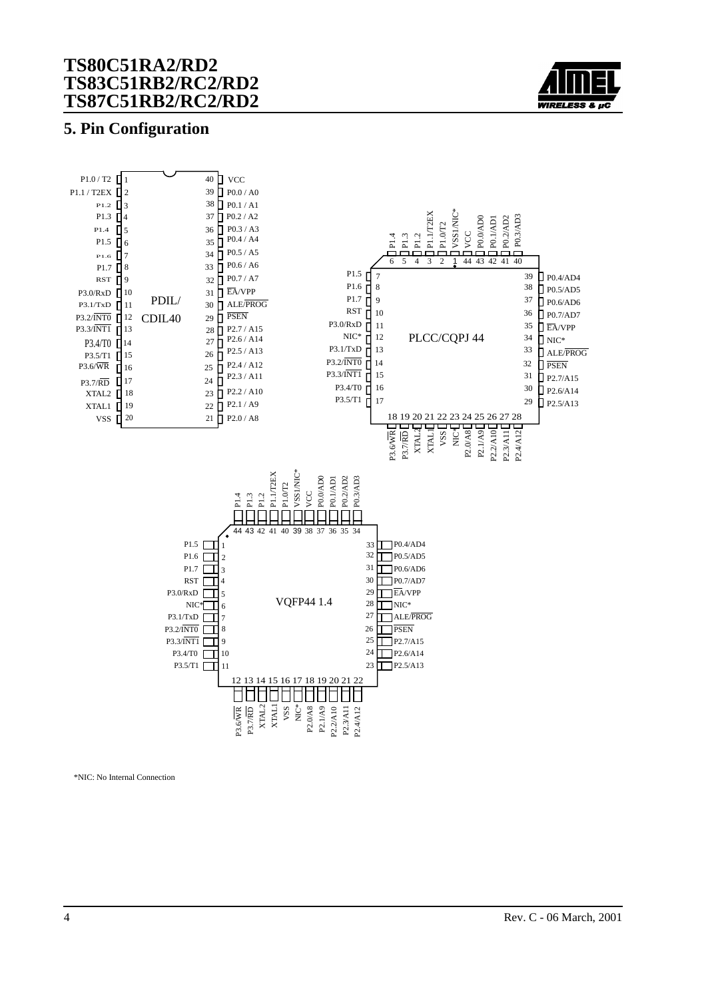

### **5. Pin Configuration**



\*NIC: No Internal Connection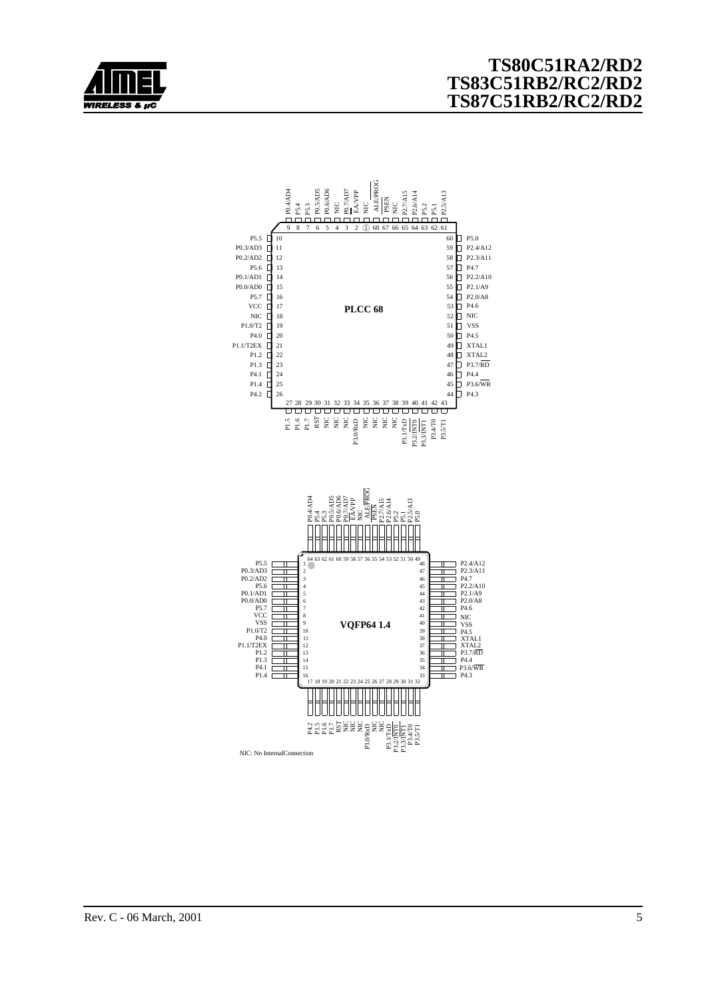

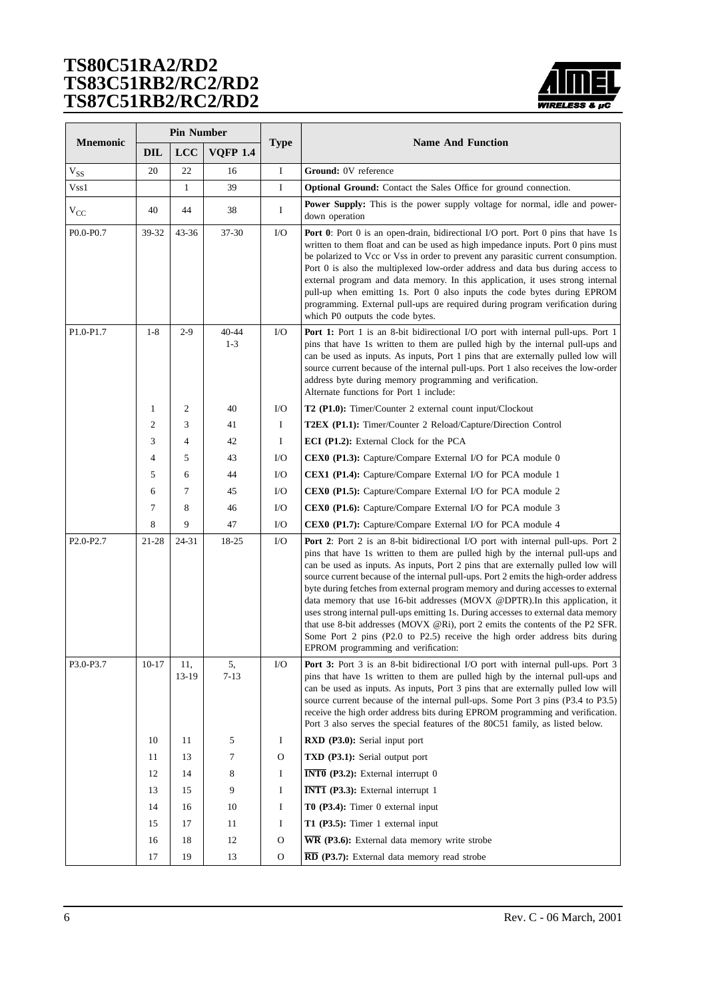

|                                    |                | <b>Pin Number</b> |                  |              |                                                                                                                                                                                                                                                                                                                                                                                                                                                                                                                                                                                                                                                                                                                                                                                                                |
|------------------------------------|----------------|-------------------|------------------|--------------|----------------------------------------------------------------------------------------------------------------------------------------------------------------------------------------------------------------------------------------------------------------------------------------------------------------------------------------------------------------------------------------------------------------------------------------------------------------------------------------------------------------------------------------------------------------------------------------------------------------------------------------------------------------------------------------------------------------------------------------------------------------------------------------------------------------|
| <b>Mnemonic</b>                    | <b>DIL</b>     | LCC               | <b>VQFP 1.4</b>  | <b>Type</b>  | <b>Name And Function</b>                                                                                                                                                                                                                                                                                                                                                                                                                                                                                                                                                                                                                                                                                                                                                                                       |
| $V_{SS}$                           | 20             | 22                | 16               | $\rm I$      | Ground: 0V reference                                                                                                                                                                                                                                                                                                                                                                                                                                                                                                                                                                                                                                                                                                                                                                                           |
| Vss1                               |                | $\mathbf{1}$      | 39               | $\bf{I}$     | Optional Ground: Contact the Sales Office for ground connection.                                                                                                                                                                                                                                                                                                                                                                                                                                                                                                                                                                                                                                                                                                                                               |
| $V_{CC}$                           | 40             | 44                | 38               | Ι            | <b>Power Supply:</b> This is the power supply voltage for normal, idle and power-<br>down operation                                                                                                                                                                                                                                                                                                                                                                                                                                                                                                                                                                                                                                                                                                            |
| P0.0-P0.7                          | 39-32          | 43-36             | 37-30            | I/O          | <b>Port 0</b> : Port 0 is an open-drain, bidirectional I/O port. Port 0 pins that have 1s<br>written to them float and can be used as high impedance inputs. Port 0 pins must<br>be polarized to Vcc or Vss in order to prevent any parasitic current consumption.<br>Port 0 is also the multiplexed low-order address and data bus during access to<br>external program and data memory. In this application, it uses strong internal<br>pull-up when emitting 1s. Port 0 also inputs the code bytes during EPROM<br>programming. External pull-ups are required during program verification during<br>which P0 outputs the code bytes.                                                                                                                                                                       |
| P1.0-P1.7                          | $1-8$          | $2-9$             | 40-44<br>$1 - 3$ | I/O          | Port 1: Port 1 is an 8-bit bidirectional I/O port with internal pull-ups. Port 1<br>pins that have 1s written to them are pulled high by the internal pull-ups and<br>can be used as inputs. As inputs, Port 1 pins that are externally pulled low will<br>source current because of the internal pull-ups. Port 1 also receives the low-order<br>address byte during memory programming and verification.<br>Alternate functions for Port 1 include:                                                                                                                                                                                                                                                                                                                                                          |
|                                    | $\mathbf{1}$   | 2                 | 40               | I/O          | T2 (P1.0): Timer/Counter 2 external count input/Clockout                                                                                                                                                                                                                                                                                                                                                                                                                                                                                                                                                                                                                                                                                                                                                       |
|                                    | $\mathfrak{2}$ | 3                 | 41               | $\bf{I}$     | T2EX (P1.1): Timer/Counter 2 Reload/Capture/Direction Control                                                                                                                                                                                                                                                                                                                                                                                                                                                                                                                                                                                                                                                                                                                                                  |
|                                    | 3              | 4                 | 42               | $\mathbf I$  | ECI (P1.2): External Clock for the PCA                                                                                                                                                                                                                                                                                                                                                                                                                                                                                                                                                                                                                                                                                                                                                                         |
|                                    | $\overline{4}$ | 5                 | 43               | I/O          | CEX0 (P1.3): Capture/Compare External I/O for PCA module 0                                                                                                                                                                                                                                                                                                                                                                                                                                                                                                                                                                                                                                                                                                                                                     |
|                                    | 5              | 6                 | 44               | I/O          | CEX1 (P1.4): Capture/Compare External I/O for PCA module 1                                                                                                                                                                                                                                                                                                                                                                                                                                                                                                                                                                                                                                                                                                                                                     |
|                                    | 6              | 7                 | 45               | I/O          | <b>CEX0 (P1.5):</b> Capture/Compare External I/O for PCA module 2                                                                                                                                                                                                                                                                                                                                                                                                                                                                                                                                                                                                                                                                                                                                              |
|                                    | 7              | 8                 | 46               | $\rm LO$     | CEX0 (P1.6): Capture/Compare External I/O for PCA module 3                                                                                                                                                                                                                                                                                                                                                                                                                                                                                                                                                                                                                                                                                                                                                     |
|                                    | 8              | 9                 | 47               | $\rm I/O$    | CEX0 (P1.7): Capture/Compare External I/O for PCA module 4                                                                                                                                                                                                                                                                                                                                                                                                                                                                                                                                                                                                                                                                                                                                                     |
| P <sub>2.0</sub> -P <sub>2.7</sub> | 21-28          | 24-31             | 18-25            | I/O          | Port 2: Port 2 is an 8-bit bidirectional I/O port with internal pull-ups. Port 2<br>pins that have 1s written to them are pulled high by the internal pull-ups and<br>can be used as inputs. As inputs, Port 2 pins that are externally pulled low will<br>source current because of the internal pull-ups. Port 2 emits the high-order address<br>byte during fetches from external program memory and during accesses to external<br>data memory that use 16-bit addresses (MOVX @DPTR). In this application, it<br>uses strong internal pull-ups emitting 1s. During accesses to external data memory<br>that use 8-bit addresses (MOVX @Ri), port 2 emits the contents of the P2 SFR.<br>Some Port 2 pins (P2.0 to P2.5) receive the high order address bits during<br>EPROM programming and verification: |
| P3.0-P3.7                          | $10-17$        | 11,<br>13-19      | 5,<br>7-13       | $\rm LO$     | Port 3: Port 3 is an 8-bit bidirectional I/O port with internal pull-ups. Port 3<br>pins that have 1s written to them are pulled high by the internal pull-ups and<br>can be used as inputs. As inputs, Port 3 pins that are externally pulled low will<br>source current because of the internal pull-ups. Some Port 3 pins (P3.4 to P3.5)<br>receive the high order address bits during EPROM programming and verification.<br>Port 3 also serves the special features of the 80C51 family, as listed below.                                                                                                                                                                                                                                                                                                 |
|                                    | 10             | 11                | 5                | Ι            | <b>RXD</b> (P3.0): Serial input port                                                                                                                                                                                                                                                                                                                                                                                                                                                                                                                                                                                                                                                                                                                                                                           |
|                                    | 11             | 13                | 7                | $\mathbf{O}$ | TXD (P3.1): Serial output port                                                                                                                                                                                                                                                                                                                                                                                                                                                                                                                                                                                                                                                                                                                                                                                 |
|                                    | 12             | 14                | 8                | I            | <b>INTO</b> (P3.2): External interrupt $0$                                                                                                                                                                                                                                                                                                                                                                                                                                                                                                                                                                                                                                                                                                                                                                     |
|                                    | 13             | 15                | 9                | I            | <b>INTI</b> (P3.3): External interrupt $1$                                                                                                                                                                                                                                                                                                                                                                                                                                                                                                                                                                                                                                                                                                                                                                     |
|                                    | 14             | 16                | 10               | I            | T0 (P3.4): Timer 0 external input                                                                                                                                                                                                                                                                                                                                                                                                                                                                                                                                                                                                                                                                                                                                                                              |
|                                    | 15             | 17                | 11               | Ι            | T1 (P3.5): Timer 1 external input                                                                                                                                                                                                                                                                                                                                                                                                                                                                                                                                                                                                                                                                                                                                                                              |
|                                    | 16             | 18                | 12               | O            | $\overline{\text{WR}}$ (P3.6): External data memory write strobe                                                                                                                                                                                                                                                                                                                                                                                                                                                                                                                                                                                                                                                                                                                                               |
|                                    | 17             | 19                | 13               | O            | RD (P3.7): External data memory read strobe                                                                                                                                                                                                                                                                                                                                                                                                                                                                                                                                                                                                                                                                                                                                                                    |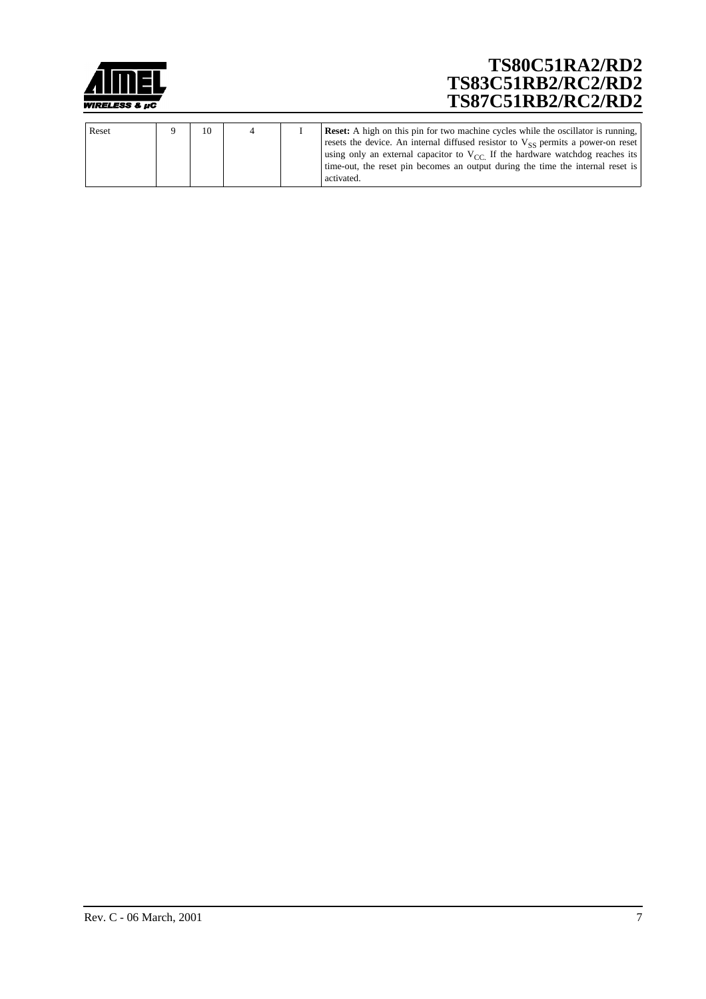

| Reset | 10 |  | <b>Reset:</b> A high on this pin for two machine cycles while the oscillator is running,                                                                                                                                                                                    |
|-------|----|--|-----------------------------------------------------------------------------------------------------------------------------------------------------------------------------------------------------------------------------------------------------------------------------|
|       |    |  | resets the device. An internal diffused resistor to $V_{SS}$ permits a power-on reset<br>using only an external capacitor to $V_{CC}$ If the hardware watchdog reaches its<br>time-out, the reset pin becomes an output during the time the internal reset is<br>activated. |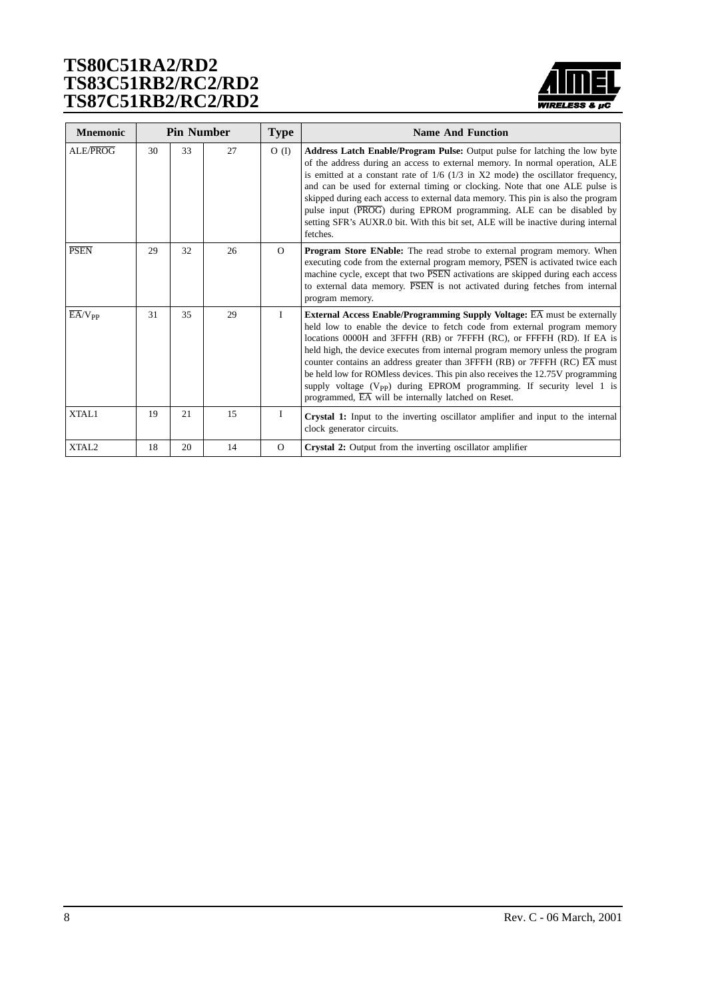

| <b>Mnemonic</b>        | <b>Pin Number</b> |    |    | <b>Type</b> | <b>Name And Function</b>                                                                                                                                                                                                                                                                                                                                                                                                                                                                                                                                                                                                                                    |
|------------------------|-------------------|----|----|-------------|-------------------------------------------------------------------------------------------------------------------------------------------------------------------------------------------------------------------------------------------------------------------------------------------------------------------------------------------------------------------------------------------------------------------------------------------------------------------------------------------------------------------------------------------------------------------------------------------------------------------------------------------------------------|
| ALE/PROG               | 30                | 33 | 27 | $O$ (I)     | <b>Address Latch Enable/Program Pulse:</b> Output pulse for latching the low byte<br>of the address during an access to external memory. In normal operation, ALE<br>is emitted at a constant rate of $1/6$ ( $1/3$ in X2 mode) the oscillator frequency,<br>and can be used for external timing or clocking. Note that one ALE pulse is<br>skipped during each access to external data memory. This pin is also the program<br>pulse input (PROG) during EPROM programming. ALE can be disabled by<br>setting SFR's AUXR.0 bit. With this bit set, ALE will be inactive during internal<br>fetches.                                                        |
| <b>PSEN</b>            | 29                | 32 | 26 | $\Omega$    | Program Store ENable: The read strobe to external program memory. When<br>executing code from the external program memory, PSEN is activated twice each<br>machine cycle, except that two PSEN activations are skipped during each access<br>to external data memory. PSEN is not activated during fetches from internal<br>program memory.                                                                                                                                                                                                                                                                                                                 |
| $E\overline{A}/V_{PP}$ | 31                | 35 | 29 | L           | <b>External Access Enable/Programming Supply Voltage: EA must be externally</b><br>held low to enable the device to fetch code from external program memory<br>locations 0000H and 3FFFH (RB) or 7FFFH (RC), or FFFFH (RD). If EA is<br>held high, the device executes from internal program memory unless the program<br>counter contains an address greater than 3FFFH (RB) or 7FFFH (RC) $\overline{EA}$ must<br>be held low for ROMless devices. This pin also receives the 12.75V programming<br>supply voltage $(V_{\text{pp}})$ during EPROM programming. If security level 1 is<br>programmed, $\overline{EA}$ will be internally latched on Reset. |
| XTAL1                  | 19                | 21 | 15 | I           | <b>Crystal 1:</b> Input to the inverting oscillator amplifier and input to the internal<br>clock generator circuits.                                                                                                                                                                                                                                                                                                                                                                                                                                                                                                                                        |
| XTAL <sub>2</sub>      | 18                | 20 | 14 | $\Omega$    | Crystal 2: Output from the inverting oscillator amplifier                                                                                                                                                                                                                                                                                                                                                                                                                                                                                                                                                                                                   |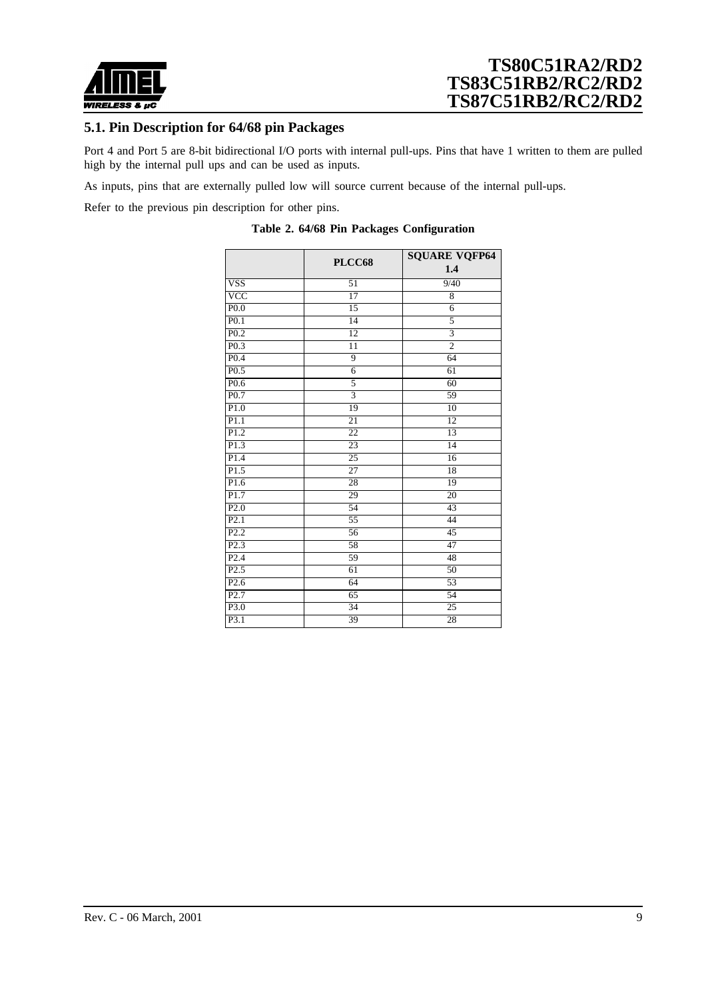

### **5.1. Pin Description for 64/68 pin Packages**

Port 4 and Port 5 are 8-bit bidirectional I/O ports with internal pull-ups. Pins that have 1 written to them are pulled high by the internal pull ups and can be used as inputs.

As inputs, pins that are externally pulled low will source current because of the internal pull-ups.

Refer to the previous pin description for other pins.

|                   | PLCC68          | <b>SQUARE VQFP64</b><br>1.4 |
|-------------------|-----------------|-----------------------------|
| <b>VSS</b>        | 51              | 9/40                        |
| $\overline{VCC}$  | $\overline{17}$ | $\overline{8}$              |
| P <sub>0.0</sub>  | 15              | 6                           |
| P <sub>0.1</sub>  | 14              | 5                           |
| P <sub>0.2</sub>  | 12              | $\overline{\overline{3}}$   |
| P <sub>0.3</sub>  | 11              | $\overline{2}$              |
| P <sub>0.4</sub>  | 9               | 64                          |
| P <sub>0.5</sub>  | $\overline{6}$  | 61                          |
| P <sub>0.6</sub>  | $\overline{5}$  | 60                          |
| P <sub>0.7</sub>  | $\overline{3}$  | 59                          |
| P1.0              | 19              | 10                          |
| P1.1              | $\overline{21}$ | 12                          |
| P1.2              | $\overline{22}$ | 13                          |
| P1.3              | 23              | 14                          |
| $\overline{P1.4}$ | $\overline{25}$ | 16                          |
| P1.5              | $\overline{27}$ | $\overline{18}$             |
| P1.6              | $\overline{28}$ | 19                          |
| P1.7              | 29              | 20                          |
| P2.0              | 54              | 43                          |
| P2.1              | $\overline{55}$ | 44                          |
| P2.2              | 56              | 45                          |
| P2.3              | 58              | $\overline{47}$             |
| P2.4              | 59              | 48                          |
| P2.5              | $\overline{61}$ | 50                          |
| P2.6              | 64              | 53                          |
| P2.7              | 65              | 54                          |
| P3.0              | $\overline{34}$ | $\overline{25}$             |
| P3.1              | 39              | 28                          |

|  |  |  |  |  | Table 2. 64/68 Pin Packages Configuration |
|--|--|--|--|--|-------------------------------------------|
|--|--|--|--|--|-------------------------------------------|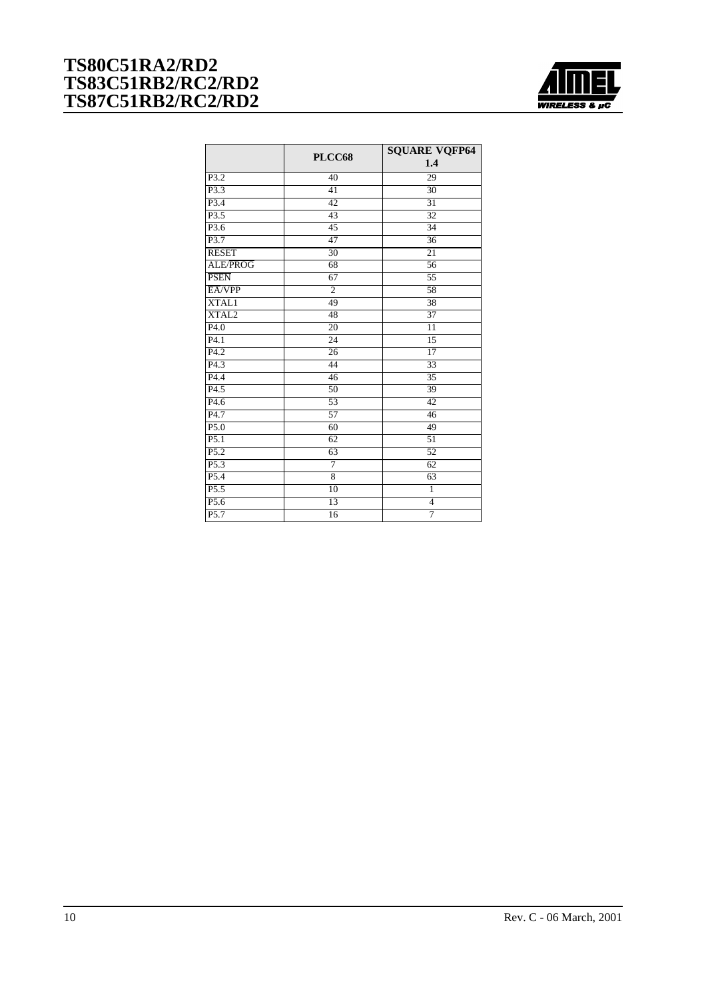

|                   | PLCC68          | <b>SQUARE VQFP64</b> |
|-------------------|-----------------|----------------------|
|                   |                 | 1.4                  |
| $\overline{P3.2}$ | 40              | 29                   |
| P3.3              | $\overline{41}$ | $\overline{30}$      |
| $\overline{P3.4}$ | 42              | $\overline{31}$      |
| P3.5              | $\overline{43}$ | $\overline{32}$      |
| $\overline{P3.6}$ | $\overline{45}$ | $\overline{34}$      |
| P3.7              | 47              | $\overline{36}$      |
| <b>RESET</b>      | $\overline{30}$ | $\overline{21}$      |
| ALE/PROG          | 68              | 56                   |
| <b>PSEN</b>       | $\overline{67}$ | $\overline{55}$      |
| EA/VPP            | $\overline{2}$  | $\overline{58}$      |
| <b>XTAL1</b>      | 49              | $\overline{38}$      |
| XTAL <sub>2</sub> | 48              | $\overline{37}$      |
| P4.0              | $\overline{20}$ | $\overline{11}$      |
| P4.1              | $\overline{24}$ | $\overline{15}$      |
| $\overline{P4.2}$ | $\overline{26}$ | $\overline{17}$      |
| P <sub>4.3</sub>  | 44              | 33                   |
| P4.4              | 46              | $\overline{35}$      |
| P4.5              | $\overline{50}$ | 39                   |
| P4.6              | $\overline{53}$ | 42                   |
| $\overline{P4.7}$ | $\overline{57}$ | 46                   |
| P5.0              | 60              | 49                   |
| P5.1              | 62              | $\overline{51}$      |
| P5.2              | 63              | $\overline{52}$      |
| $\overline{P5.3}$ | 7               | $\overline{62}$      |
| P <sub>5.4</sub>  | $\overline{8}$  | $\overline{63}$      |
| P5.5              | 10              | ī                    |
| P5.6              | 13              | $\overline{4}$       |
| $\overline{P5.7}$ | 16              | 7                    |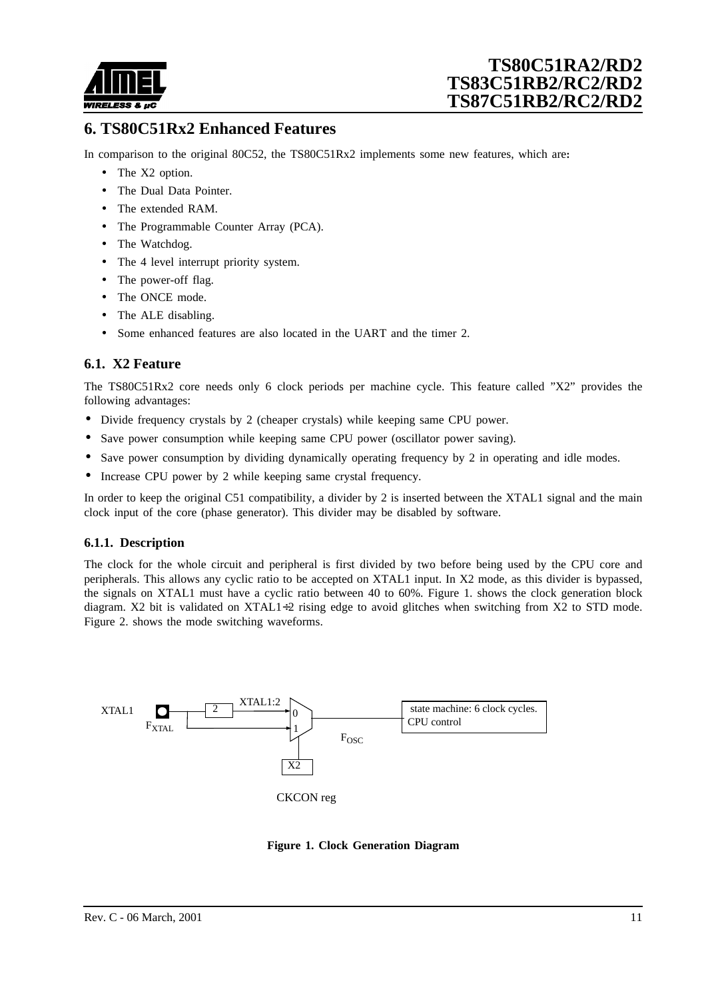

## **6. TS80C51Rx2 Enhanced Features**

In comparison to the original 80C52, the TS80C51Rx2 implements some new features, which are**:**

- The X2 option.
- The Dual Data Pointer.
- The extended RAM
- The Programmable Counter Array (PCA).
- The Watchdog.
- The 4 level interrupt priority system.
- The power-off flag.
- The ONCE mode.
- The ALE disabling.
- Some enhanced features are also located in the UART and the timer 2.

### **6.1. X2 Feature**

The TS80C51Rx2 core needs only 6 clock periods per machine cycle. This feature called "X2" provides the following advantages:

- Divide frequency crystals by 2 (cheaper crystals) while keeping same CPU power.
- Save power consumption while keeping same CPU power (oscillator power saving).
- Save power consumption by dividing dynamically operating frequency by 2 in operating and idle modes.
- Increase CPU power by 2 while keeping same crystal frequency.

In order to keep the original C51 compatibility, a divider by 2 is inserted between the XTAL1 signal and the main clock input of the core (phase generator). This divider may be disabled by software.

#### **6.1.1. Description**

The clock for the whole circuit and peripheral is first divided by two before being used by the CPU core and peripherals. This allows any cyclic ratio to be accepted on XTAL1 input. In X2 mode, as this divider is bypassed, the signals on XTAL1 must have a cyclic ratio between 40 to 60%. Figure 1. shows the clock generation block diagram. X2 bit is validated on XTAL1÷2 rising edge to avoid glitches when switching from X2 to STD mode. [Figure 2.](#page-11-0) shows the mode switching waveforms.



**Figure 1. Clock Generation Diagram**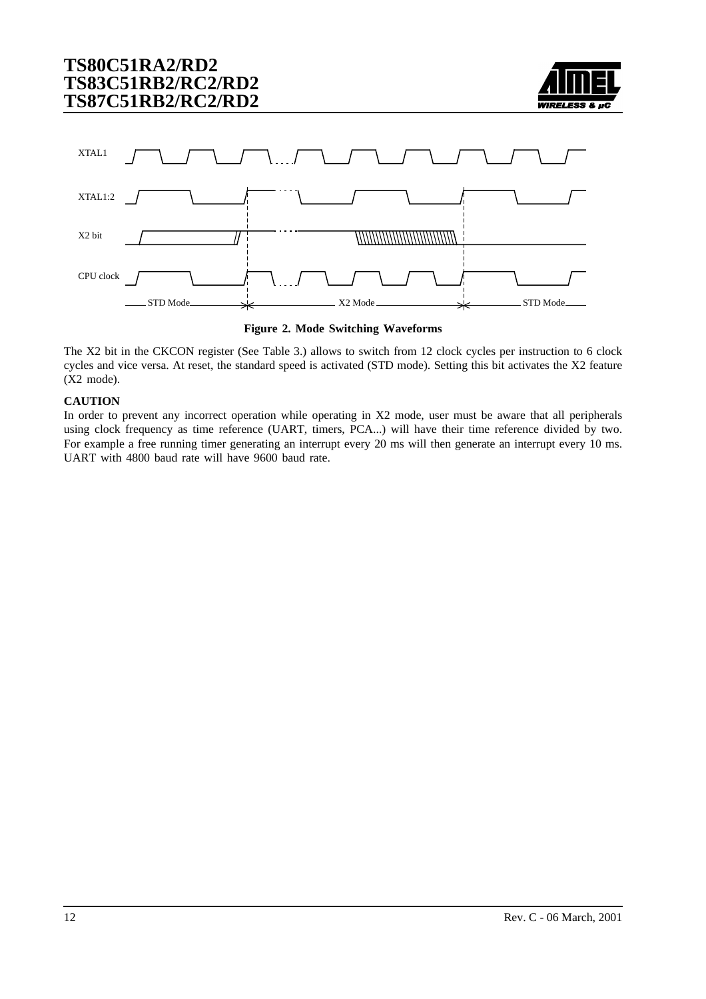

<span id="page-11-0"></span>



The X2 bit in the CKCON register ([See Table 3.](#page-12-0)) allows to switch from 12 clock cycles per instruction to 6 clock cycles and vice versa. At reset, the standard speed is activated (STD mode). Setting this bit activates the X2 feature (X2 mode).

#### **CAUTION**

In order to prevent any incorrect operation while operating in X2 mode, user must be aware that all peripherals using clock frequency as time reference (UART, timers, PCA...) will have their time reference divided by two. For example a free running timer generating an interrupt every 20 ms will then generate an interrupt every 10 ms. UART with 4800 baud rate will have 9600 baud rate.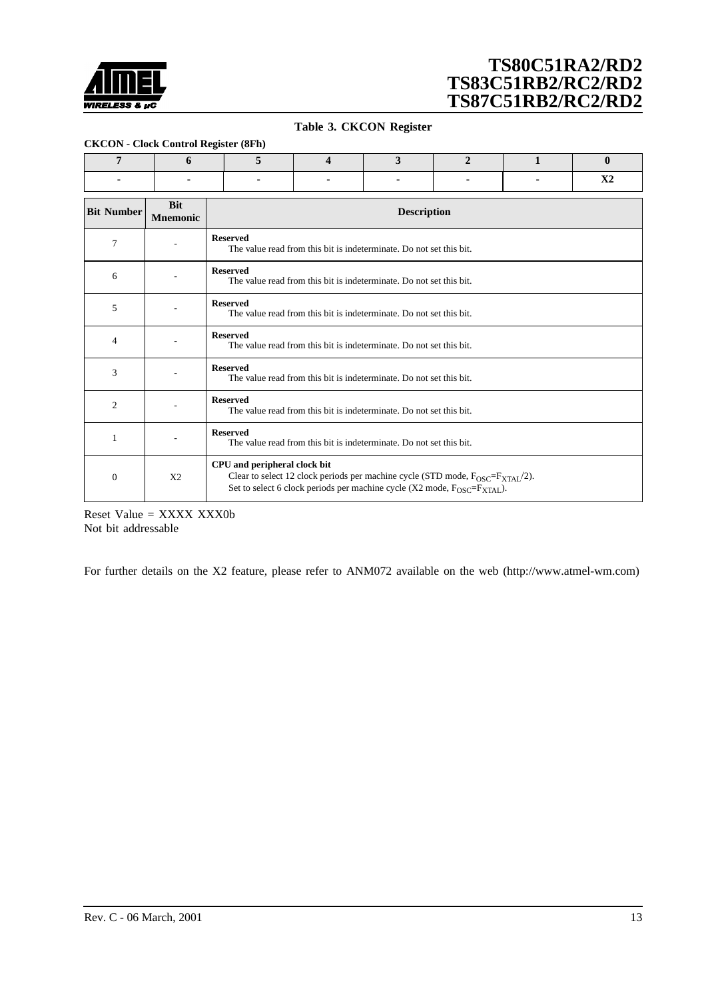<span id="page-12-0"></span>

#### **Table 3. CKCON Register**

#### **CKCON - Clock Control Register (8Fh)**

| ------ |  |  |  |  |  |  |  |  |  |  |  |  |
|--------|--|--|--|--|--|--|--|--|--|--|--|--|
|        |  |  |  |  |  |  |  |  |  |  |  |  |
|        |  |  |  |  |  |  |  |  |  |  |  |  |

| <b>Bit Number</b> | <b>Bit</b><br><b>Mnemonic</b> | <b>Description</b>                                                                                                                                                                                                                     |
|-------------------|-------------------------------|----------------------------------------------------------------------------------------------------------------------------------------------------------------------------------------------------------------------------------------|
| 7                 |                               | <b>Reserved</b><br>The value read from this bit is indeterminate. Do not set this bit.                                                                                                                                                 |
| 6                 |                               | <b>Reserved</b><br>The value read from this bit is indeterminate. Do not set this bit.                                                                                                                                                 |
| 5                 |                               | <b>Reserved</b><br>The value read from this bit is indeterminate. Do not set this bit.                                                                                                                                                 |
| $\overline{4}$    |                               | <b>Reserved</b><br>The value read from this bit is indeterminate. Do not set this bit.                                                                                                                                                 |
| 3                 |                               | <b>Reserved</b><br>The value read from this bit is indeterminate. Do not set this bit.                                                                                                                                                 |
| 2                 |                               | <b>Reserved</b><br>The value read from this bit is indeterminate. Do not set this bit.                                                                                                                                                 |
| 1                 |                               | <b>Reserved</b><br>The value read from this bit is indeterminate. Do not set this bit.                                                                                                                                                 |
| $\theta$          | X <sub>2</sub>                | CPU and peripheral clock bit<br>Clear to select 12 clock periods per machine cycle (STD mode, $F_{\text{OSC}}=F_{\text{XTAI}}/2$ ).<br>Set to select 6 clock periods per machine cycle (X2 mode, $F_{\text{OSC}} = F_{\text{XTAI}}$ ). |

Reset Value = XXXX XXX0b Not bit addressable

For further details on the X2 feature, please refer to ANM072 available on the web (http://www.atmel-wm.com)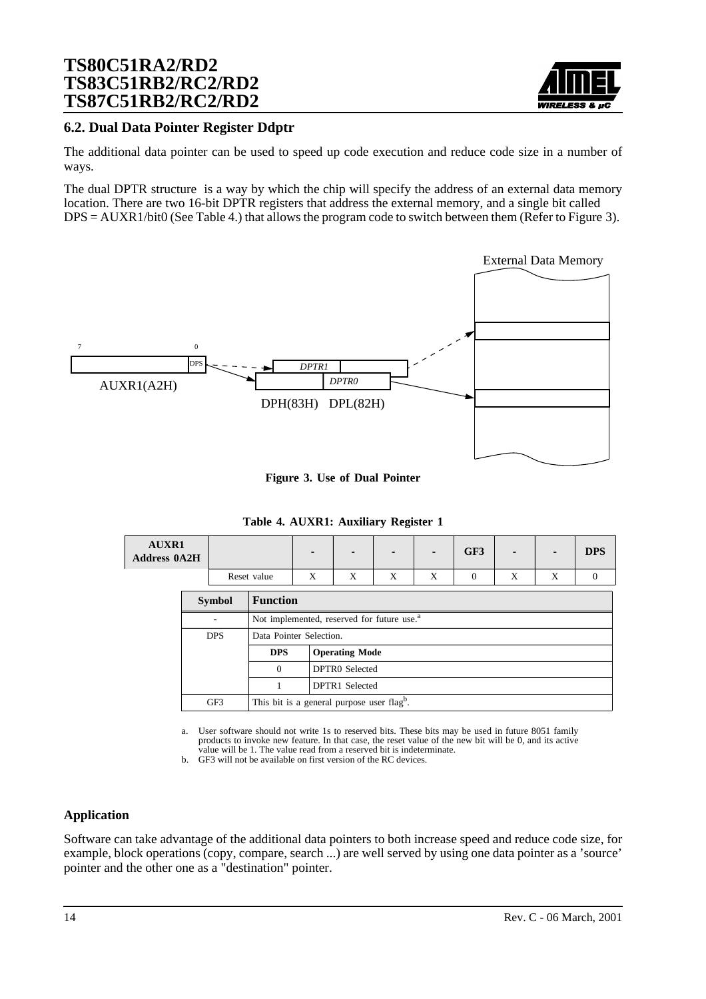

### **6.2. Dual Data Pointer Register Ddptr**

The additional data pointer can be used to speed up code execution and reduce code size in a number of ways.

The dual DPTR structure is a way by which the chip will specify the address of an external data memory location. There are two 16-bit DPTR registers that address the external memory, and a single bit called DPS = AUXR1/bit0 (See Table 4.) that allows the program code to switch between them (Refer to Figure 3).



**Figure 3. Use of Dual Pointer**

**Table 4. AUXR1: Auxiliary Register 1**

| <b>AUXR1</b><br><b>Address 0A2H</b> |             | $\blacksquare$ | . . |           |           | GF3 | $\blacksquare$ |           |  |
|-------------------------------------|-------------|----------------|-----|-----------|-----------|-----|----------------|-----------|--|
|                                     | Reset value | ∡⊾             |     | $\lambda$ | $\lambda$ |     | $\lambda$      | $\lambda$ |  |

| <b>Symbol</b> | <b>Function</b> |                                                        |  |  |  |  |  |  |  |
|---------------|-----------------|--------------------------------------------------------|--|--|--|--|--|--|--|
| ۰             |                 | Not implemented, reserved for future use. <sup>a</sup> |  |  |  |  |  |  |  |
| <b>DPS</b>    |                 | Data Pointer Selection.                                |  |  |  |  |  |  |  |
|               | <b>DPS</b>      | <b>Operating Mode</b>                                  |  |  |  |  |  |  |  |
|               | $\Omega$        | DPTR0 Selected                                         |  |  |  |  |  |  |  |
|               |                 | DPTR1 Selected                                         |  |  |  |  |  |  |  |
| GF3           |                 | This bit is a general purpose user flagb.              |  |  |  |  |  |  |  |

a. User software should not write 1s to reserved bits. These bits may be used in future 8051 family products to invoke new feature. In that case, the reset value of the new bit will be 0, and its active value will be 1. The value read from a reserved bit is indeterminate.

b. GF3 will not be available on first version of the RC devices.

#### **Application**

Software can take advantage of the additional data pointers to both increase speed and reduce code size, for example, block operations (copy, compare, search ...) are well served by using one data pointer as a 'source' pointer and the other one as a "destination" pointer.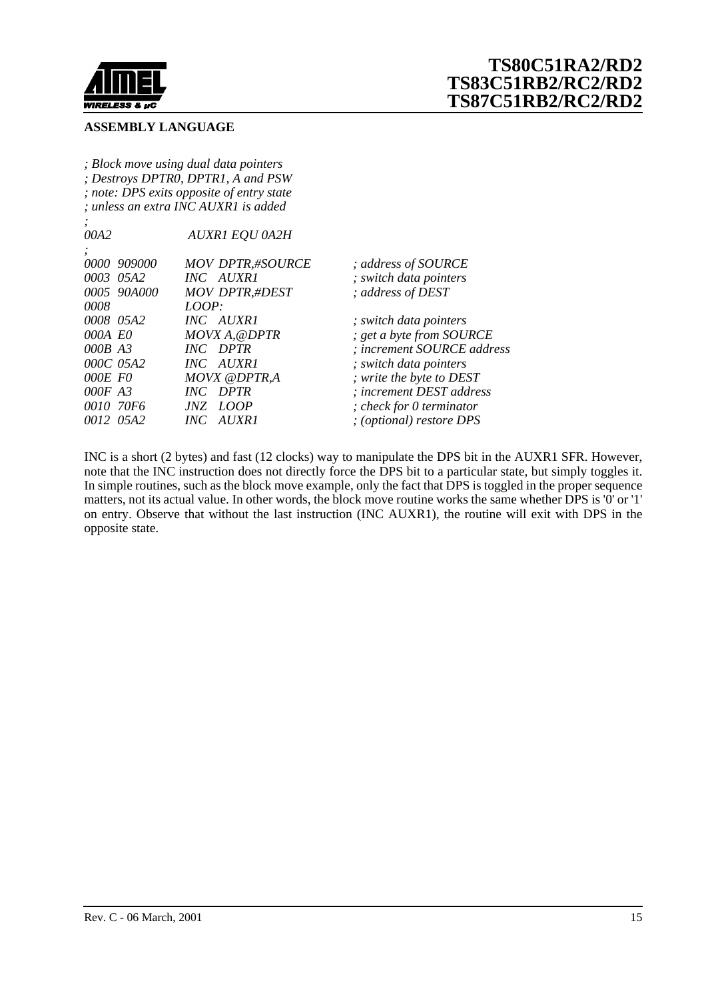

#### **ASSEMBLY LANGUAGE**

*; Block move using dual data pointers ; Destroys DPTR0, DPTR1, A and PSW ; note: DPS exits opposite of entry state ; unless an extra INC AUXR1 is added*

| $\cdot$     |                         |                             |
|-------------|-------------------------|-----------------------------|
| 00A2        | <b>AUXR1 EQU 0A2H</b>   |                             |
| $\bullet$   |                         |                             |
| 0000 909000 | <b>MOV DPTR,#SOURCE</b> | ; address of SOURCE         |
| 0003 05A2   | INC AUXR1               | ; switch data pointers      |
| 0005 90A000 | <b>MOV DPTR,#DEST</b>   | ; address of DEST           |
| 0008        | LOOP:                   |                             |
| 0008 05A2   | INC AUXR1               | ; switch data pointers      |
| 000A E0     | MOVX A, @DPTR           | ; get a byte from SOURCE    |
| 000B A3     | <b>INC</b> DPTR         | : increment SOURCE address  |
| 000C 05A2   | INC AUXR1               | ; switch data pointers      |
| OOOE FO     | <b>MOVX @DPTR,A</b>     | ; write the byte to DEST    |
| $000F$ A3   | <b>INC</b> DPTR         | : increment DEST address    |
| 0010 70F6   | JNZ LOOP                | ; check for 0 term in a tor |
| 0012 05A2   | INC AUXR1               | ; (optional) restore DPS    |
|             |                         |                             |

INC is a short (2 bytes) and fast (12 clocks) way to manipulate the DPS bit in the AUXR1 SFR. However, note that the INC instruction does not directly force the DPS bit to a particular state, but simply toggles it. In simple routines, such as the block move example, only the fact that DPS is toggled in the proper sequence matters, not its actual value. In other words, the block move routine works the same whether DPS is '0' or '1' on entry. Observe that without the last instruction (INC AUXR1), the routine will exit with DPS in the opposite state.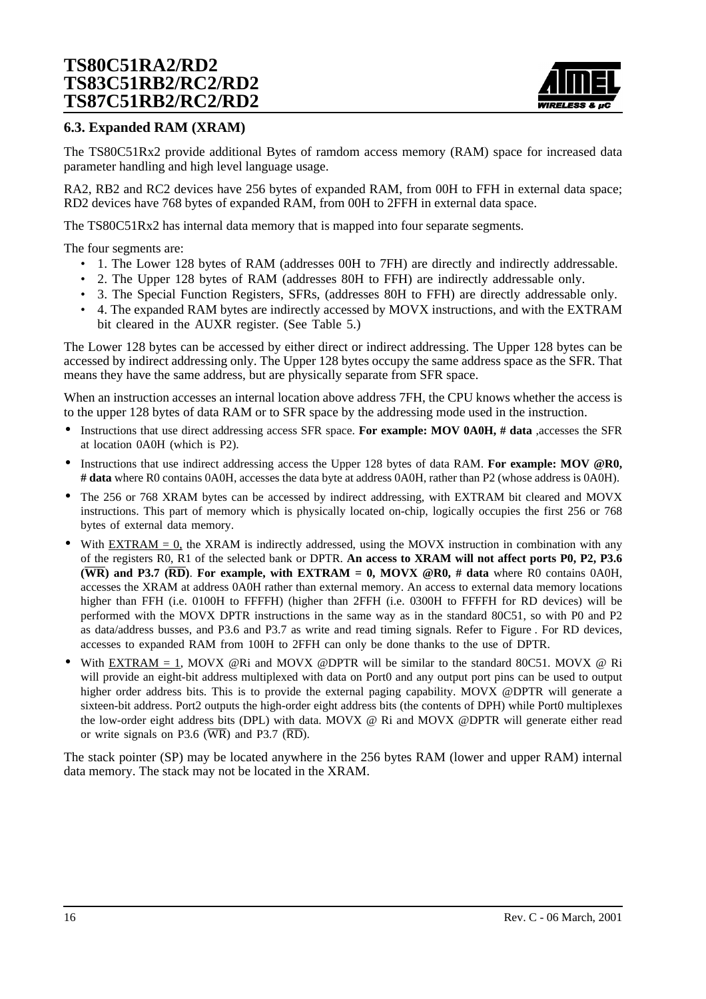

### **6.3. Expanded RAM (XRAM)**

The TS80C51Rx2 provide additional Bytes of ramdom access memory (RAM) space for increased data parameter handling and high level language usage.

RA2, RB2 and RC2 devices have 256 bytes of expanded RAM, from 00H to FFH in external data space; RD2 devices have 768 bytes of expanded RAM, from 00H to 2FFH in external data space.

The TS80C51Rx2 has internal data memory that is mapped into four separate segments.

The four segments are:

- 1. The Lower 128 bytes of RAM (addresses 00H to 7FH) are directly and indirectly addressable.
- 2. The Upper 128 bytes of RAM (addresses 80H to FFH) are indirectly addressable only.
- 3. The Special Function Registers, SFRs, (addresses 80H to FFH) are directly addressable only.
- 4. The expanded RAM bytes are indirectly accessed by MOVX instructions, and with the EXTRAM bit cleared in the AUXR register. (See T[able 5.\)](#page-16-0)

The Lower 128 bytes can be accessed by either direct or indirect addressing. The Upper 128 bytes can be accessed by indirect addressing only. The Upper 128 bytes occupy the same address space as the SFR. That means they have the same address, but are physically separate from SFR space.

When an instruction accesses an internal location above address 7FH, the CPU knows whether the access is to the upper 128 bytes of data RAM or to SFR space by the addressing mode used in the instruction.

- Instructions that use direct addressing access SFR space. **For example: MOV 0A0H, # data** ,accesses the SFR at location 0A0H (which is P2).
- Instructions that use indirect addressing access the Upper 128 bytes of data RAM. **For example: MOV @R0, # data** where R0 contains 0A0H, accesses the data byte at address 0A0H, rather than P2 (whose address is 0A0H).
- The 256 or 768 XRAM bytes can be accessed by indirect addressing, with EXTRAM bit cleared and MOVX instructions. This part of memory which is physically located on-chip, logically occupies the first 256 or 768 bytes of external data memory.
- With  $EXTRAN = 0$ , the XRAM is indirectly addressed, using the MOVX instruction in combination with any of the registers R0, R1 of the selected bank or DPTR. **An access to XRAM will not affect ports P0, P2, P3.6 (WR) and P3.7 (RD)**. **For example, with EXTRAM = 0, MOVX @R0, # data** where R0 contains 0A0H, accesses the XRAM at address 0A0H rather than external memory. An access to external data memory locations higher than FFH (i.e. 0100H to FFFFH) (higher than 2FFH (i.e. 0300H to FFFFH for RD devices) will be performed with the MOVX DPTR instructions in the same way as in the standard 80C51, so with P0 and P2 as data/address busses, and P3.6 and P3.7 as write and read timing signals. Refer to [Figure .](#page-16-0) For RD devices, accesses to expanded RAM from 100H to 2FFH can only be done thanks to the use of DPTR.
- With  $\overline{EXTRAM} = 1$ , MOVX @Ri and MOVX @DPTR will be similar to the standard 80C51. MOVX @ Ri will provide an eight-bit address multiplexed with data on Port0 and any output port pins can be used to output higher order address bits. This is to provide the external paging capability. MOVX @DPTR will generate a sixteen-bit address. Port2 outputs the high-order eight address bits (the contents of DPH) while Port0 multiplexes the low-order eight address bits (DPL) with data. MOVX @ Ri and MOVX @DPTR will generate either read or write signals on P3.6 ( $\overline{WR}$ ) and P3.7 ( $\overline{RD}$ ).

The stack pointer (SP) may be located anywhere in the 256 bytes RAM (lower and upper RAM) internal data memory. The stack may not be located in the XRAM.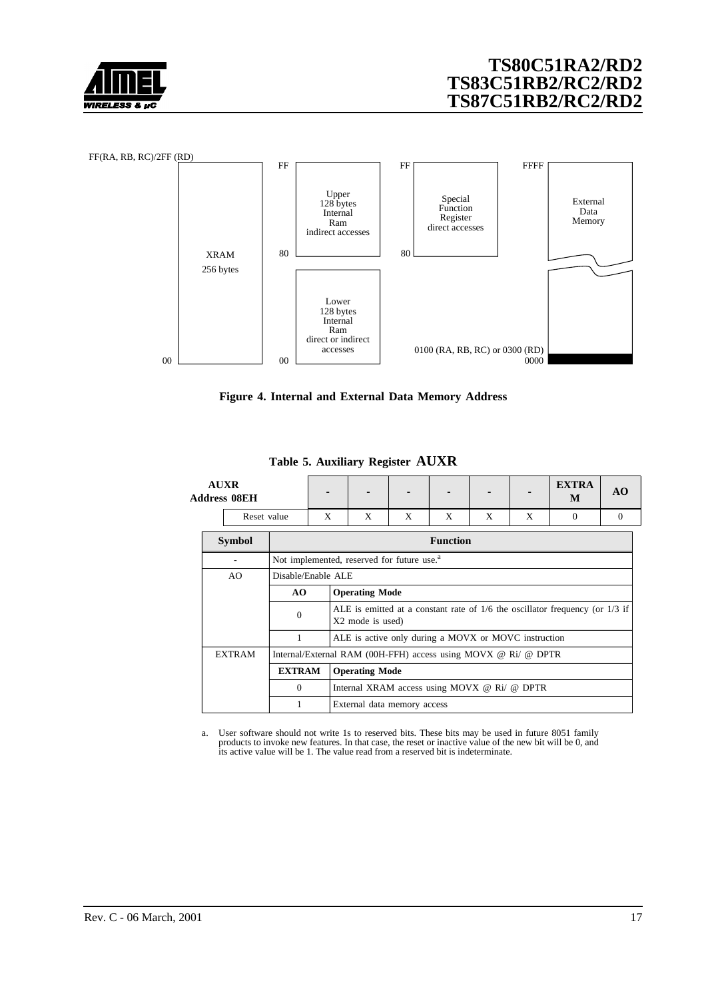<span id="page-16-0"></span>



**Figure 4. Internal and External Data Memory Address**

| <b>AUXR</b><br><b>Address 08EH</b> |                                        |                    |                                              |                                                        |                                                                |   |   | <b>EXTRA</b><br>M                                                                | AO.      |  |
|------------------------------------|----------------------------------------|--------------------|----------------------------------------------|--------------------------------------------------------|----------------------------------------------------------------|---|---|----------------------------------------------------------------------------------|----------|--|
| Reset value                        |                                        | X                  | X                                            | X                                                      | X                                                              | X | X | $\Omega$                                                                         | $\Omega$ |  |
| <b>Symbol</b>                      |                                        |                    |                                              | <b>Function</b>                                        |                                                                |   |   |                                                                                  |          |  |
|                                    |                                        |                    |                                              | Not implemented, reserved for future use. <sup>a</sup> |                                                                |   |   |                                                                                  |          |  |
| AO                                 |                                        | Disable/Enable ALE |                                              |                                                        |                                                                |   |   |                                                                                  |          |  |
|                                    | <b>Operating Mode</b><br>AO.           |                    |                                              |                                                        |                                                                |   |   |                                                                                  |          |  |
|                                    | $\overline{0}$                         |                    | X2 mode is used)                             |                                                        |                                                                |   |   | ALE is emitted at a constant rate of $1/6$ the oscillator frequency (or $1/3$ if |          |  |
|                                    | 1                                      |                    |                                              |                                                        | ALE is active only during a MOVX or MOVC instruction           |   |   |                                                                                  |          |  |
| <b>EXTRAM</b>                      |                                        |                    |                                              |                                                        | Internal/External RAM (00H-FFH) access using MOVX @ Ri/ @ DPTR |   |   |                                                                                  |          |  |
|                                    | <b>EXTRAM</b><br><b>Operating Mode</b> |                    |                                              |                                                        |                                                                |   |   |                                                                                  |          |  |
|                                    | $\Omega$                               |                    | Internal XRAM access using MOVX @ Ri/ @ DPTR |                                                        |                                                                |   |   |                                                                                  |          |  |
|                                    |                                        |                    | External data memory access                  |                                                        |                                                                |   |   |                                                                                  |          |  |

**Table 5. Auxiliary Register AUXR**

a. User software should not write 1s to reserved bits. These bits may be used in future 8051 family products to invoke new features. In that case, the reset or inactive value of the new bit will be 0, and its active value will be 1. The value read from a reserved bit is indeterminate.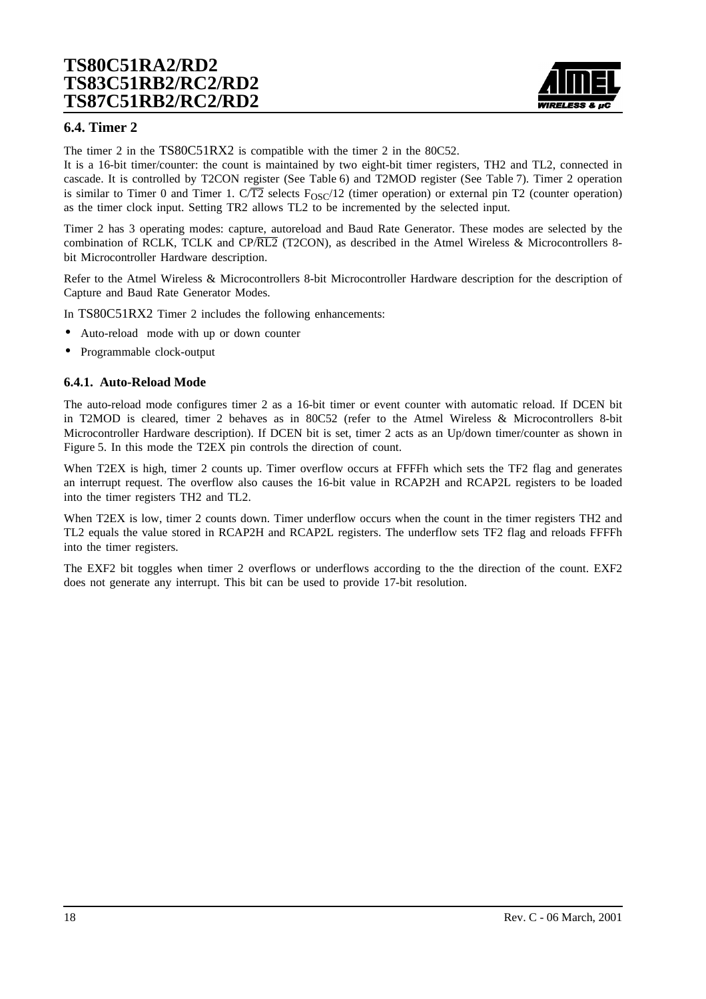

### **6.4. Timer 2**

The timer 2 in the TS80C51RX2 is compatible with the timer 2 in the 80C52.

It is a 16-bit timer/counter: the count is maintained by two eight-bit timer registers, TH2 and TL2, connected in cascade. It is controlled by T2CON register (See [Table 6\)](#page-20-0) and T2MOD register (See [Table 7](#page-21-0)). Timer 2 operation is similar to Timer 0 and Timer 1. C/T2 selects  $F_{OSC}/12$  (timer operation) or external pin T2 (counter operation) as the timer clock input. Setting TR2 allows TL2 to be incremented by the selected input.

Timer 2 has 3 operating modes: capture, autoreload and Baud Rate Generator. These modes are selected by the combination of RCLK, TCLK and CP/RL2 (T2CON), as described in the Atmel Wireless & Microcontrollers 8 bit Microcontroller Hardware description.

Refer to the Atmel Wireless & Microcontrollers 8-bit Microcontroller Hardware description for the description of Capture and Baud Rate Generator Modes.

In TS80C51RX2 Timer 2 includes the following enhancements:

- Auto-reload mode with up or down counter
- Programmable clock-output

#### **6.4.1. Auto-Reload Mode**

The auto-reload mode configures timer 2 as a 16-bit timer or event counter with automatic reload. If DCEN bit in T2MOD is cleared, timer 2 behaves as in 80C52 (refer to the Atmel Wireless & Microcontrollers 8-bit Microcontroller Hardware description). If DCEN bit is set, timer 2 acts as an Up/down timer/counter as shown in [Figure 5.](#page-18-0) In this mode the T2EX pin controls the direction of count.

When T2EX is high, timer 2 counts up. Timer overflow occurs at FFFFh which sets the TF2 flag and generates an interrupt request. The overflow also causes the 16-bit value in RCAP2H and RCAP2L registers to be loaded into the timer registers TH2 and TL2.

When T2EX is low, timer 2 counts down. Timer underflow occurs when the count in the timer registers TH2 and TL2 equals the value stored in RCAP2H and RCAP2L registers. The underflow sets TF2 flag and reloads FFFFh into the timer registers.

The EXF2 bit toggles when timer 2 overflows or underflows according to the the direction of the count. EXF2 does not generate any interrupt. This bit can be used to provide 17-bit resolution.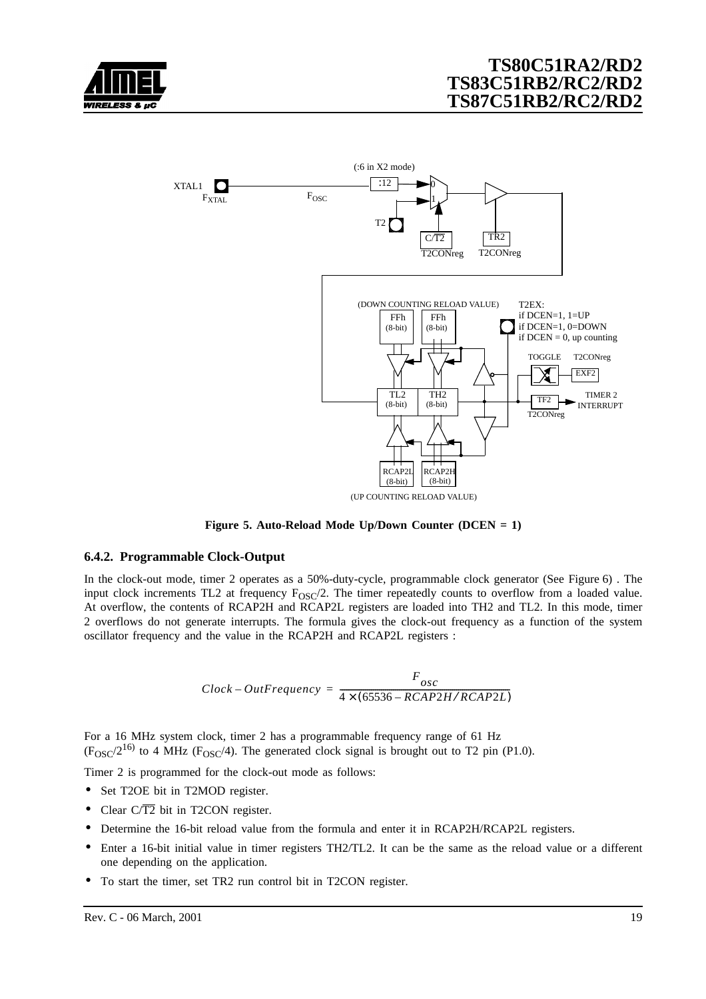<span id="page-18-0"></span>



**Figure 5. Auto-Reload Mode Up/Down Counter (DCEN = 1)**

#### **6.4.2. Programmable Clock-Output**

In the clock-out mode, timer 2 operates as a 50%-duty-cycle, programmable clock generator (See [Figure 6\)](#page-19-0) . The input clock increments TL2 at frequency  $F_{OSC}/2$ . The timer repeatedly counts to overflow from a loaded value. At overflow, the contents of RCAP2H and RCAP2L registers are loaded into TH2 and TL2. In this mode, timer 2 overflows do not generate interrupts. The formula gives the clock-out frequency as a function of the system oscillator frequency and the value in the RCAP2H and RCAP2L registers :

$$
Clock-OutFrequency = \frac{F_{osc}}{4 \times (65536 - RCAP2H/RCAP2L)}
$$

For a 16 MHz system clock, timer 2 has a programmable frequency range of 61 Hz  $(F<sub>OSC</sub>/2<sup>16</sup>)$  to 4 MHz ( $F<sub>OSC</sub>/4$ ). The generated clock signal is brought out to T2 pin (P1.0).

Timer 2 is programmed for the clock-out mode as follows:

- Set T2OE bit in T2MOD register.
- Clear  $C/T2$  bit in T2CON register.
- Determine the 16-bit reload value from the formula and enter it in RCAP2H/RCAP2L registers.
- Enter a 16-bit initial value in timer registers TH2/TL2. It can be the same as the reload value or a different one depending on the application.
- To start the timer, set TR2 run control bit in T2CON register.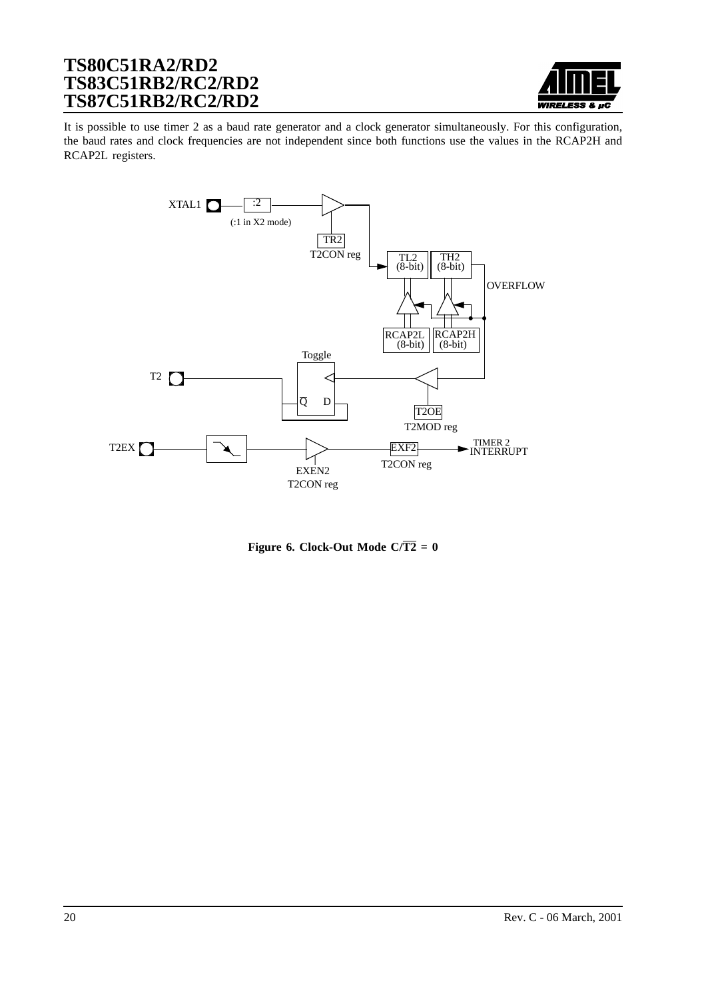

<span id="page-19-0"></span>It is possible to use timer 2 as a baud rate generator and a clock generator simultaneously. For this configuration, the baud rates and clock frequencies are not independent since both functions use the values in the RCAP2H and RCAP2L registers.



**Figure 6. Clock-Out Mode C/** $\overline{T2} = 0$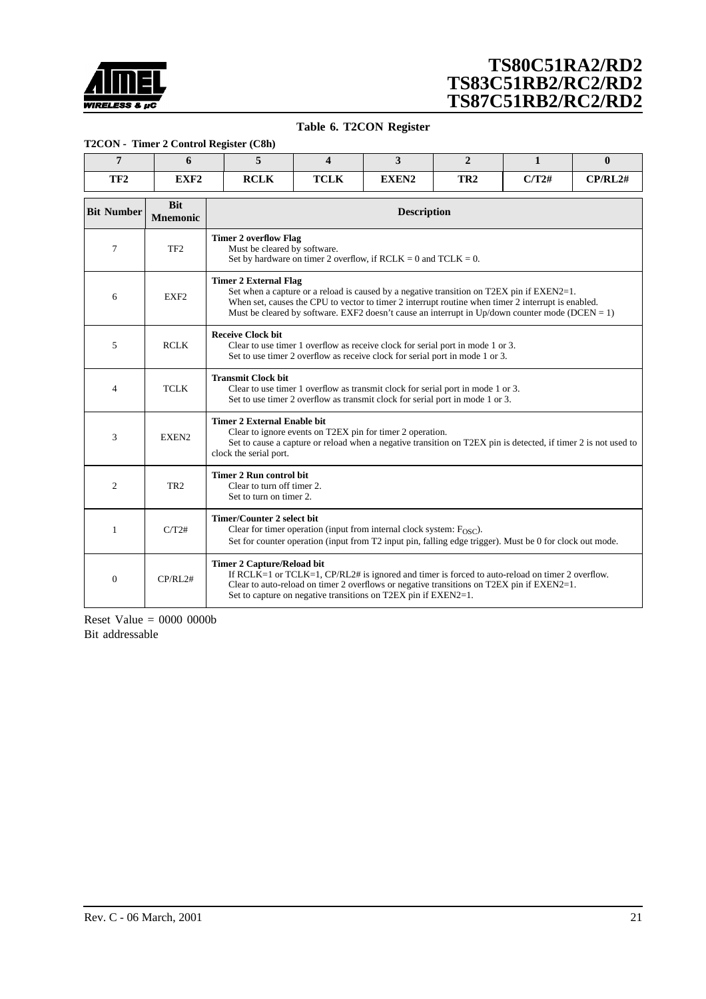<span id="page-20-0"></span>

#### **Table 6. T2CON Register**

#### **T2CON - Timer 2 Control Register (C8h)**

| $\overline{7}$                                                                                                                                              | 6                             | 5                                                                                       | $\boldsymbol{\Delta}$                                                                                                                                                                                                                                                                              | 3                                                                         | $\mathbf{2}$    | 1                                                                                                                                                                                              | $\bf{0}$ |  |  |  |  |
|-------------------------------------------------------------------------------------------------------------------------------------------------------------|-------------------------------|-----------------------------------------------------------------------------------------|----------------------------------------------------------------------------------------------------------------------------------------------------------------------------------------------------------------------------------------------------------------------------------------------------|---------------------------------------------------------------------------|-----------------|------------------------------------------------------------------------------------------------------------------------------------------------------------------------------------------------|----------|--|--|--|--|
| TF <sub>2</sub>                                                                                                                                             | EXF <sub>2</sub>              | <b>RCLK</b>                                                                             | <b>TCLK</b>                                                                                                                                                                                                                                                                                        | EXEN2                                                                     | TR <sub>2</sub> | C/T2#                                                                                                                                                                                          | CP/RL2#  |  |  |  |  |
| <b>Bit Number</b>                                                                                                                                           | <b>Bit</b><br><b>Mnemonic</b> |                                                                                         |                                                                                                                                                                                                                                                                                                    | <b>Description</b>                                                        |                 |                                                                                                                                                                                                |          |  |  |  |  |
| <b>Timer 2 overflow Flag</b><br>TF <sub>2</sub><br>Must be cleared by software.<br>7<br>Set by hardware on timer 2 overflow, if $RCLK = 0$ and $TCLK = 0$ . |                               |                                                                                         |                                                                                                                                                                                                                                                                                                    |                                                                           |                 |                                                                                                                                                                                                |          |  |  |  |  |
| 6                                                                                                                                                           | EXF <sub>2</sub>              | <b>Timer 2 External Flag</b>                                                            | Set when a capture or a reload is caused by a negative transition on T2EX pin if EXEN2=1.<br>When set, causes the CPU to vector to timer 2 interrupt routine when timer 2 interrupt is enabled.<br>Must be cleared by software. EXF2 doesn't cause an interrupt in Up/down counter mode (DCEN = 1) |                                                                           |                 |                                                                                                                                                                                                |          |  |  |  |  |
| 5                                                                                                                                                           | <b>RCLK</b>                   | <b>Receive Clock bit</b>                                                                | Clear to use timer 1 overflow as receive clock for serial port in mode 1 or 3.<br>Set to use timer 2 overflow as receive clock for serial port in mode 1 or 3.                                                                                                                                     |                                                                           |                 |                                                                                                                                                                                                |          |  |  |  |  |
| 4                                                                                                                                                           | <b>TCLK</b>                   | <b>Transmit Clock bit</b>                                                               | Clear to use timer 1 overflow as transmit clock for serial port in mode 1 or 3.<br>Set to use timer 2 overflow as transmit clock for serial port in mode 1 or 3.                                                                                                                                   |                                                                           |                 |                                                                                                                                                                                                |          |  |  |  |  |
| 3                                                                                                                                                           | EXEN2                         | Timer 2 External Enable bit<br>clock the serial port.                                   |                                                                                                                                                                                                                                                                                                    | Clear to ignore events on T2EX pin for timer 2 operation.                 |                 | Set to cause a capture or reload when a negative transition on T2EX pin is detected, if timer 2 is not used to                                                                                 |          |  |  |  |  |
| 2                                                                                                                                                           | TR <sub>2</sub>               | <b>Timer 2 Run control bit</b><br>Clear to turn off timer 2.<br>Set to turn on timer 2. |                                                                                                                                                                                                                                                                                                    |                                                                           |                 |                                                                                                                                                                                                |          |  |  |  |  |
| 1                                                                                                                                                           | C/T2#                         | Timer/Counter 2 select bit                                                              |                                                                                                                                                                                                                                                                                                    | Clear for timer operation (input from internal clock system: $F_{OSC}$ ). |                 | Set for counter operation (input from T2 input pin, falling edge trigger). Must be 0 for clock out mode.                                                                                       |          |  |  |  |  |
| $\theta$                                                                                                                                                    | CP/RL2#                       | <b>Timer 2 Capture/Reload bit</b>                                                       |                                                                                                                                                                                                                                                                                                    | Set to capture on negative transitions on T2EX pin if EXEN2=1.            |                 | If RCLK=1 or TCLK=1, $CP/RL2#$ is ignored and timer is forced to auto-reload on timer 2 overflow.<br>Clear to auto-reload on timer 2 overflows or negative transitions on T2EX pin if EXEN2=1. |          |  |  |  |  |

Reset Value  $= 0000 0000$ Bit addressable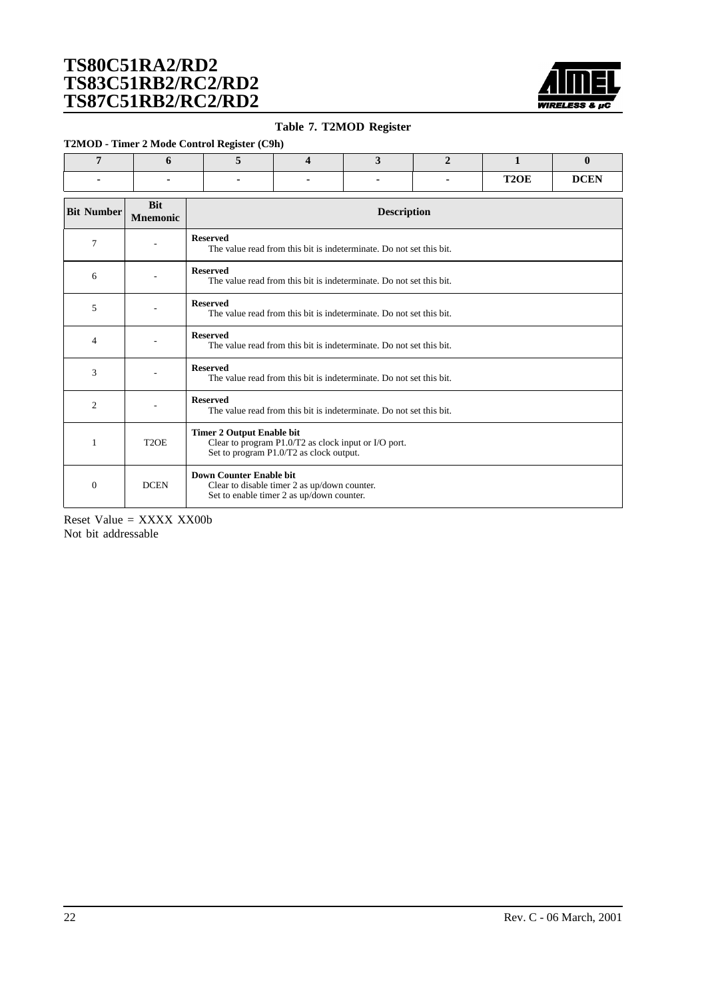

#### **Table 7. T2MOD Register**

<span id="page-21-0"></span>**T2MOD - Timer 2 Mode Control Register (C9h)**

|  | $\sim$ |  |                   |             |
|--|--------|--|-------------------|-------------|
|  |        |  |                   |             |
|  |        |  | T <sub>2</sub> OE | <b>DCEN</b> |

| <b>Bit Number</b> | <b>Bit</b><br><b>Mnemonic</b> | <b>Description</b>                                                                                                                  |
|-------------------|-------------------------------|-------------------------------------------------------------------------------------------------------------------------------------|
| 7                 |                               | <b>Reserved</b><br>The value read from this bit is indeterminate. Do not set this bit.                                              |
| 6                 |                               | <b>Reserved</b><br>The value read from this bit is indeterminate. Do not set this bit.                                              |
| 5                 |                               | <b>Reserved</b><br>The value read from this bit is indeterminate. Do not set this bit.                                              |
| $\overline{4}$    |                               | <b>Reserved</b><br>The value read from this bit is indeterminate. Do not set this bit.                                              |
| 3                 |                               | <b>Reserved</b><br>The value read from this bit is indeterminate. Do not set this bit.                                              |
| $\overline{2}$    |                               | <b>Reserved</b><br>The value read from this bit is indeterminate. Do not set this bit.                                              |
|                   | T <sub>2</sub> OE             | <b>Timer 2 Output Enable bit</b><br>Clear to program P1.0/T2 as clock input or I/O port.<br>Set to program P1.0/T2 as clock output. |
| $\theta$          | <b>DCEN</b>                   | Down Counter Enable bit<br>Clear to disable timer 2 as up/down counter.<br>Set to enable timer 2 as up/down counter.                |

Reset Value = XXXX XX00b Not bit addressable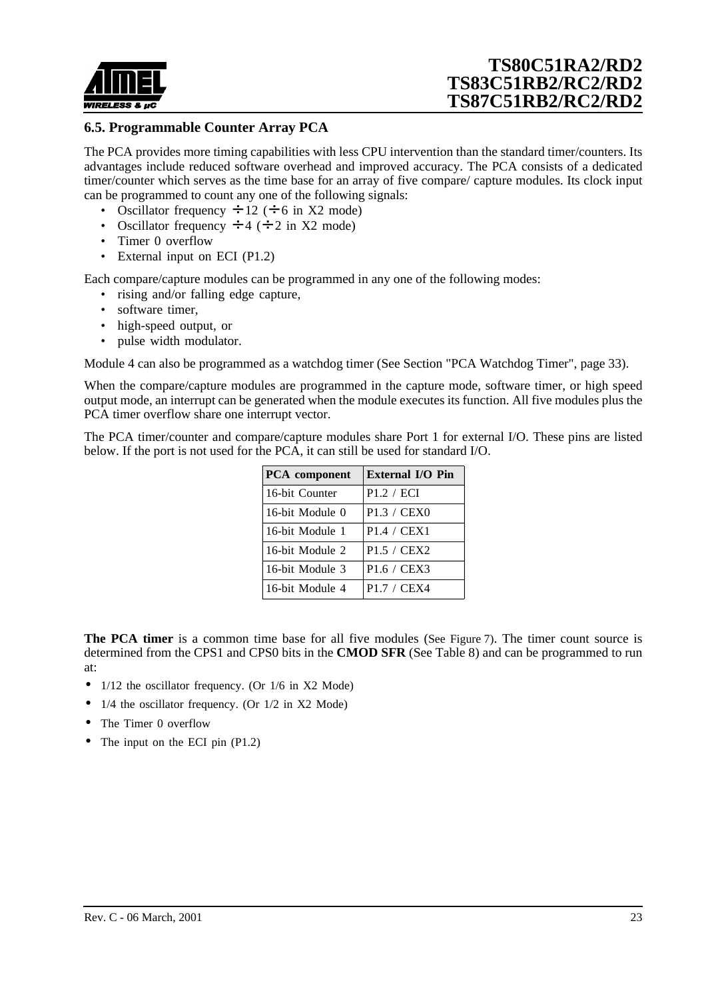

### **6.5. Programmable Counter Array PCA**

The PCA provides more timing capabilities with less CPU intervention than the standard timer/counters. Its advantages include reduced software overhead and improved accuracy. The PCA consists of a dedicated timer/counter which serves as the time base for an array of five compare/ capture modules. Its clock input can be programmed to count any one of the following signals:

- Oscillator frequency  $\div$  12 ( $\div$  6 in X2 mode)
- Oscillator frequency  $\div$  4 ( $\div$  2 in X2 mode)
- Timer 0 overflow
- External input on ECI (P1.2)

Each compare/capture modules can be programmed in any one of the following modes:

- rising and/or falling edge capture,
- software timer.
- high-speed output, or
- pulse width modulator.

Module 4 can also be programmed as a watchdog timer (See S[ection "PCA Watchdog Timer", page 33\).](#page-32-0)

When the compare/capture modules are programmed in the capture mode, software timer, or high speed output mode, an interrupt can be generated when the module executes its function. All five modules plus the PCA timer overflow share one interrupt vector.

The PCA timer/counter and compare/capture modules share Port 1 for external I/O. These pins are listed below. If the port is not used for the PCA, it can still be used for standard I/O.

| <b>PCA</b> component | <b>External I/O Pin</b>                        |
|----------------------|------------------------------------------------|
| 16-bit Counter       | P1.2 / ECI                                     |
| 16-bit Module 0      | P <sub>1.3</sub> / CEX <sub>0</sub>            |
| 16-bit Module 1      | P <sub>1.4</sub> / C <sub>EX<sub>1</sub></sub> |
| 16-bit Module 2      | P1.5 / CEX2                                    |
| 16-bit Module 3      | P <sub>1.6</sub> / CEX <sub>3</sub>            |
| 16-bit Module 4      | P <sub>1.7</sub> / CEX <sub>4</sub>            |

**The PCA timer** is a common time base for all five modules (See [Figure 7](#page-23-0)). The timer count source is determined from the CPS1 and CPS0 bits in the **CMOD SFR** (Se[e Table 8](#page-23-0)) and can be programmed to run at:

- 1/12 the oscillator frequency. (Or 1/6 in X2 Mode)
- $1/4$  the oscillator frequency. (Or  $1/2$  in X2 Mode)
- The Timer 0 overflow
- The input on the ECI pin (P1.2)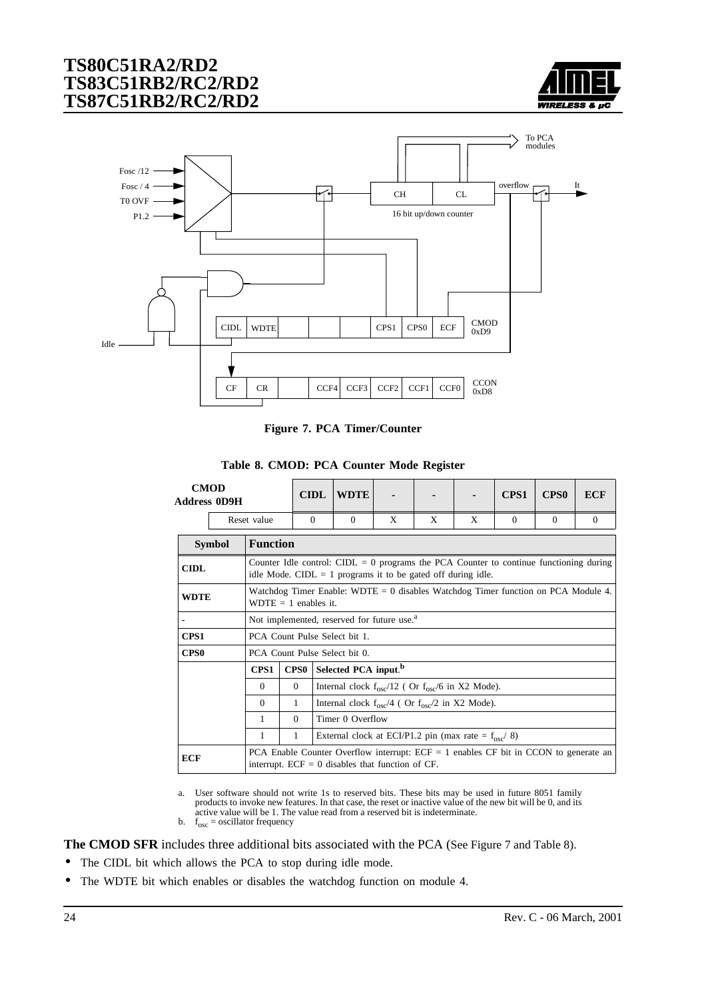

<span id="page-23-0"></span>

**Figure 7. PCA Timer/Counter**

|  |  |  | Table 8. CMOD: PCA Counter Mode Register |
|--|--|--|------------------------------------------|
|  |  |  |                                          |

|                  | <b>CMOD</b><br><b>Address 0D9H</b> |                 |                                                                                                             | <b>CIDL</b>      | <b>WDTE</b>                                                                                                                                                |   |   |   | CPS1     | <b>CPS0</b> | ECF      |
|------------------|------------------------------------|-----------------|-------------------------------------------------------------------------------------------------------------|------------------|------------------------------------------------------------------------------------------------------------------------------------------------------------|---|---|---|----------|-------------|----------|
|                  |                                    | Reset value     |                                                                                                             | $\Omega$         | $\Omega$                                                                                                                                                   | X | X | X | $\Omega$ | $\Omega$    | $\Omega$ |
|                  | <b>Symbol</b>                      | <b>Function</b> |                                                                                                             |                  |                                                                                                                                                            |   |   |   |          |             |          |
| <b>CIDL</b>      |                                    |                 |                                                                                                             |                  | Counter Idle control: CIDL = $0$ programs the PCA Counter to continue functioning during<br>idle Mode. CIDL $= 1$ programs it to be gated off during idle. |   |   |   |          |             |          |
| <b>WDTE</b>      |                                    |                 | Watchdog Timer Enable: WDTE = 0 disables Watchdog Timer function on PCA Module 4.<br>$WDTE = 1$ enables it. |                  |                                                                                                                                                            |   |   |   |          |             |          |
|                  |                                    |                 | Not implemented, reserved for future use. <sup>a</sup>                                                      |                  |                                                                                                                                                            |   |   |   |          |             |          |
| CPS <sub>1</sub> |                                    |                 |                                                                                                             |                  | PCA Count Pulse Select bit 1.                                                                                                                              |   |   |   |          |             |          |
| CPS <sub>0</sub> |                                    |                 |                                                                                                             |                  | PCA Count Pulse Select bit 0.                                                                                                                              |   |   |   |          |             |          |
|                  |                                    | CPS1            | CPS0                                                                                                        |                  | Selected PCA input. <sup>b</sup>                                                                                                                           |   |   |   |          |             |          |
|                  |                                    | $\Omega$        | $\Omega$                                                                                                    |                  | Internal clock $f_{\rm osc}/12$ ( Or $f_{\rm osc}/6$ in X2 Mode).                                                                                          |   |   |   |          |             |          |
|                  |                                    | $\Omega$        | $\mathbf{1}$                                                                                                |                  | Internal clock $f_{osc}/4$ ( Or $f_{osc}/2$ in X2 Mode).                                                                                                   |   |   |   |          |             |          |
|                  |                                    | 1               | $\Omega$                                                                                                    | Timer 0 Overflow |                                                                                                                                                            |   |   |   |          |             |          |
|                  |                                    | 1               | 1                                                                                                           |                  | External clock at ECI/P1.2 pin (max rate = $f_{osc}$ / 8)                                                                                                  |   |   |   |          |             |          |
| <b>ECF</b>       |                                    |                 |                                                                                                             |                  | PCA Enable Counter Overflow interrupt: $ECF = 1$ enables CF bit in CCON to generate an<br>interrupt. $ECF = 0$ disables that function of CF.               |   |   |   |          |             |          |

a. User software should not write 1s to reserved bits. These bits may be used in future 8051 family products to invoke new features. In that case, the reset or inactive value of the new bit will be 0, and its active value will be 1. The value read from a reserved bit is indeterminate.

**The CMOD SFR** includes three additional bits associated with the PCA (See Figure 7 and Table 8).

- The CIDL bit which allows the PCA to stop during idle mode.
- The WDTE bit which enables or disables the watchdog function on module 4.

b.  $f_{\text{osc}} =$  oscillator frequency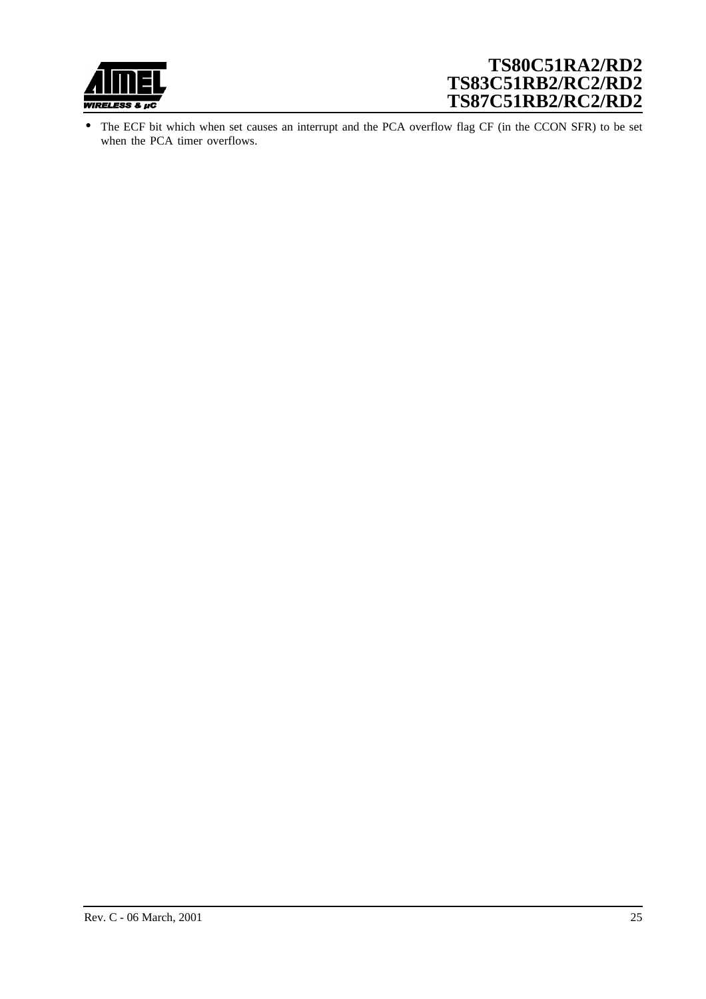

• The ECF bit which when set causes an interrupt and the PCA overflow flag CF (in the CCON SFR) to be set when the PCA timer overflows.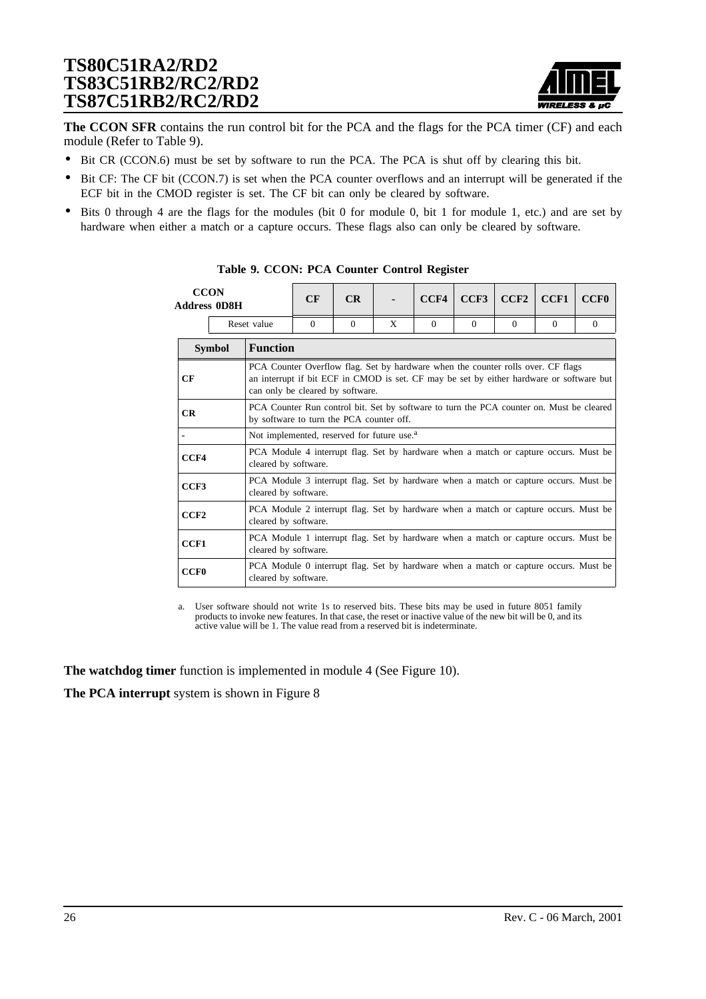

**The CCON SFR** contains the run control bit for the PCA and the flags for the PCA timer (CF) and each module (Refer to Table 9).

- Bit CR (CCON.6) must be set by software to run the PCA. The PCA is shut off by clearing this bit.
- Bit CF: The CF bit (CCON.7) is set when the PCA counter overflows and an interrupt will be generated if the ECF bit in the CMOD register is set. The CF bit can only be cleared by software.
- Bits 0 through 4 are the flags for the modules (bit 0 for module 0, bit 1 for module 1, etc.) and are set by hardware when either a match or a capture occurs. These flags also can only be cleared by software.

| <b>CCON</b><br><b>Address 0D8H</b> |               | CF                                                                                                                                   | CR                                                                                                                                                                                                               |          | CCF4 | CCF3     | CCF2     | CCF1     | <b>CCF0</b> |          |  |  |
|------------------------------------|---------------|--------------------------------------------------------------------------------------------------------------------------------------|------------------------------------------------------------------------------------------------------------------------------------------------------------------------------------------------------------------|----------|------|----------|----------|----------|-------------|----------|--|--|
|                                    |               | Reset value                                                                                                                          | $\Omega$                                                                                                                                                                                                         | $\Omega$ | X    | $\Omega$ | $\Omega$ | $\Omega$ | $\Omega$    | $\Omega$ |  |  |
|                                    | <b>Symbol</b> | <b>Function</b>                                                                                                                      |                                                                                                                                                                                                                  |          |      |          |          |          |             |          |  |  |
| CF                                 |               |                                                                                                                                      | PCA Counter Overflow flag. Set by hardware when the counter rolls over. CF flags<br>an interrupt if bit ECF in CMOD is set. CF may be set by either hardware or software but<br>can only be cleared by software. |          |      |          |          |          |             |          |  |  |
| CR                                 |               | PCA Counter Run control bit. Set by software to turn the PCA counter on. Must be cleared<br>by software to turn the PCA counter off. |                                                                                                                                                                                                                  |          |      |          |          |          |             |          |  |  |
|                                    |               | Not implemented, reserved for future use. <sup>a</sup>                                                                               |                                                                                                                                                                                                                  |          |      |          |          |          |             |          |  |  |
| CCF4                               |               | PCA Module 4 interrupt flag. Set by hardware when a match or capture occurs. Must be<br>cleared by software.                         |                                                                                                                                                                                                                  |          |      |          |          |          |             |          |  |  |
| CCF3                               |               | PCA Module 3 interrupt flag. Set by hardware when a match or capture occurs. Must be<br>cleared by software.                         |                                                                                                                                                                                                                  |          |      |          |          |          |             |          |  |  |
| CCF2                               |               | PCA Module 2 interrupt flag. Set by hardware when a match or capture occurs. Must be<br>cleared by software.                         |                                                                                                                                                                                                                  |          |      |          |          |          |             |          |  |  |
| CCF1                               |               | PCA Module 1 interrupt flag. Set by hardware when a match or capture occurs. Must be<br>cleared by software.                         |                                                                                                                                                                                                                  |          |      |          |          |          |             |          |  |  |
| <b>CCF0</b>                        |               | PCA Module 0 interrupt flag. Set by hardware when a match or capture occurs. Must be<br>cleared by software.                         |                                                                                                                                                                                                                  |          |      |          |          |          |             |          |  |  |

**Table 9. CCON: PCA Counter Control Register**

a. User software should not write 1s to reserved bits. These bits may be used in future 8051 family products to invoke new features. In that case, the reset or inactive value of the new bit will be 0, and its active value will be 1. The value read from a reserved bit is indeterminate.

**The watchdog timer** function is implemented in module 4 (See Fi[gure 10\).](#page-30-0)

**The PCA interrupt** system is shown in [Figure 8](#page-26-0)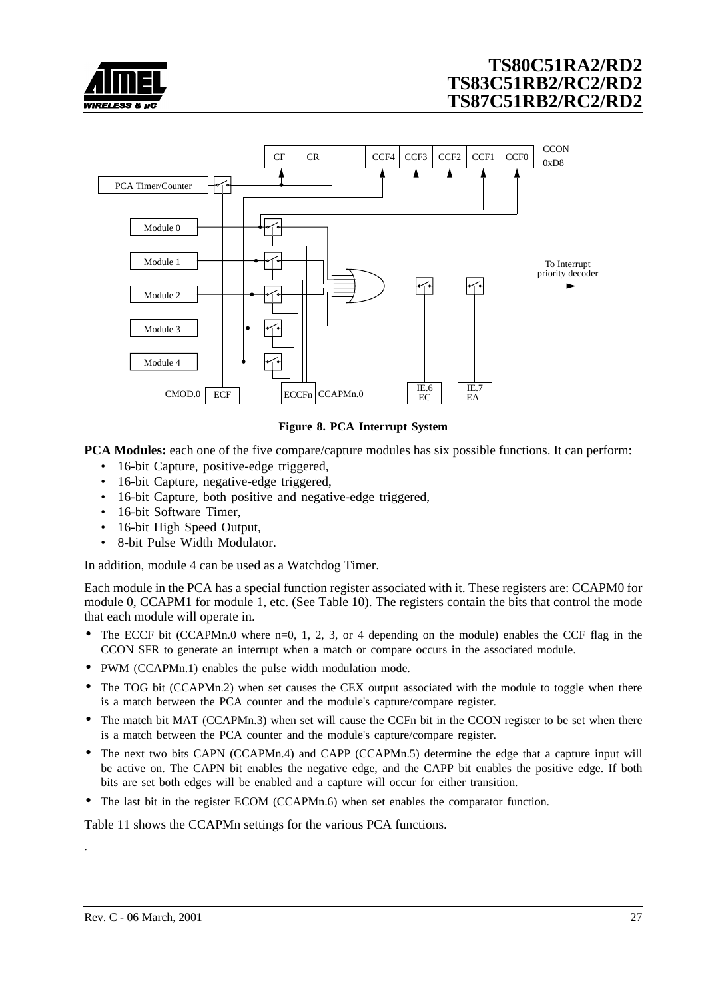<span id="page-26-0"></span>



#### **Figure 8. PCA Interrupt System**

**PCA Modules:** each one of the five compare/capture modules has six possible functions. It can perform:

- 16-bit Capture, positive-edge triggered,
- 16-bit Capture, negative-edge triggered,
- 16-bit Capture, both positive and negative-edge triggered,
- 16-bit Software Timer.
- 16-bit High Speed Output,
- 8-bit Pulse Width Modulator.

In addition, module 4 can be used as a Watchdog Timer.

Each module in the PCA has a special function register associated with it. These registers are: CCAPM0 for module 0, CCAPM1 for module 1, etc. (See [Table 10\)](#page-27-0). The registers contain the bits that control the mode that each module will operate in.

- The ECCF bit (CCAPMn.0 where  $n=0, 1, 2, 3$ , or 4 depending on the module) enables the CCF flag in the CCON SFR to generate an interrupt when a match or compare occurs in the associated module.
- PWM (CCAPMn.1) enables the pulse width modulation mode.
- The TOG bit (CCAPMn.2) when set causes the CEX output associated with the module to toggle when there is a match between the PCA counter and the module's capture/compare register.
- The match bit MAT (CCAPMn.3) when set will cause the CCFn bit in the CCON register to be set when there is a match between the PCA counter and the module's capture/compare register.
- The next two bits CAPN (CCAPMn.4) and CAPP (CCAPMn.5) determine the edge that a capture input will be active on. The CAPN bit enables the negative edge, and the CAPP bit enables the positive edge. If both bits are set both edges will be enabled and a capture will occur for either transition.
- The last bit in the register ECOM (CCAPMn.6) when set enables the comparator function.

[Table 11](#page-27-0) shows the CCAPMn settings for the various PCA functions.

.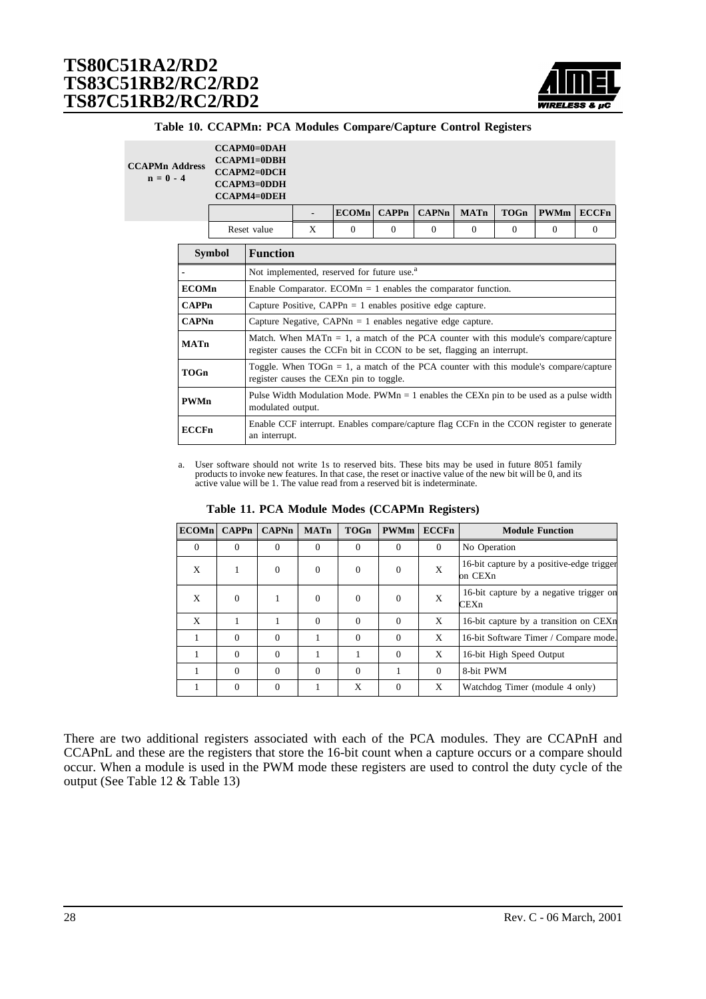

|  |  |  |  | Table 10. CCAPMn: PCA Modules Compare/Capture Control Registers |  |  |  |
|--|--|--|--|-----------------------------------------------------------------|--|--|--|
|--|--|--|--|-----------------------------------------------------------------|--|--|--|

<span id="page-27-0"></span>

| <b>CCAPMn Address</b><br>$n = 0 - 4$ |                                  |  | $CCAPM0=0DAH$<br>$CCAPM1 = 0DBH$<br><b>CCAPM2=0DCH</b><br><b>CCAPM3=0DDH</b><br><b>CCAPM4=0DEH</b> |                                                                                                                                                                  |          |              |                  |             |             |             |              |
|--------------------------------------|----------------------------------|--|----------------------------------------------------------------------------------------------------|------------------------------------------------------------------------------------------------------------------------------------------------------------------|----------|--------------|------------------|-------------|-------------|-------------|--------------|
|                                      |                                  |  |                                                                                                    | $\blacksquare$                                                                                                                                                   | ECOMn    | <b>CAPPn</b> | $\mathbf{CAPNn}$ | <b>MATn</b> | <b>TOGn</b> | <b>PWMm</b> | <b>ECCFn</b> |
|                                      |                                  |  | Reset value                                                                                        | X                                                                                                                                                                | $\Omega$ | $\Omega$     | $\Omega$         | $\Omega$    | $\Omega$    | $\Omega$    | $\mathbf{0}$ |
|                                      | <b>Function</b><br><b>Symbol</b> |  |                                                                                                    |                                                                                                                                                                  |          |              |                  |             |             |             |              |
|                                      |                                  |  | Not implemented, reserved for future use. <sup>a</sup>                                             |                                                                                                                                                                  |          |              |                  |             |             |             |              |
|                                      | <b>ECOMn</b>                     |  |                                                                                                    | Enable Comparator. ECOM $n = 1$ enables the comparator function.                                                                                                 |          |              |                  |             |             |             |              |
|                                      | <b>CAPPn</b>                     |  |                                                                                                    | Capture Positive, CAPP $n = 1$ enables positive edge capture.                                                                                                    |          |              |                  |             |             |             |              |
|                                      | <b>CAPNn</b>                     |  |                                                                                                    | Capture Negative, CAPN $n = 1$ enables negative edge capture.                                                                                                    |          |              |                  |             |             |             |              |
|                                      | <b>MATn</b>                      |  |                                                                                                    | Match. When $MATn = 1$ , a match of the PCA counter with this module's compare/capture<br>register causes the CCFn bit in CCON to be set, flagging an interrupt. |          |              |                  |             |             |             |              |
|                                      | <b>TOGn</b>                      |  |                                                                                                    | Toggle. When $TOGn = 1$ , a match of the PCA counter with this module's compare/capture<br>register causes the CEXn pin to toggle.                               |          |              |                  |             |             |             |              |
| <b>PWMn</b>                          |                                  |  |                                                                                                    | Pulse Width Modulation Mode. $PWMn = 1$ enables the CEXn pin to be used as a pulse width<br>modulated output.                                                    |          |              |                  |             |             |             |              |
|                                      | <b>ECCFn</b>                     |  |                                                                                                    | Enable CCF interrupt. Enables compare/capture flag CCFn in the CCON register to generate<br>an interrupt.                                                        |          |              |                  |             |             |             |              |

a. User software should not write 1s to reserved bits. These bits may be used in future 8051 family products to invoke new features. In that case, the reset or inactive value of the new bit will be 0, and its active value will be 1. The value read from a reserved bit is indeterminate.

| ECOMn    | <b>CAPPn</b> | <b>CAPNn</b> | <b>MATn</b> | <b>TOGn</b> | <b>PWMm</b> | <b>ECCFn</b> | <b>Module Function</b>                               |
|----------|--------------|--------------|-------------|-------------|-------------|--------------|------------------------------------------------------|
| $\Omega$ | $\Omega$     | $\Omega$     | $\Omega$    | $\Omega$    | $\Omega$    | $\Omega$     | No Operation                                         |
| X        |              | $\Omega$     | $\Omega$    | $\Omega$    | $\Omega$    | X            | 16-bit capture by a positive-edge trigger<br>on CEXn |
| X        | $\Omega$     |              | $\Omega$    | $\Omega$    | $\Omega$    | X            | 16-bit capture by a negative trigger on<br>CEXn      |
| X        |              |              | $\Omega$    | $\Omega$    | $\Omega$    | X            | 16-bit capture by a transition on CEXn               |
|          | $\Omega$     | $\Omega$     |             | $\Omega$    | $\Omega$    | X            | 16-bit Software Timer / Compare mode.                |
|          | $\Omega$     | $\Omega$     |             |             | $\Omega$    | X            | 16-bit High Speed Output                             |
|          | $\Omega$     | $\Omega$     | $\Omega$    | $\Omega$    |             | $\Omega$     | 8-bit PWM                                            |
|          | $\Omega$     | $\Omega$     |             | X           | $\Omega$    | X            | Watchdog Timer (module 4 only)                       |

**Table 11. PCA Module Modes (CCAPMn Registers)**

There are two additional registers associated with each of the PCA modules. They are CCAPnH and CCAPnL and these are the registers that store the 16-bit count when a capture occurs or a compare should occur. When a module is used in the PWM mode these registers are used to control the duty cycle of the output (See [Table 12 &](#page-28-0) [Table 13\)](#page-28-0)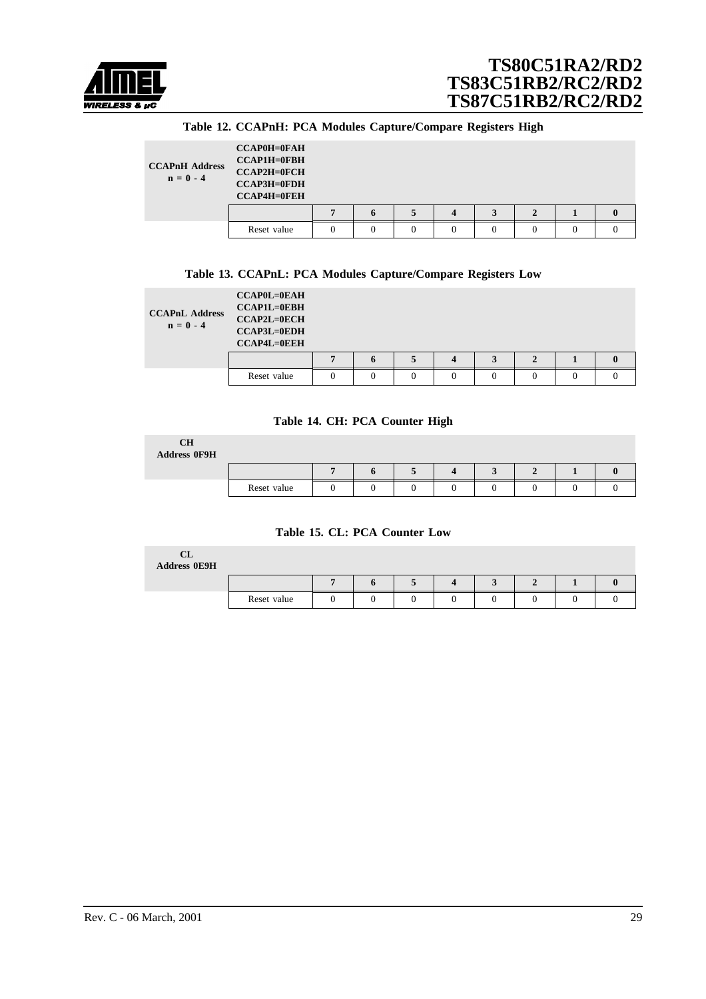<span id="page-28-0"></span>

|  |  | Table 12. CCAPnH: PCA Modules Capture/Compare Registers High |  |
|--|--|--------------------------------------------------------------|--|
|  |  |                                                              |  |

| <b>CCAPnH Address</b><br>$n = 0 - 4$ | <b>CCAP0H=0FAH</b><br><b>CCAP1H=0FBH</b><br><b>CCAP2H=0FCH</b><br><b>CCAP3H=0FDH</b><br><b>CCAP4H=0FEH</b> |   |  |  |  |
|--------------------------------------|------------------------------------------------------------------------------------------------------------|---|--|--|--|
|                                      |                                                                                                            | n |  |  |  |
|                                      | Reset value                                                                                                |   |  |  |  |

#### **Table 13. CCAPnL: PCA Modules Capture/Compare Registers Low**

| <b>CCAPnL Address</b><br>$n = 0 - 4$ | $CCAP0L=0EAH$<br><b>CCAP1L=0EBH</b><br><b>CCAP2L=0ECH</b><br><b>CCAP3L=0EDH</b><br><b>CCAP4L=0EEH</b> |   |   |   |          |   |          |  |
|--------------------------------------|-------------------------------------------------------------------------------------------------------|---|---|---|----------|---|----------|--|
|                                      |                                                                                                       |   | n | 5 | $\Delta$ | ◠ |          |  |
|                                      | Reset value                                                                                           | 0 | 0 |   |          |   | $\Omega$ |  |

#### **Table 14. CH: PCA Counter High**

| <b>CH</b><br>Address 0F9H |             |  |  |  |  |
|---------------------------|-------------|--|--|--|--|
|                           |             |  |  |  |  |
|                           | Reset value |  |  |  |  |

#### **Table 15. CL: PCA Counter Low**

| CL<br><b>Address 0E9H</b> |             |  |  |  |  |
|---------------------------|-------------|--|--|--|--|
|                           |             |  |  |  |  |
|                           | Reset value |  |  |  |  |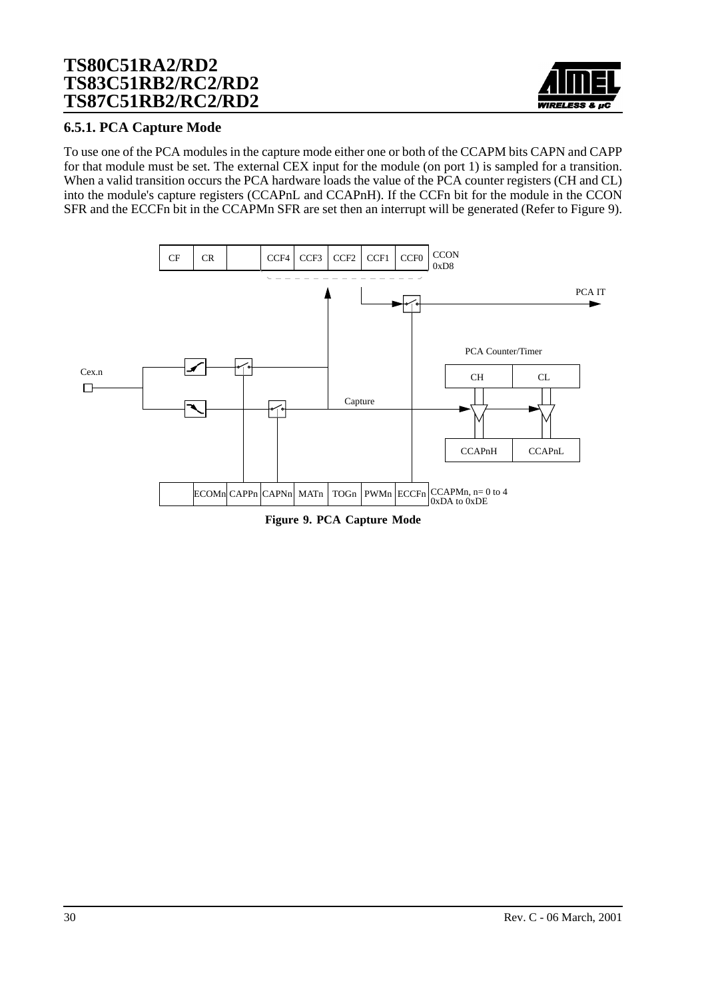

### **6.5.1. PCA Capture Mode**

To use one of the PCA modules in the capture mode either one or both of the CCAPM bits CAPN and CAPP for that module must be set. The external CEX input for the module (on port 1) is sampled for a transition. When a valid transition occurs the PCA hardware loads the value of the PCA counter registers (CH and CL) into the module's capture registers (CCAPnL and CCAPnH). If the CCFn bit for the module in the CCON SFR and the ECCFn bit in the CCAPMn SFR are set then an interrupt will be generated (Refer to Figure 9).



**Figure 9. PCA Capture Mode**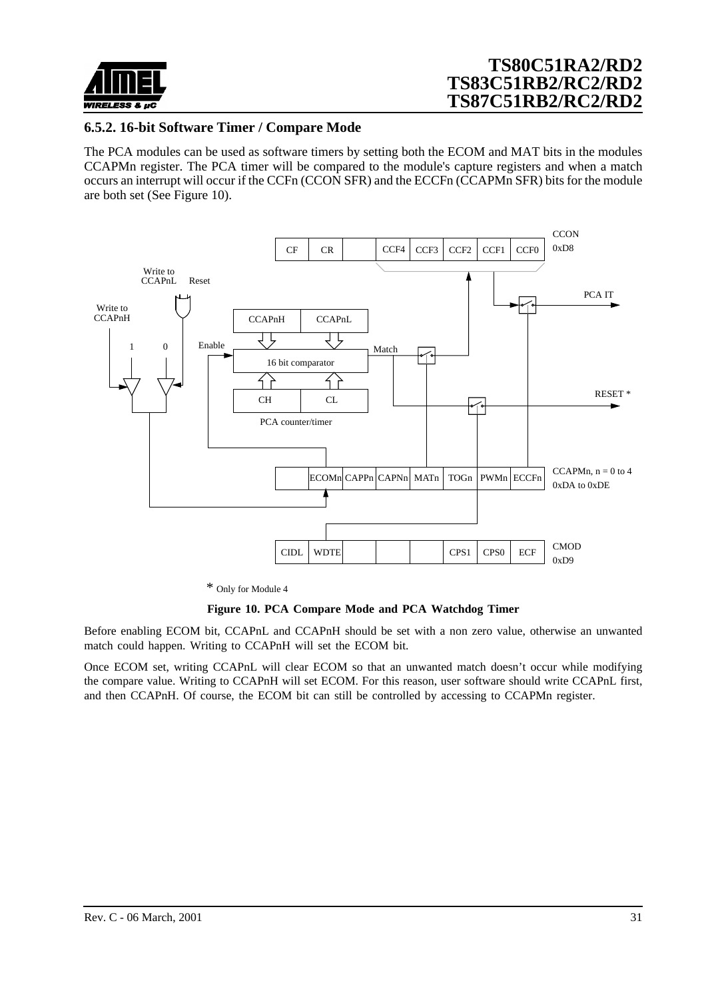<span id="page-30-0"></span>

### **6.5.2. 16-bit Software Timer / Compare Mode**

The PCA modules can be used as software timers by setting both the ECOM and MAT bits in the modules CCAPMn register. The PCA timer will be compared to the module's capture registers and when a match occurs an interrupt will occur if the CCFn (CCON SFR) and the ECCFn (CCAPMn SFR) bits for the module are both set (See Figure 10).



*\** Only for Module 4

#### **Figure 10. PCA Compare Mode and PCA Watchdog Timer**

Before enabling ECOM bit, CCAPnL and CCAPnH should be set with a non zero value, otherwise an unwanted match could happen. Writing to CCAPnH will set the ECOM bit.

Once ECOM set, writing CCAPnL will clear ECOM so that an unwanted match doesn't occur while modifying the compare value. Writing to CCAPnH will set ECOM. For this reason, user software should write CCAPnL first, and then CCAPnH. Of course, the ECOM bit can still be controlled by accessing to CCAPMn register.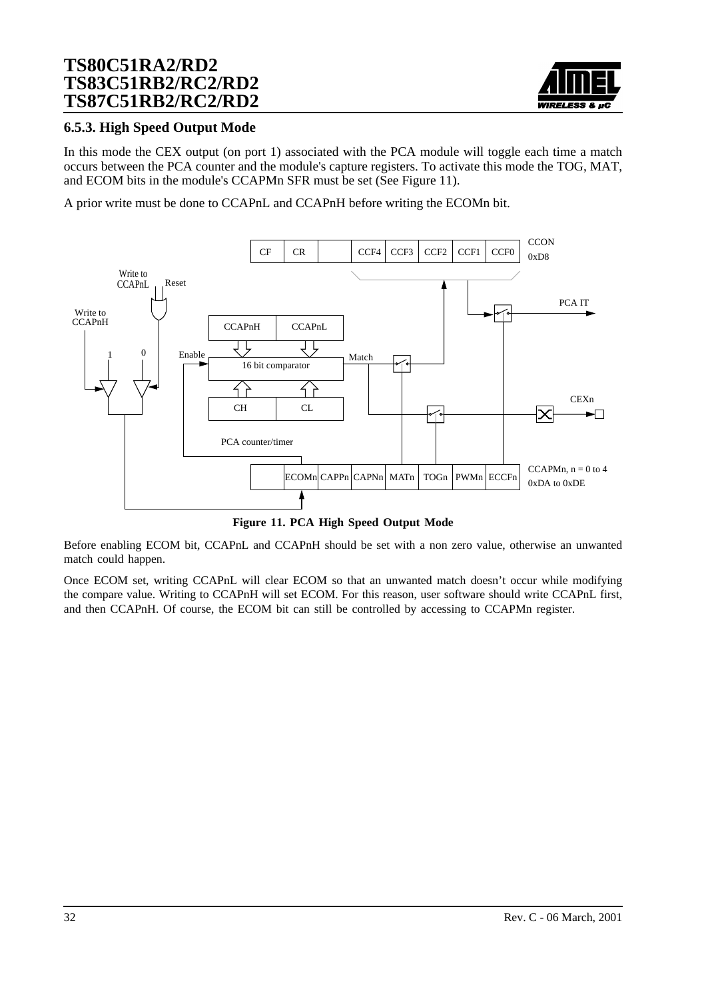

### **6.5.3. High Speed Output Mode**

In this mode the CEX output (on port 1) associated with the PCA module will toggle each time a match occurs between the PCA counter and the module's capture registers. To activate this mode the TOG, MAT, and ECOM bits in the module's CCAPMn SFR must be set (See Figure 11).

A prior write must be done to CCAPnL and CCAPnH before writing the ECOMn bit.



**Figure 11. PCA High Speed Output Mode**

Before enabling ECOM bit, CCAPnL and CCAPnH should be set with a non zero value, otherwise an unwanted match could happen.

Once ECOM set, writing CCAPnL will clear ECOM so that an unwanted match doesn't occur while modifying the compare value. Writing to CCAPnH will set ECOM. For this reason, user software should write CCAPnL first, and then CCAPnH. Of course, the ECOM bit can still be controlled by accessing to CCAPMn register.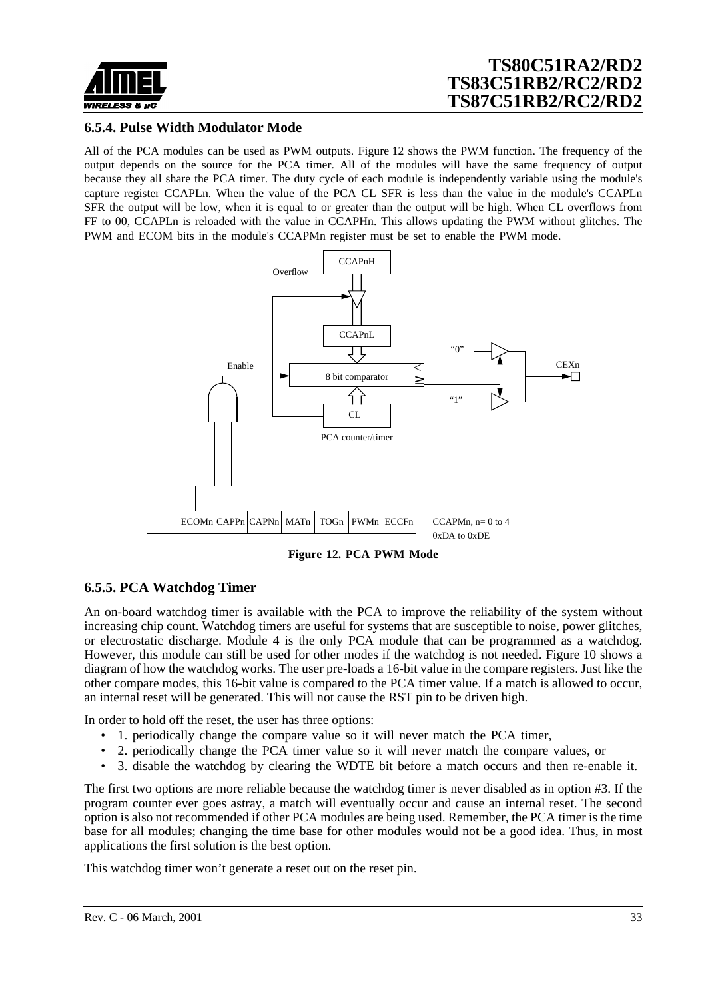<span id="page-32-0"></span>

### **6.5.4. Pulse Width Modulator Mode**

All of the PCA modules can be used as PWM outputs. Figure 12 shows the PWM function. The frequency of the output depends on the source for the PCA timer. All of the modules will have the same frequency of output because they all share the PCA timer. The duty cycle of each module is independently variable using the module's capture register CCAPLn. When the value of the PCA CL SFR is less than the value in the module's CCAPLn SFR the output will be low, when it is equal to or greater than the output will be high. When CL overflows from FF to 00, CCAPLn is reloaded with the value in CCAPHn. This allows updating the PWM without glitches. The PWM and ECOM bits in the module's CCAPMn register must be set to enable the PWM mode.



**Figure 12. PCA PWM Mode**

### **6.5.5. PCA Watchdog Timer**

An on-board watchdog timer is available with the PCA to improve the reliability of the system without increasing chip count. Watchdog timers are useful for systems that are susceptible to noise, power glitches, or electrostatic discharge. Module 4 is the only PCA module that can be programmed as a watchdog. However, this module can still be used for other modes if the watchdog is not needed. [Figure 10](#page-30-0) shows a diagram of how the watchdog works. The user pre-loads a 16-bit value in the compare registers. Just like the other compare modes, this 16-bit value is compared to the PCA timer value. If a match is allowed to occur, an internal reset will be generated. This will not cause the RST pin to be driven high.

In order to hold off the reset, the user has three options:

- 1. periodically change the compare value so it will never match the PCA timer,
- 2. periodically change the PCA timer value so it will never match the compare values, or
- 3. disable the watchdog by clearing the WDTE bit before a match occurs and then re-enable it.

The first two options are more reliable because the watchdog timer is never disabled as in option #3. If the program counter ever goes astray, a match will eventually occur and cause an internal reset. The second option is also not recommended if other PCA modules are being used. Remember, the PCA timer is the time base for all modules; changing the time base for other modules would not be a good idea. Thus, in most applications the first solution is the best option.

This watchdog timer won't generate a reset out on the reset pin.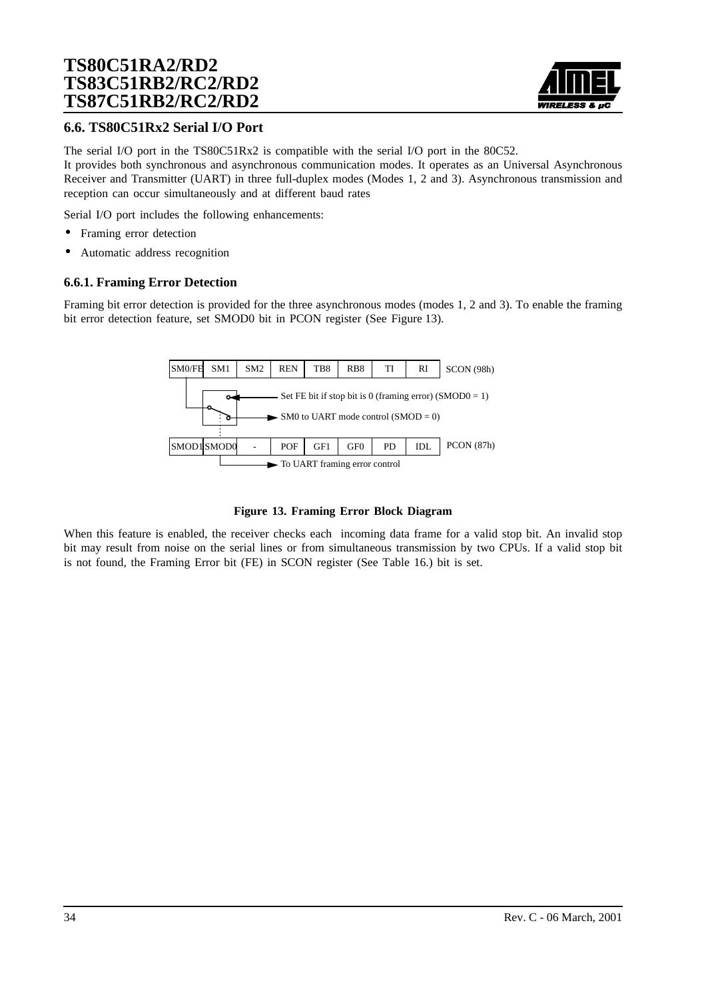

### **6.6. TS80C51Rx2 Serial I/O Port**

The serial I/O port in the TS80C51Rx2 is compatible with the serial I/O port in the 80C52. It provides both synchronous and asynchronous communication modes. It operates as an Universal Asynchronous Receiver and Transmitter (UART) in three full-duplex modes (Modes 1, 2 and 3). Asynchronous transmission and reception can occur simultaneously and at different baud rates

Serial I/O port includes the following enhancements:

- Framing error detection
- Automatic address recognition

#### **6.6.1. Framing Error Detection**

Framing bit error detection is provided for the three asynchronous modes (modes 1, 2 and 3). To enable the framing bit error detection feature, set SMOD0 bit in PCON register (See Figure 13).



#### **Figure 13. Framing Error Block Diagram**

When this feature is enabled, the receiver checks each incoming data frame for a valid stop bit. An invalid stop bit may result from noise on the serial lines or from simultaneous transmission by two CPUs. If a valid stop bit is not found, the Framing Error bit (FE) in SCON register (See [Table 16.](#page-37-0)) bit is set.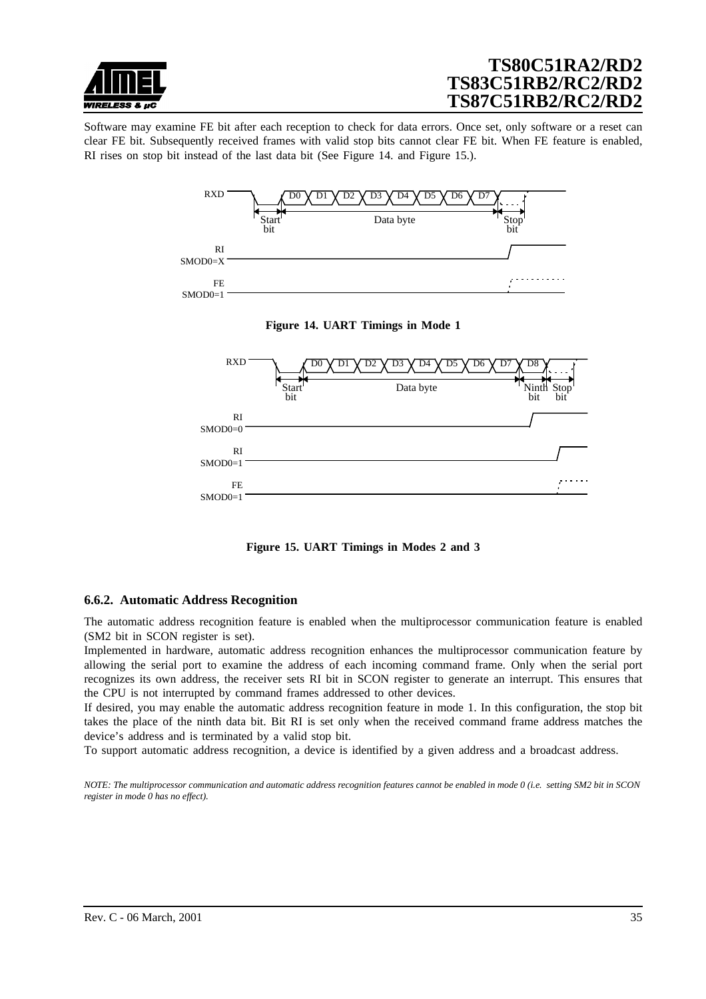

Software may examine FE bit after each reception to check for data errors. Once set, only software or a reset can clear FE bit. Subsequently received frames with valid stop bits cannot clear FE bit. When FE feature is enabled, RI rises on stop bit instead of the last data bit (See Figure 14. and Figure 15.).







**Figure 15. UART Timings in Modes 2 and 3**

#### **6.6.2. Automatic Address Recognition**

The automatic address recognition feature is enabled when the multiprocessor communication feature is enabled (SM2 bit in SCON register is set).

Implemented in hardware, automatic address recognition enhances the multiprocessor communication feature by allowing the serial port to examine the address of each incoming command frame. Only when the serial port recognizes its own address, the receiver sets RI bit in SCON register to generate an interrupt. This ensures that the CPU is not interrupted by command frames addressed to other devices.

If desired, you may enable the automatic address recognition feature in mode 1. In this configuration, the stop bit takes the place of the ninth data bit. Bit RI is set only when the received command frame address matches the device's address and is terminated by a valid stop bit.

To support automatic address recognition, a device is identified by a given address and a broadcast address.

*NOTE: The multiprocessor communication and automatic address recognition features cannot be enabled in mode 0 (i.e. setting SM2 bit in SCON register in mode 0 has no effect).*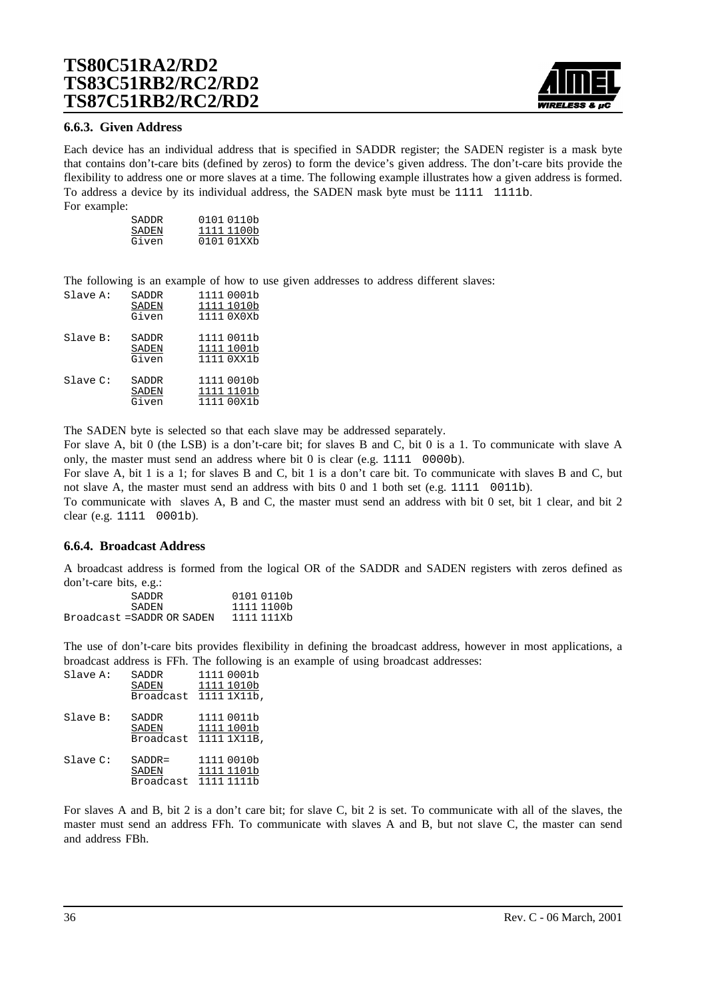

#### **6.6.3. Given Address**

Each device has an individual address that is specified in SADDR register; the SADEN register is a mask byte that contains don't-care bits (defined by zeros) to form the device's given address. The don't-care bits provide the flexibility to address one or more slaves at a time. The following example illustrates how a given address is formed. To address a device by its individual address, the SADEN mask byte must be 1111 1111b. For example:

| SADDR | 0101 0110b |
|-------|------------|
| SADEN | 1111 1100b |
| Given | 0101 01xxb |

The following is an example of how to use given addresses to address different slaves:

| Slave A:    | SADDR<br>SADEN<br>Given | 1111 0001b<br>1111 1010b<br>1111 0X0Xb |
|-------------|-------------------------|----------------------------------------|
| Slave B:    | SADDR<br>SADEN<br>Given | 1111 0011b<br>1111 1001b<br>1111 0XX1b |
| $Slave C$ : | SADDR<br>SADEN<br>Given | 1111 0010b<br>1111 1101b<br>1111 00X1b |

The SADEN byte is selected so that each slave may be addressed separately.

For slave A, bit 0 (the LSB) is a don't-care bit; for slaves B and C, bit 0 is a 1. To communicate with slave A only, the master must send an address where bit 0 is clear (e.g. 1111 0000b).

For slave A, bit 1 is a 1; for slaves B and C, bit 1 is a don't care bit. To communicate with slaves B and C, but not slave A, the master must send an address with bits 0 and 1 both set (e.g. 1111 0011b).

To communicate with slaves A, B and C, the master must send an address with bit 0 set, bit 1 clear, and bit 2 clear (e.g. 1111 0001b).

#### **6.6.4. Broadcast Address**

A broadcast address is formed from the logical OR of the SADDR and SADEN registers with zeros defined as don't-care bits, e.g.:

| 0101 0110b |
|------------|
| 1111 1100b |
| 1111 111Xb |
|            |

The use of don't-care bits provides flexibility in defining the broadcast address, however in most applications, a broadcast address is FFh. The following is an example of using broadcast addresses:

| Slave A: | SADDR<br>SADEN<br><b>Broadcast</b> | 1111 0001b<br>1111 1010b<br>1111 1X11b, |
|----------|------------------------------------|-----------------------------------------|
| Slave B: | SADDR<br>SADEN<br>Broadcast        | 1111 0011b<br>1111 1001b<br>1111 1X11B, |
| Slave C: | $SADDR =$<br>SADEN<br>Broadcast    | 1111 0010b<br>1111 1101b<br>1111 1111b  |

For slaves A and B, bit 2 is a don't care bit; for slave C, bit 2 is set. To communicate with all of the slaves, the master must send an address FFh. To communicate with slaves A and B, but not slave C, the master can send and address FBh.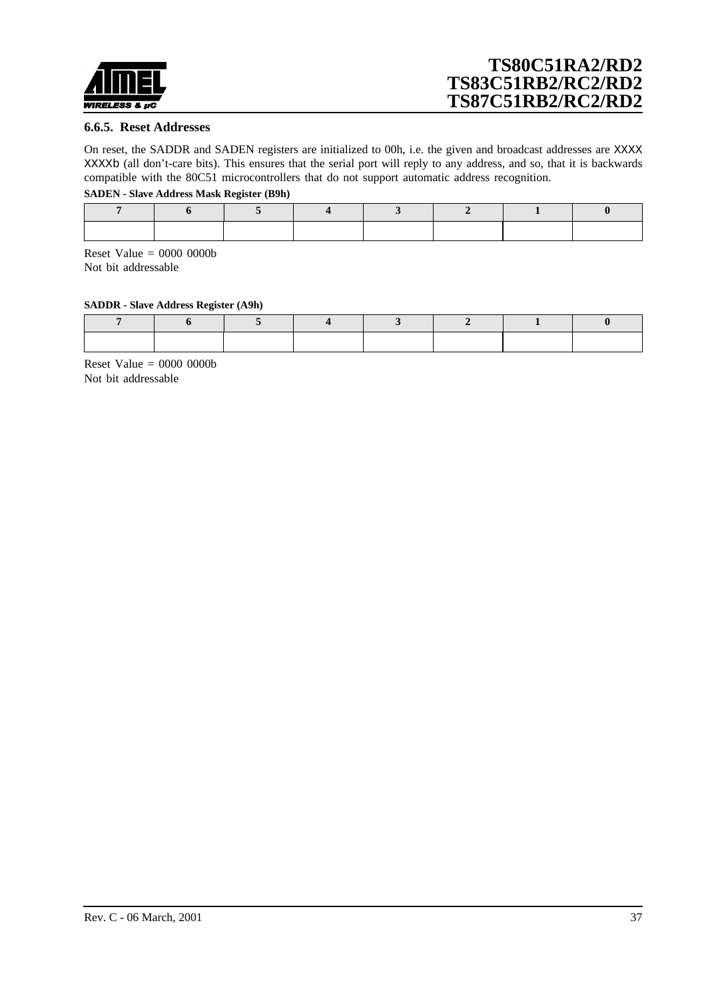

#### **6.6.5. Reset Addresses**

On reset, the SADDR and SADEN registers are initialized to 00h, i.e. the given and broadcast addresses are XXXX XXXXb (all don't-care bits). This ensures that the serial port will reply to any address, and so, that it is backwards compatible with the 80C51 microcontrollers that do not support automatic address recognition.

#### **SADEN - Slave Address Mask Register (B9h)**

Reset Value  $= 0000 0000$ Not bit addressable

#### **SADDR - Slave Address Register (A9h)**

Reset Value  $= 0000 0000$ Not bit addressable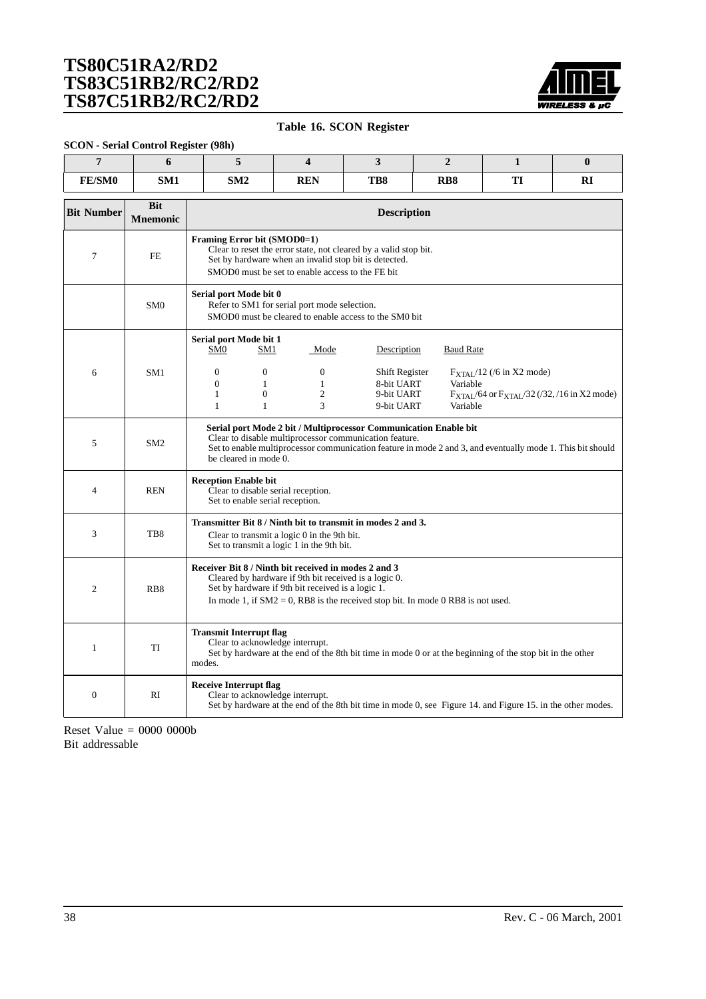

### **Table 16. SCON Register**

#### **SCON - Serial Control Register (98h)**

| $\overline{7}$    | 6                             | 5                                                                                                                        | $\overline{\mathbf{4}}$                                                                                                                                                                                                                                           | 3                                                        | $\overline{2}$       | $\mathbf{1}$                                                                                               | $\bf{0}$ |  |  |  |  |
|-------------------|-------------------------------|--------------------------------------------------------------------------------------------------------------------------|-------------------------------------------------------------------------------------------------------------------------------------------------------------------------------------------------------------------------------------------------------------------|----------------------------------------------------------|----------------------|------------------------------------------------------------------------------------------------------------|----------|--|--|--|--|
| <b>FE/SM0</b>     | SM <sub>1</sub>               | SM2                                                                                                                      | <b>REN</b>                                                                                                                                                                                                                                                        | TB8                                                      | R <sub>B</sub> 8     | TI                                                                                                         | RI       |  |  |  |  |
| <b>Bit Number</b> | <b>Bit</b><br><b>Mnemonic</b> |                                                                                                                          | <b>Description</b>                                                                                                                                                                                                                                                |                                                          |                      |                                                                                                            |          |  |  |  |  |
| $\overline{7}$    | <b>FE</b>                     | Framing Error bit (SMOD0=1)                                                                                              | Clear to reset the error state, not cleared by a valid stop bit.<br>Set by hardware when an invalid stop bit is detected.<br>SMOD0 must be set to enable access to the FE bit                                                                                     |                                                          |                      |                                                                                                            |          |  |  |  |  |
|                   | SM <sub>0</sub>               |                                                                                                                          | Serial port Mode bit 0<br>Refer to SM1 for serial port mode selection.<br>SMOD0 must be cleared to enable access to the SM0 bit                                                                                                                                   |                                                          |                      |                                                                                                            |          |  |  |  |  |
|                   |                               | Serial port Mode bit 1<br>SM <sub>0</sub><br>SM1                                                                         | Mode                                                                                                                                                                                                                                                              | Description                                              | <b>Baud Rate</b>     |                                                                                                            |          |  |  |  |  |
| 6                 | SM <sub>1</sub>               | $\Omega$<br>$\Omega$<br>$\overline{0}$<br>$\mathbf{1}$<br>$\mathbf{1}$<br>$\overline{0}$<br>$\mathbf{1}$<br>$\mathbf{1}$ | $\overline{0}$<br>$\mathbf{1}$<br>$\overline{c}$<br>3                                                                                                                                                                                                             | Shift Register<br>8-bit UART<br>9-bit UART<br>9-bit UART | Variable<br>Variable | $F_{\text{XTAL}}/12$ (/6 in X2 mode)<br>$F_{\text{XTAL}}/64$ or $F_{\text{XTAL}}/32$ (/32, /16 in X2 mode) |          |  |  |  |  |
| 5                 | SM <sub>2</sub>               |                                                                                                                          | Serial port Mode 2 bit / Multiprocessor Communication Enable bit<br>Clear to disable multiprocessor communication feature.<br>Set to enable multiprocessor communication feature in mode 2 and 3, and eventually mode 1. This bit should<br>be cleared in mode 0. |                                                          |                      |                                                                                                            |          |  |  |  |  |
| $\overline{4}$    | <b>REN</b>                    | <b>Reception Enable bit</b><br>Set to enable serial reception.                                                           | Clear to disable serial reception.                                                                                                                                                                                                                                |                                                          |                      |                                                                                                            |          |  |  |  |  |
| 3                 | TB8                           | Transmitter Bit 8 / Ninth bit to transmit in modes 2 and 3.                                                              | Clear to transmit a logic 0 in the 9th bit.<br>Set to transmit a logic 1 in the 9th bit.                                                                                                                                                                          |                                                          |                      |                                                                                                            |          |  |  |  |  |
| $\overline{2}$    | R <sub>B</sub> 8              | Receiver Bit 8 / Ninth bit received in modes 2 and 3                                                                     | Cleared by hardware if 9th bit received is a logic 0.<br>Set by hardware if 9th bit received is a logic 1.<br>In mode 1, if $SM2 = 0$ , RB8 is the received stop bit. In mode 0 RB8 is not used.                                                                  |                                                          |                      |                                                                                                            |          |  |  |  |  |
| $\mathbf{1}$      | TI                            | modes.                                                                                                                   | <b>Transmit Interrupt flag</b><br>Clear to acknowledge interrupt.<br>Set by hardware at the end of the 8th bit time in mode 0 or at the beginning of the stop bit in the other                                                                                    |                                                          |                      |                                                                                                            |          |  |  |  |  |
| $\boldsymbol{0}$  | RI                            | <b>Receive Interrupt flag</b><br>Clear to acknowledge interrupt.                                                         | Set by hardware at the end of the 8th bit time in mode 0, see Figure 14. and Figure 15. in the other modes.                                                                                                                                                       |                                                          |                      |                                                                                                            |          |  |  |  |  |

Reset Value = 0000 0000b Bit addressable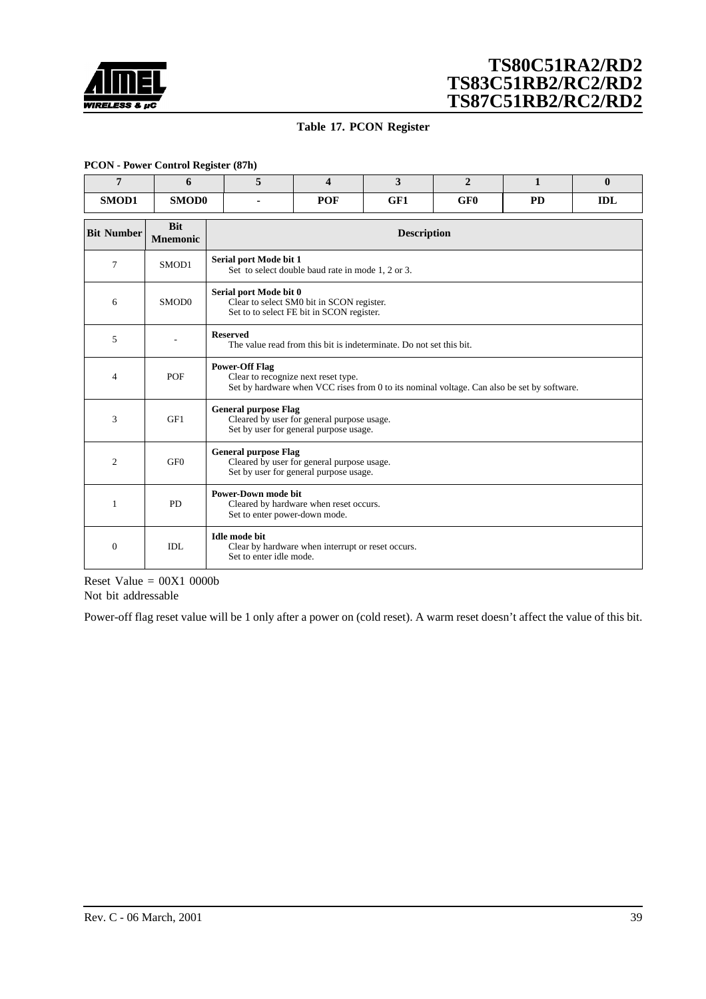<span id="page-38-0"></span>

### **Table 17. PCON Register**

#### **PCON - Power Control Register (87h)**

| $\overline{7}$    | 6                             | 5                           | 3<br>$\overline{2}$<br>$\mathbf{1}$<br>4                                                                                          |     |                 |           |            |  |  |
|-------------------|-------------------------------|-----------------------------|-----------------------------------------------------------------------------------------------------------------------------------|-----|-----------------|-----------|------------|--|--|
| SMOD1             | SMOD0                         |                             | POF                                                                                                                               | GF1 | GF <sub>0</sub> | <b>PD</b> | <b>IDL</b> |  |  |
| <b>Bit Number</b> | <b>Bit</b><br><b>Mnemonic</b> |                             | <b>Description</b>                                                                                                                |     |                 |           |            |  |  |
| 7                 | SMOD1                         | Serial port Mode bit 1      | Set to select double baud rate in mode 1, 2 or 3.                                                                                 |     |                 |           |            |  |  |
| 6                 | SMO <sub>D</sub> <sub>0</sub> |                             | Serial port Mode bit 0<br>Clear to select SM0 bit in SCON register.<br>Set to to select FE bit in SCON register.                  |     |                 |           |            |  |  |
| 5                 |                               | <b>Reserved</b>             | The value read from this bit is indeterminate. Do not set this bit.                                                               |     |                 |           |            |  |  |
| 4                 | <b>POF</b>                    | <b>Power-Off Flag</b>       | Clear to recognize next reset type.<br>Set by hardware when VCC rises from 0 to its nominal voltage. Can also be set by software. |     |                 |           |            |  |  |
| 3                 | GF1                           | <b>General purpose Flag</b> | Cleared by user for general purpose usage.<br>Set by user for general purpose usage.                                              |     |                 |           |            |  |  |
| 2                 | GF <sub>0</sub>               |                             | <b>General purpose Flag</b><br>Cleared by user for general purpose usage.<br>Set by user for general purpose usage.               |     |                 |           |            |  |  |
| 1                 | <b>PD</b>                     |                             | <b>Power-Down mode bit</b><br>Cleared by hardware when reset occurs.<br>Set to enter power-down mode.                             |     |                 |           |            |  |  |
| $\theta$          | IDL                           | <b>Idle</b> mode bit        | Clear by hardware when interrupt or reset occurs.<br>Set to enter idle mode.                                                      |     |                 |           |            |  |  |

Reset Value  $= 00X1 0000b$ Not bit addressable

Power-off flag reset value will be 1 only after a power on (cold reset). A warm reset doesn't affect the value of this bit.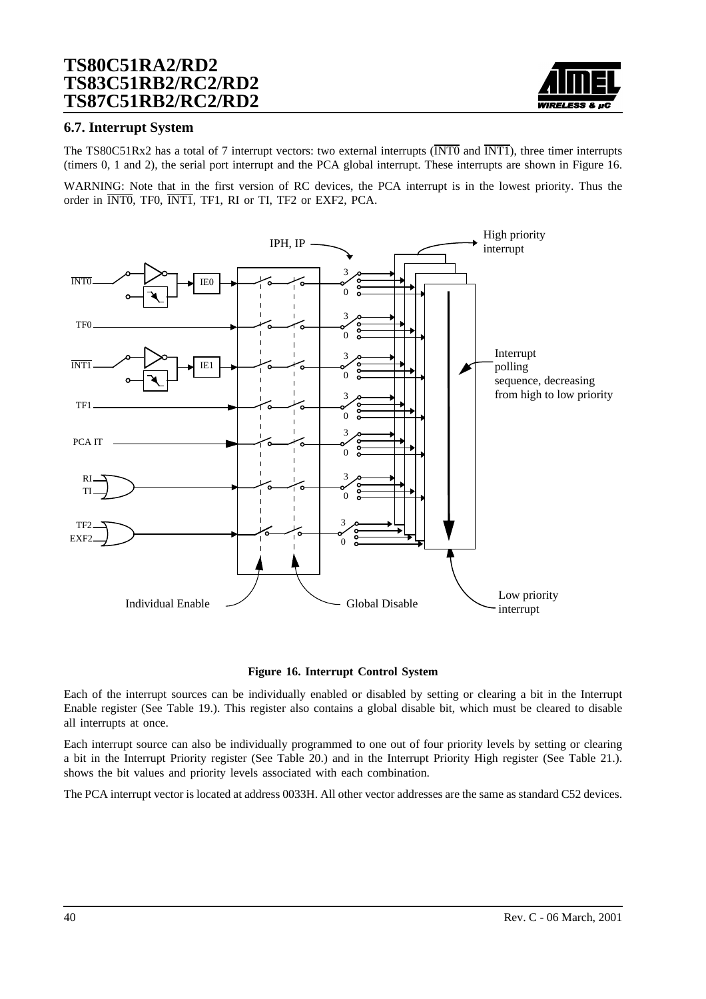

### **6.7. Interrupt System**

The TS80C51Rx2 has a total of 7 interrupt vectors: two external interrupts ( $\overline{\text{INT0}}$  and  $\overline{\text{INT1}}$ ), three timer interrupts (timers 0, 1 and 2), the serial port interrupt and the PCA global interrupt. These interrupts are shown in Figure 16.

WARNING: Note that in the first version of RC devices, the PCA interrupt is in the lowest priority. Thus the order in INT0, TF0, INT1, TF1, RI or TI, TF2 or EXF2, PCA.



#### **Figure 16. Interrupt Control System**

Each of the interrupt sources can be individually enabled or disabled by setting or clearing a bit in the Interrupt Enable register (See [Table 19.\)](#page-40-0). This register also contains a global disable bit, which must be cleared to disable all interrupts at once.

Each interrupt source can also be individually programmed to one out of four priority levels by setting or clearing a bit in the Interrupt Priority register (See [Table 20.\)](#page-41-0) and in the Interrupt Priority High register (See [Table 21.\)](#page-42-0)[.](#page-40-0) shows the bit values and priority levels associated with each combination.

The PCA interrupt vector is located at address 0033H. All other vector addresses are the same as standard C52 devices.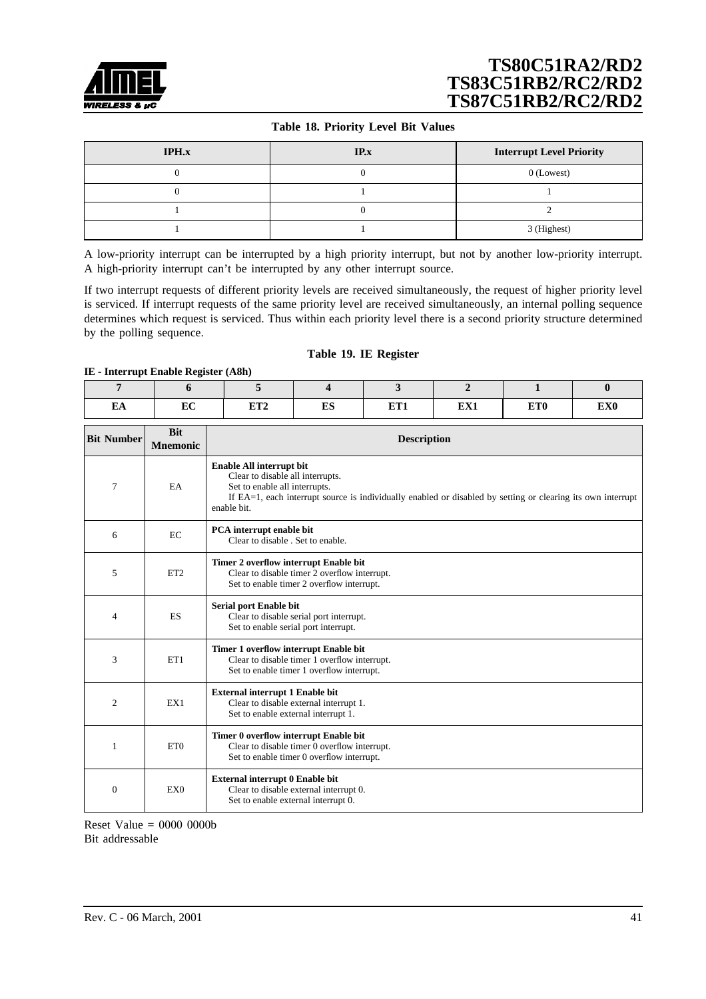<span id="page-40-0"></span>

#### **Table 18. Priority Level Bit Values**

| IPH.x | IP.x | <b>Interrupt Level Priority</b> |
|-------|------|---------------------------------|
|       |      | $0$ (Lowest)                    |
|       |      |                                 |
|       |      |                                 |
|       |      | 3 (Highest)                     |

A low-priority interrupt can be interrupted by a high priority interrupt, but not by another low-priority interrupt. A high-priority interrupt can't be interrupted by any other interrupt source.

If two interrupt requests of different priority levels are received simultaneously, the request of higher priority level is serviced. If interrupt requests of the same priority level are received simultaneously, an internal polling sequence determines which request is serviced. Thus within each priority level there is a second priority structure determined by the polling sequence.

#### **Table 19. IE Register**

#### **IE - Interrupt Enable Register (A8h)**

| ĽА | $E\sim$<br>ĿU | <b>TIMA</b> | mс<br>பல | <b>TREPA</b> | <b>TIXZ4</b> | ET <sub>0</sub> | <b>TIXZA</b><br><b>LAU</b> |
|----|---------------|-------------|----------|--------------|--------------|-----------------|----------------------------|

| <b>Bit Number</b> | <b>Bit</b><br><b>Mnemonic</b> | <b>Description</b>                                                                                                                                                                                                          |
|-------------------|-------------------------------|-----------------------------------------------------------------------------------------------------------------------------------------------------------------------------------------------------------------------------|
| 7                 | EA                            | Enable All interrupt bit<br>Clear to disable all interrupts.<br>Set to enable all interrupts.<br>If EA=1, each interrupt source is individually enabled or disabled by setting or clearing its own interrupt<br>enable bit. |
| 6                 | EC                            | PCA interrupt enable bit<br>Clear to disable . Set to enable.                                                                                                                                                               |
| 5                 | ET <sub>2</sub>               | Timer 2 overflow interrupt Enable bit<br>Clear to disable timer 2 overflow interrupt.<br>Set to enable timer 2 overflow interrupt.                                                                                          |
| 4                 | <b>ES</b>                     | Serial port Enable bit<br>Clear to disable serial port interrupt.<br>Set to enable serial port interrupt.                                                                                                                   |
| 3                 | ET1                           | Timer 1 overflow interrupt Enable bit<br>Clear to disable timer 1 overflow interrupt.<br>Set to enable timer 1 overflow interrupt.                                                                                          |
| $\overline{c}$    | EX1                           | <b>External interrupt 1 Enable bit</b><br>Clear to disable external interrupt 1.<br>Set to enable external interrupt 1.                                                                                                     |
| 1                 | ET <sub>0</sub>               | Timer 0 overflow interrupt Enable bit<br>Clear to disable timer 0 overflow interrupt.<br>Set to enable timer 0 overflow interrupt.                                                                                          |
| $\theta$          | EX <sub>0</sub>               | External interrupt 0 Enable bit<br>Clear to disable external interrupt 0.<br>Set to enable external interrupt 0.                                                                                                            |

Reset Value = 0000 0000b Bit addressable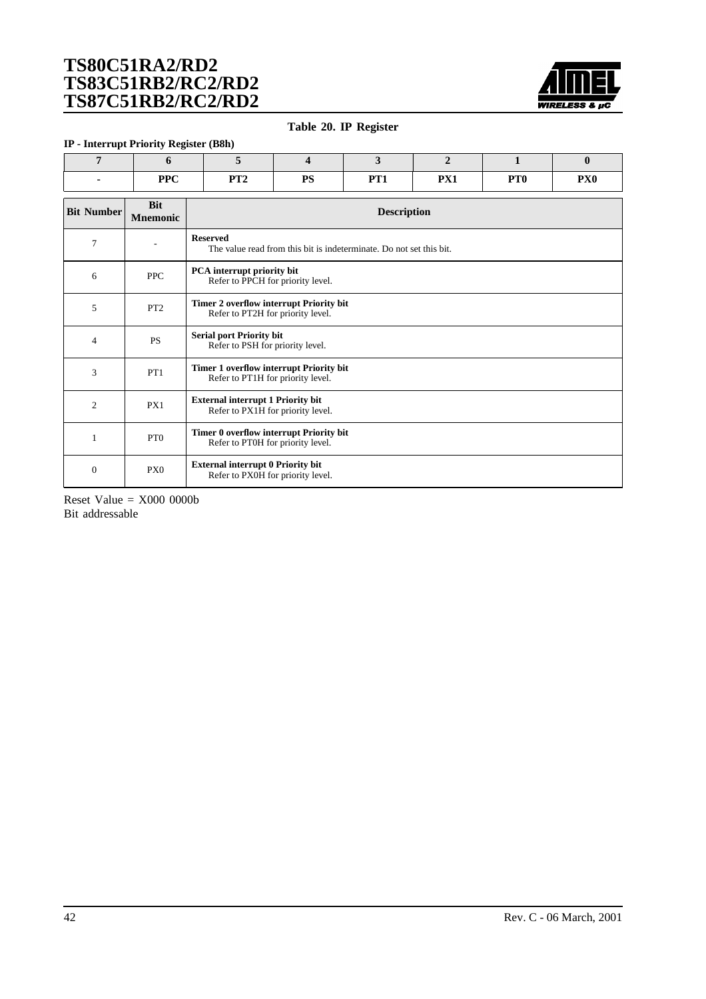

#### **Table 20. IP Register**

#### <span id="page-41-0"></span>**IP - Interrupt Priority Register (B8h)**

| DDC<br>11 U | <b>DIDA</b><br> | DC<br>ΙIJ | DOM:<br>. | $\mathbf{nv}_1$<br>T VIT | PT <sub>0</sub> | PX <sub>0</sub> |
|-------------|-----------------|-----------|-----------|--------------------------|-----------------|-----------------|

| <b>Bit Number</b> | <b>Bit</b><br><b>Mnemonic</b> | <b>Description</b>                                                                     |
|-------------------|-------------------------------|----------------------------------------------------------------------------------------|
| 7                 | $\qquad \qquad \blacksquare$  | <b>Reserved</b><br>The value read from this bit is indeterminate. Do not set this bit. |
| 6                 | <b>PPC</b>                    | PCA interrupt priority bit<br>Refer to PPCH for priority level.                        |
| 5                 | PT <sub>2</sub>               | Timer 2 overflow interrupt Priority bit<br>Refer to PT2H for priority level.           |
| 4                 | <b>PS</b>                     | <b>Serial port Priority bit</b><br>Refer to PSH for priority level.                    |
| 3                 | PT1                           | Timer 1 overflow interrupt Priority bit<br>Refer to PT1H for priority level.           |
| $\overline{c}$    | PX1                           | <b>External interrupt 1 Priority bit</b><br>Refer to PX1H for priority level.          |
| $\mathbf{1}$      | PT <sub>0</sub>               | Timer 0 overflow interrupt Priority bit<br>Refer to PT0H for priority level.           |
| $\Omega$          | PX <sub>0</sub>               | <b>External interrupt 0 Priority bit</b><br>Refer to PX0H for priority level.          |

Reset Value  $=$  X000 0000b Bit addressable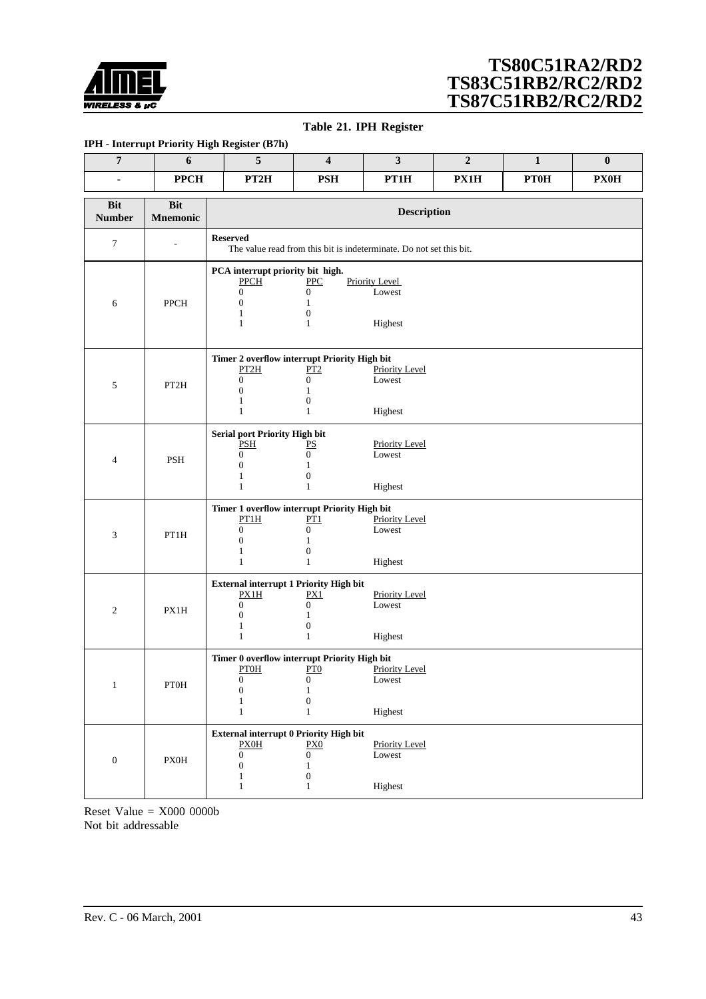<span id="page-42-0"></span>

#### **Table 21. IPH Register**

#### **IPH - Interrupt Priority High Register (B7h)**

| $\overline{7}$              | 6                             | $\overline{5}$                                                                                                                | 4                                                                           | $\mathbf{3}$                               | $\boldsymbol{2}$ | $\mathbf{1}$ | $\bf{0}$    |  |  |  |
|-----------------------------|-------------------------------|-------------------------------------------------------------------------------------------------------------------------------|-----------------------------------------------------------------------------|--------------------------------------------|------------------|--------------|-------------|--|--|--|
|                             | <b>PPCH</b>                   | PT <sub>2</sub> H                                                                                                             | <b>PSH</b>                                                                  | PT1H                                       | PX1H             | <b>PT0H</b>  | <b>PX0H</b> |  |  |  |
| <b>Bit</b><br><b>Number</b> | <b>Bit</b><br><b>Mnemonic</b> |                                                                                                                               | <b>Description</b>                                                          |                                            |                  |              |             |  |  |  |
| 7                           |                               | <b>Reserved</b>                                                                                                               | The value read from this bit is indeterminate. Do not set this bit.         |                                            |                  |              |             |  |  |  |
| 6                           | <b>PPCH</b>                   | PCA interrupt priority bit high.<br><b>PPCH</b><br>$\boldsymbol{0}$<br>$\mathbf{0}$<br>1<br>1                                 | PPC<br>0<br>1<br>$\boldsymbol{0}$<br>$\mathbf{1}$                           | <b>Priority Level</b><br>Lowest<br>Highest |                  |              |             |  |  |  |
| 5                           | PT2H                          | Timer 2 overflow interrupt Priority High bit<br>PT2H<br>$\boldsymbol{0}$<br>$\mathbf{0}$<br>1<br>1                            | PT2<br>$\boldsymbol{0}$<br>$\mathbf{1}$<br>$\boldsymbol{0}$<br>$\mathbf{1}$ | Priority Level<br>Lowest<br>Highest        |                  |              |             |  |  |  |
| 4                           | <b>PSH</b>                    | Serial port Priority High bit<br>PSH<br>$\boldsymbol{0}$<br>$\mathbf{0}$<br>1<br>1                                            | PS<br>$\mathbf{0}$<br>1<br>$\boldsymbol{0}$<br>$\mathbf{1}$                 | <b>Priority Level</b><br>Lowest<br>Highest |                  |              |             |  |  |  |
| 3                           | PT1H                          | Timer 1 overflow interrupt Priority High bit<br>PT1H<br>$\boldsymbol{0}$<br>$\boldsymbol{0}$<br>1<br>1                        | PT1<br>$\boldsymbol{0}$<br>$\mathbf{1}$<br>$\mathbf{0}$<br>$\mathbf{1}$     | <b>Priority Level</b><br>Lowest<br>Highest |                  |              |             |  |  |  |
| $\mathfrak{2}$              | PX1H                          | <b>External interrupt 1 Priority High bit</b><br><b>PX1H</b><br>$\boldsymbol{0}$<br>$\mathbf{0}$<br>1<br>1                    | PX1<br>$\boldsymbol{0}$<br>1<br>$\boldsymbol{0}$<br>$\mathbf{1}$            | <b>Priority Level</b><br>Lowest<br>Highest |                  |              |             |  |  |  |
| 1                           | <b>PT0H</b>                   | Timer 0 overflow interrupt Priority High bit<br><b>PTOH</b><br>$\boldsymbol{0}$<br>$\boldsymbol{0}$<br>1<br>$\mathbf{1}$      | PT0<br>$\boldsymbol{0}$<br>$\,1\,$<br>$\boldsymbol{0}$<br>$\mathbf{1}$      | <b>Priority Level</b><br>Lowest<br>Highest |                  |              |             |  |  |  |
| $\boldsymbol{0}$            | <b>PX0H</b>                   | <b>External interrupt 0 Priority High bit</b><br>PXOH<br>$\boldsymbol{0}$<br>$\boldsymbol{0}$<br>$\mathbf{1}$<br>$\mathbf{1}$ | PX0<br>$\mathbf{0}$<br>$\mathbf{1}$<br>$\boldsymbol{0}$<br>$\mathbf{1}$     | <b>Priority Level</b><br>Lowest<br>Highest |                  |              |             |  |  |  |

Reset Value  $=$  X000 0000b Not bit addressable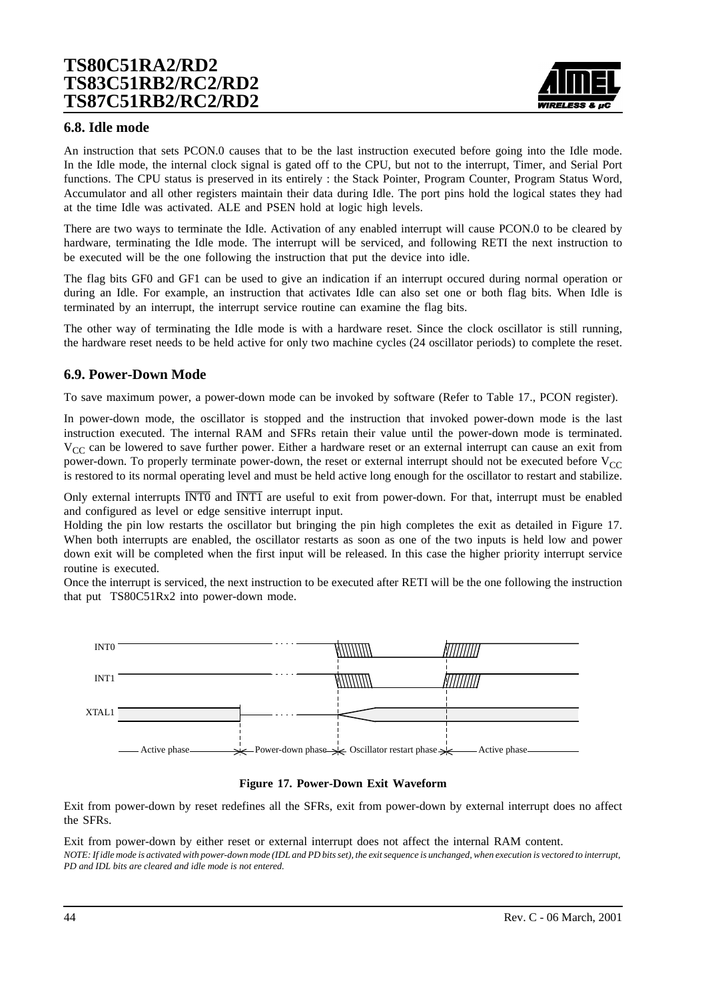

### **6.8. Idle mode**

An instruction that sets PCON.0 causes that to be the last instruction executed before going into the Idle mode. In the Idle mode, the internal clock signal is gated off to the CPU, but not to the interrupt, Timer, and Serial Port functions. The CPU status is preserved in its entirely : the Stack Pointer, Program Counter, Program Status Word, Accumulator and all other registers maintain their data during Idle. The port pins hold the logical states they had at the time Idle was activated. ALE and PSEN hold at logic high levels.

There are two ways to terminate the Idle. Activation of any enabled interrupt will cause PCON.0 to be cleared by hardware, terminating the Idle mode. The interrupt will be serviced, and following RETI the next instruction to be executed will be the one following the instruction that put the device into idle.

The flag bits GF0 and GF1 can be used to give an indication if an interrupt occured during normal operation or during an Idle. For example, an instruction that activates Idle can also set one or both flag bits. When Idle is terminated by an interrupt, the interrupt service routine can examine the flag bits.

The other way of terminating the Idle mode is with a hardware reset. Since the clock oscillator is still running, the hardware reset needs to be held active for only two machine cycles (24 oscillator periods) to complete the reset.

## **6.9. Power-Down Mode**

To save maximum power, a power-down mode can be invoked by software (Refer to [Table 17](#page-38-0)., PCON register).

In power-down mode, the oscillator is stopped and the instruction that invoked power-down mode is the last instruction executed. The internal RAM and SFRs retain their value until the power-down mode is terminated.  $V_{CC}$  can be lowered to save further power. Either a hardware reset or an external interrupt can cause an exit from power-down. To properly terminate power-down, the reset or external interrupt should not be executed before  $V_{CC}$ is restored to its normal operating level and must be held active long enough for the oscillator to restart and stabilize.

Only external interrupts INT0 and INT1 are useful to exit from power-down. For that, interrupt must be enabled and configured as level or edge sensitive interrupt input.

Holding the pin low restarts the oscillator but bringing the pin high completes the exit as detailed in Figure 17. When both interrupts are enabled, the oscillator restarts as soon as one of the two inputs is held low and power down exit will be completed when the first input will be released. In this case the higher priority interrupt service routine is executed.

Once the interrupt is serviced, the next instruction to be executed after RETI will be the one following the instruction that put TS80C51Rx2 into power-down mode.



#### **Figure 17. Power-Down Exit Waveform**

Exit from power-down by reset redefines all the SFRs, exit from power-down by external interrupt does no affect the SFRs.

Exit from power-down by either reset or external interrupt does not affect the internal RAM content. *NOTE: If idle mode is activated with power-down mode (IDL and PD bits set), the exit sequence is unchanged, when execution is vectored to interrupt, PD and IDL bits are cleared and idle mode is not entered.*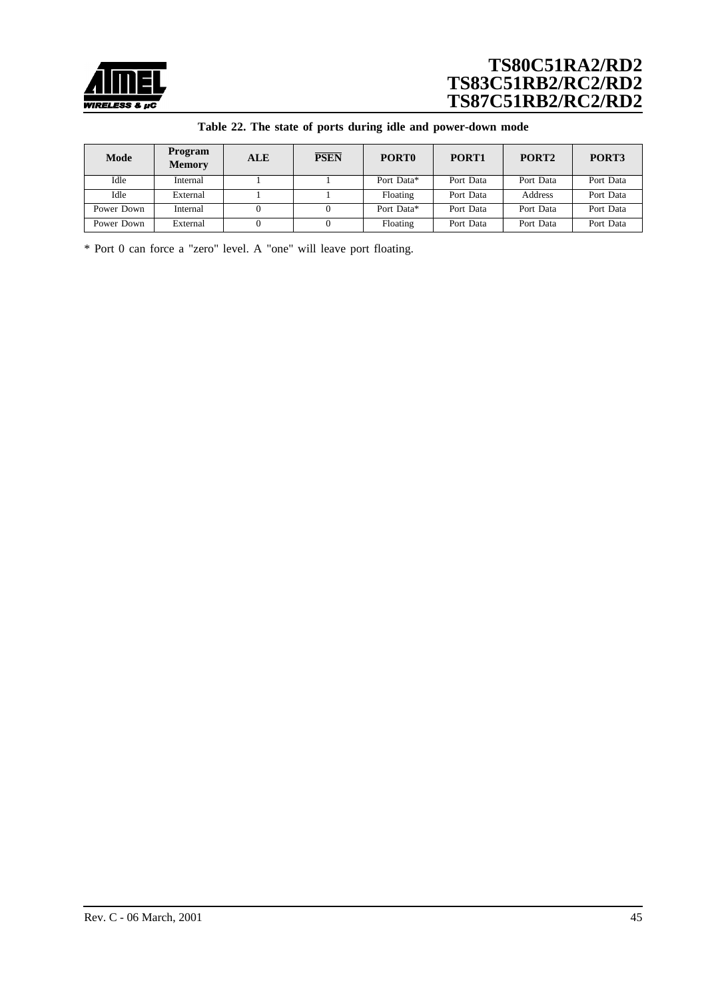

|  |  |  |  |  | Table 22. The state of ports during idle and power-down mode |  |
|--|--|--|--|--|--------------------------------------------------------------|--|
|--|--|--|--|--|--------------------------------------------------------------|--|

| Mode       | Program<br><b>Memory</b> | <b>ALE</b> | <b>PSEN</b> | PORT <sub>0</sub> | PORT <sub>1</sub> | PORT <sub>2</sub> | PORT3     |
|------------|--------------------------|------------|-------------|-------------------|-------------------|-------------------|-----------|
| Idle       | Internal                 |            |             | Port Data*        | Port Data         | Port Data         | Port Data |
| Idle       | External                 |            |             | Floating          | Port Data         | Address           | Port Data |
| Power Down | Internal                 |            |             | Port Data*        | Port Data         | Port Data         | Port Data |
| Power Down | External                 |            |             | Floating          | Port Data         | Port Data         | Port Data |

\* Port 0 can force a "zero" level. A "one" will leave port floating.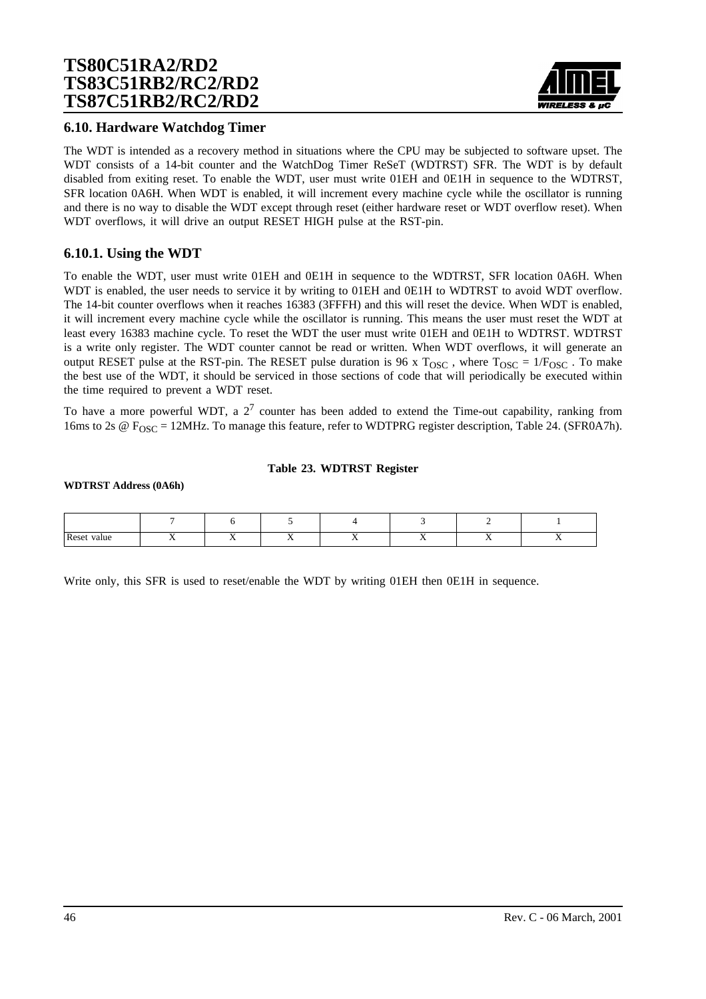

### **6.10. Hardware Watchdog Timer**

The WDT is intended as a recovery method in situations where the CPU may be subjected to software upset. The WDT consists of a 14-bit counter and the WatchDog Timer ReSeT (WDTRST) SFR. The WDT is by default disabled from exiting reset. To enable the WDT, user must write 01EH and 0E1H in sequence to the WDTRST, SFR location 0A6H. When WDT is enabled, it will increment every machine cycle while the oscillator is running and there is no way to disable the WDT except through reset (either hardware reset or WDT overflow reset). When WDT overflows, it will drive an output RESET HIGH pulse at the RST-pin.

### **6.10.1. Using the WDT**

To enable the WDT, user must write 01EH and 0E1H in sequence to the WDTRST, SFR location 0A6H. When WDT is enabled, the user needs to service it by writing to 01EH and 0E1H to WDTRST to avoid WDT overflow. The 14-bit counter overflows when it reaches 16383 (3FFFH) and this will reset the device. When WDT is enabled, it will increment every machine cycle while the oscillator is running. This means the user must reset the WDT at least every 16383 machine cycle. To reset the WDT the user must write 01EH and 0E1H to WDTRST. WDTRST is a write only register. The WDT counter cannot be read or written. When WDT overflows, it will generate an output RESET pulse at the RST-pin. The RESET pulse duration is 96 x  $T_{\text{OSC}}$ , where  $T_{\text{OSC}} = 1/F_{\text{OSC}}$ . To make the best use of the WDT, it should be serviced in those sections of code that will periodically be executed within the time required to prevent a WDT reset.

To have a more powerful WDT, a  $2<sup>7</sup>$  counter has been added to extend the Time-out capability, ranking from 16ms to 2s  $\omega$  F<sub>OSC</sub> = 12MHz. To manage this feature, refer to WDTPRG register description, [Table 24.](#page-46-0) (SFR0A7h).

#### **Table 23. WDTRST Register**

#### **WDTRST Address (0A6h)**

| Reset<br>value |  |  | . . | . . |
|----------------|--|--|-----|-----|

Write only, this SFR is used to reset/enable the WDT by writing 01EH then 0E1H in sequence.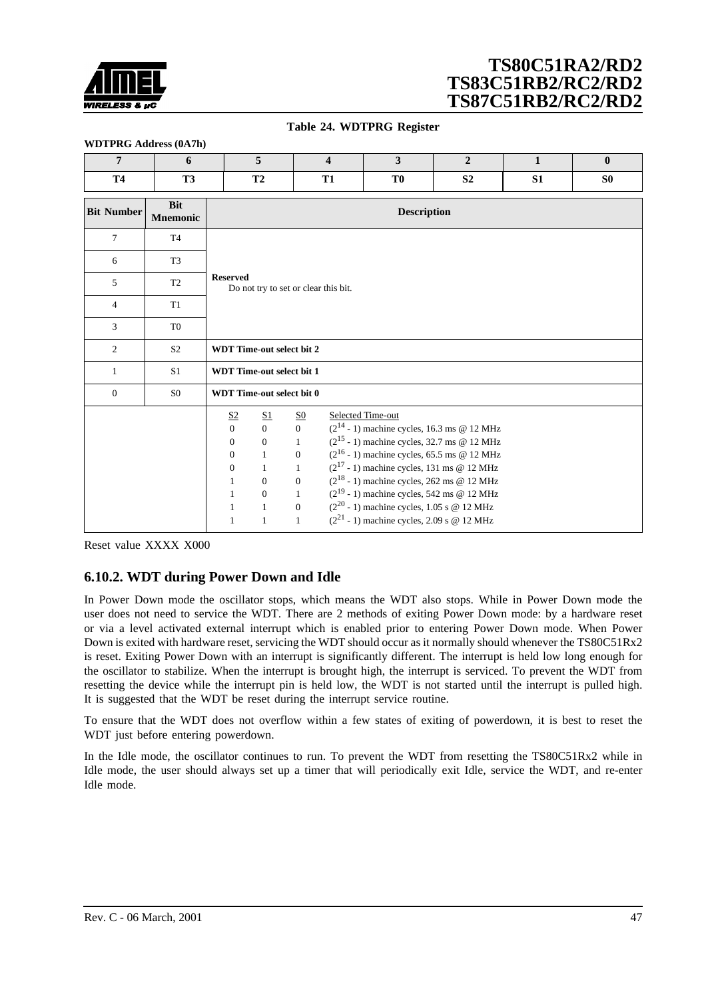<span id="page-46-0"></span>

#### **Table 24. WDTPRG Register**

| $\overline{7}$    | 6                             |                                                                                                                                                      | 5                                                                                                                                             | $\overline{\mathbf{4}}$                                                                                                                            | 3                                                                                                                                                                                                                                                                                                                                                                                                                                    | $\overline{2}$ | $\mathbf{1}$ | $\bf{0}$       |
|-------------------|-------------------------------|------------------------------------------------------------------------------------------------------------------------------------------------------|-----------------------------------------------------------------------------------------------------------------------------------------------|----------------------------------------------------------------------------------------------------------------------------------------------------|--------------------------------------------------------------------------------------------------------------------------------------------------------------------------------------------------------------------------------------------------------------------------------------------------------------------------------------------------------------------------------------------------------------------------------------|----------------|--------------|----------------|
| <b>T4</b>         | <b>T3</b>                     |                                                                                                                                                      | T2                                                                                                                                            | <b>T1</b>                                                                                                                                          | T <sub>0</sub>                                                                                                                                                                                                                                                                                                                                                                                                                       | S <sub>2</sub> | S1           | S <sub>0</sub> |
| <b>Bit Number</b> | <b>Bit</b><br><b>Mnemonic</b> | <b>Description</b>                                                                                                                                   |                                                                                                                                               |                                                                                                                                                    |                                                                                                                                                                                                                                                                                                                                                                                                                                      |                |              |                |
| $\tau$            | <b>T4</b>                     |                                                                                                                                                      |                                                                                                                                               |                                                                                                                                                    |                                                                                                                                                                                                                                                                                                                                                                                                                                      |                |              |                |
| 6                 | T <sub>3</sub>                |                                                                                                                                                      |                                                                                                                                               |                                                                                                                                                    |                                                                                                                                                                                                                                                                                                                                                                                                                                      |                |              |                |
| 5                 | T <sub>2</sub>                | <b>Reserved</b>                                                                                                                                      |                                                                                                                                               | Do not try to set or clear this bit.                                                                                                               |                                                                                                                                                                                                                                                                                                                                                                                                                                      |                |              |                |
| 4                 | T1                            |                                                                                                                                                      |                                                                                                                                               |                                                                                                                                                    |                                                                                                                                                                                                                                                                                                                                                                                                                                      |                |              |                |
| 3                 | T <sub>0</sub>                |                                                                                                                                                      |                                                                                                                                               |                                                                                                                                                    |                                                                                                                                                                                                                                                                                                                                                                                                                                      |                |              |                |
| $\overline{c}$    | S <sub>2</sub>                |                                                                                                                                                      | <b>WDT Time-out select bit 2</b>                                                                                                              |                                                                                                                                                    |                                                                                                                                                                                                                                                                                                                                                                                                                                      |                |              |                |
| 1                 | S <sub>1</sub>                |                                                                                                                                                      | <b>WDT</b> Time-out select bit 1                                                                                                              |                                                                                                                                                    |                                                                                                                                                                                                                                                                                                                                                                                                                                      |                |              |                |
| $\mathbf{0}$      | S <sub>0</sub>                |                                                                                                                                                      | <b>WDT</b> Time-out select bit 0                                                                                                              |                                                                                                                                                    |                                                                                                                                                                                                                                                                                                                                                                                                                                      |                |              |                |
|                   |                               | S <sub>2</sub><br>$\overline{0}$<br>$\mathbf{0}$<br>$\boldsymbol{0}$<br>$\mathbf{0}$<br>$\mathbf{1}$<br>$\mathbf{1}$<br>$\mathbf{1}$<br>$\mathbf{1}$ | S <sub>1</sub><br>$\overline{0}$<br>$\mathbf{0}$<br>$\mathbf{1}$<br>$\mathbf{1}$<br>$\boldsymbol{0}$<br>$\mathbf{0}$<br>$1\,$<br>$\mathbf{1}$ | S <sub>0</sub><br>$\overline{0}$<br>$\mathbf{1}$<br>$\mathbf{0}$<br>$\mathbf{1}$<br>$\mathbf{0}$<br>$\mathbf{1}$<br>$\overline{0}$<br>$\mathbf{1}$ | Selected Time-out<br>$(2^{14} - 1)$ machine cycles, 16.3 ms @ 12 MHz<br>$(2^{15} - 1)$ machine cycles, 32.7 ms @ 12 MHz<br>$(2^{16} - 1)$ machine cycles, 65.5 ms @ 12 MHz<br>$(2^{17} - 1)$ machine cycles, 131 ms @ 12 MHz<br>$(2^{18} - 1)$ machine cycles, 262 ms @ 12 MHz<br>$(2^{19} - 1)$ machine cycles, 542 ms @ 12 MHz<br>$(2^{20} - 1)$ machine cycles, 1.05 s @ 12 MHz<br>$(2^{21} - 1)$ machine cycles, 2.09 s @ 12 MHz |                |              |                |

Reset value XXXX X000

## **6.10.2. WDT during Power Down and Idle**

In Power Down mode the oscillator stops, which means the WDT also stops. While in Power Down mode the user does not need to service the WDT. There are 2 methods of exiting Power Down mode: by a hardware reset or via a level activated external interrupt which is enabled prior to entering Power Down mode. When Power Down is exited with hardware reset, servicing the WDT should occur as it normally should whenever the TS80C51Rx2 is reset. Exiting Power Down with an interrupt is significantly different. The interrupt is held low long enough for the oscillator to stabilize. When the interrupt is brought high, the interrupt is serviced. To prevent the WDT from resetting the device while the interrupt pin is held low, the WDT is not started until the interrupt is pulled high. It is suggested that the WDT be reset during the interrupt service routine.

To ensure that the WDT does not overflow within a few states of exiting of powerdown, it is best to reset the WDT just before entering powerdown.

In the Idle mode, the oscillator continues to run. To prevent the WDT from resetting the TS80C51Rx2 while in Idle mode, the user should always set up a timer that will periodically exit Idle, service the WDT, and re-enter Idle mode.

## **WDTPRG Address (0A7h)**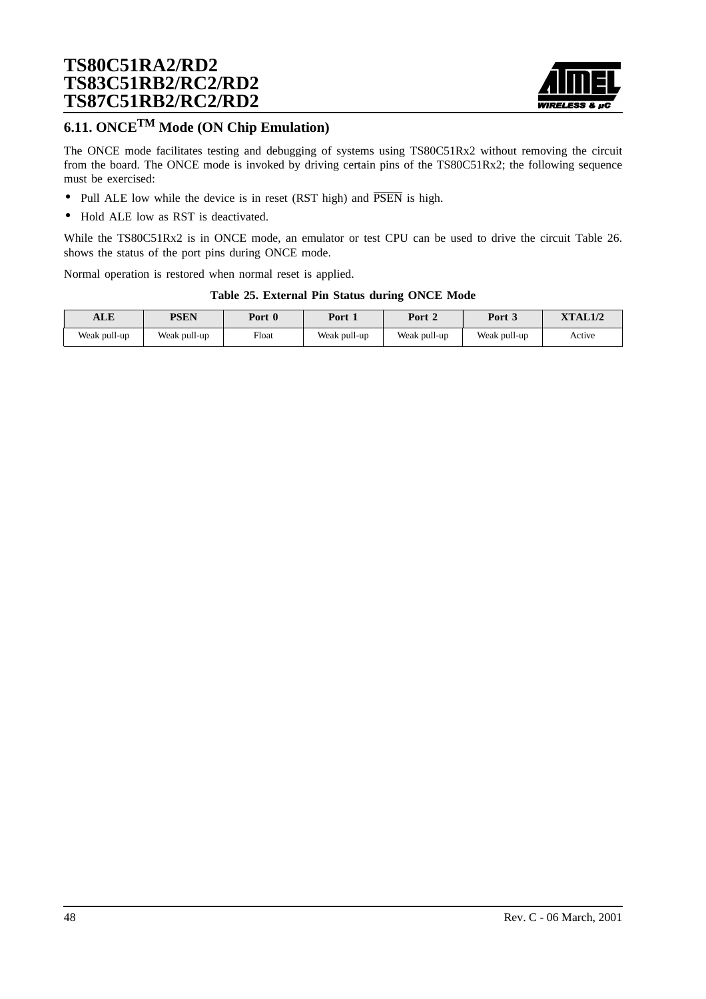

# **6.11. ONCETM Mode (ON Chip Emulation)**

The ONCE mode facilitates testing and debugging of systems using TS80C51Rx2 without removing the circuit from the board. The ONCE mode is invoked by driving certain pins of the TS80C51Rx2; the following sequence must be exercised:

- Pull ALE low while the device is in reset (RST high) and  $\overline{PSEN}$  is high.
- Hold ALE low as RST is deactivated.

While the TS80C51Rx2 is in ONCE mode, an emulator or test CPU can be used to drive the circuit Table 26. shows the status of the port pins during ONCE mode.

Normal operation is restored when normal reset is applied.

#### **Table 25. External Pin Status during ONCE Mode**

| <b>T D</b><br>ALL | PSEN         | Port<br>$\mathbf{0}$ | Port         | Port 2       | Port 3       | <b>XTAL1/2</b> |
|-------------------|--------------|----------------------|--------------|--------------|--------------|----------------|
| Weak pull-up      | Weak pull-up | Float                | Weak pull-up | Weak pull-up | Weak pull-up | Active         |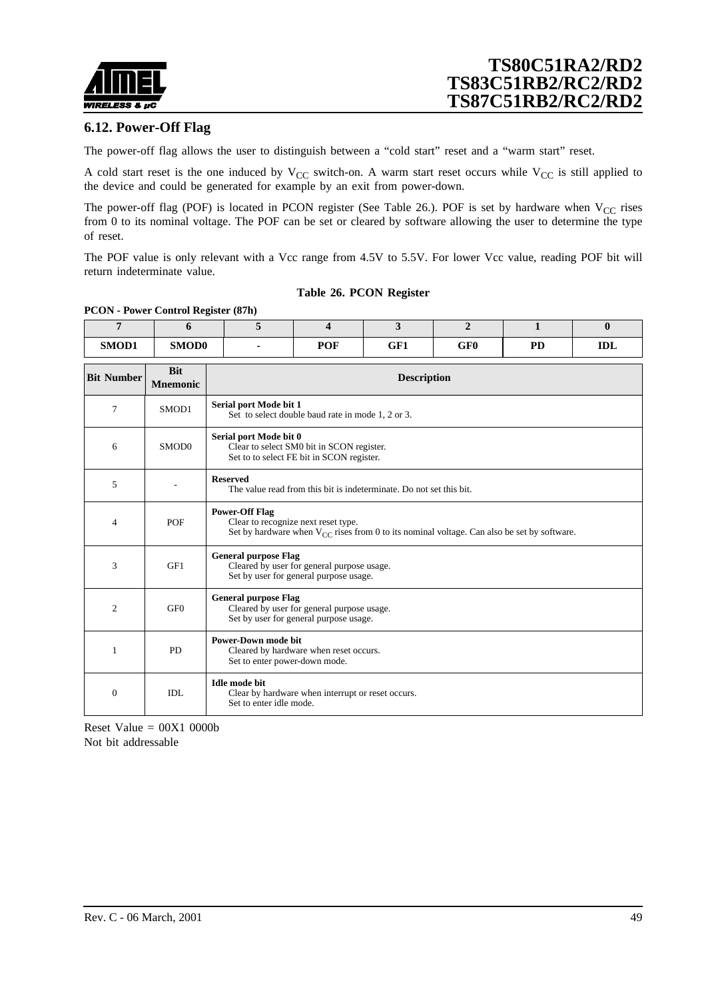

### **6.12. Power-Off Flag**

The power-off flag allows the user to distinguish between a "cold start" reset and a "warm start" reset.

A cold start reset is the one induced by  $V_{CC}$  switch-on. A warm start reset occurs while  $V_{CC}$  is still applied to the device and could be generated for example by an exit from power-down.

The power-off flag (POF) is located in PCON register (See Table 26.). POF is set by hardware when  $V_{CC}$  rises from 0 to its nominal voltage. The POF can be set or cleared by software allowing the user to determine the type of reset.

The POF value is only relevant with a Vcc range from 4.5V to 5.5V. For lower Vcc value, reading POF bit will return indeterminate value.

#### **Table 26. PCON Register**

### **PCON - Power Control Register (87h)**

| 7                 | 6                             | 5                           | $\overline{\mathbf{4}}$                                                                                                                | 3                  | $\overline{2}$  | $\mathbf{1}$ | $\mathbf{0}$ |  |  |
|-------------------|-------------------------------|-----------------------------|----------------------------------------------------------------------------------------------------------------------------------------|--------------------|-----------------|--------------|--------------|--|--|
| SMOD1             | SMOD0                         |                             | <b>POF</b>                                                                                                                             | GF1                | GF <sub>0</sub> | <b>PD</b>    | <b>IDL</b>   |  |  |
| <b>Bit Number</b> | <b>Bit</b><br><b>Mnemonic</b> |                             |                                                                                                                                        | <b>Description</b> |                 |              |              |  |  |
| 7                 | SMOD1                         | Serial port Mode bit 1      | Set to select double baud rate in mode 1, 2 or 3.                                                                                      |                    |                 |              |              |  |  |
| 6                 | SMOD <sub>0</sub>             |                             | Serial port Mode bit 0<br>Clear to select SM0 bit in SCON register.<br>Set to to select FE bit in SCON register.                       |                    |                 |              |              |  |  |
| 5                 |                               | <b>Reserved</b>             | The value read from this bit is indeterminate. Do not set this bit.                                                                    |                    |                 |              |              |  |  |
| 4                 | POF                           | <b>Power-Off Flag</b>       | Clear to recognize next reset type.<br>Set by hardware when $V_{CC}$ rises from 0 to its nominal voltage. Can also be set by software. |                    |                 |              |              |  |  |
| 3                 | GF1                           | <b>General purpose Flag</b> | Cleared by user for general purpose usage.<br>Set by user for general purpose usage.                                                   |                    |                 |              |              |  |  |
| 2                 | GF <sub>0</sub>               |                             | <b>General purpose Flag</b><br>Cleared by user for general purpose usage.<br>Set by user for general purpose usage.                    |                    |                 |              |              |  |  |
| 1                 | <b>PD</b>                     |                             | <b>Power-Down mode bit</b><br>Cleared by hardware when reset occurs.<br>Set to enter power-down mode.                                  |                    |                 |              |              |  |  |
| $\Omega$          | IDL                           | <b>Idle mode bit</b>        | Clear by hardware when interrupt or reset occurs.<br>Set to enter idle mode.                                                           |                    |                 |              |              |  |  |

Reset Value  $= 00X1 0000b$ Not bit addressable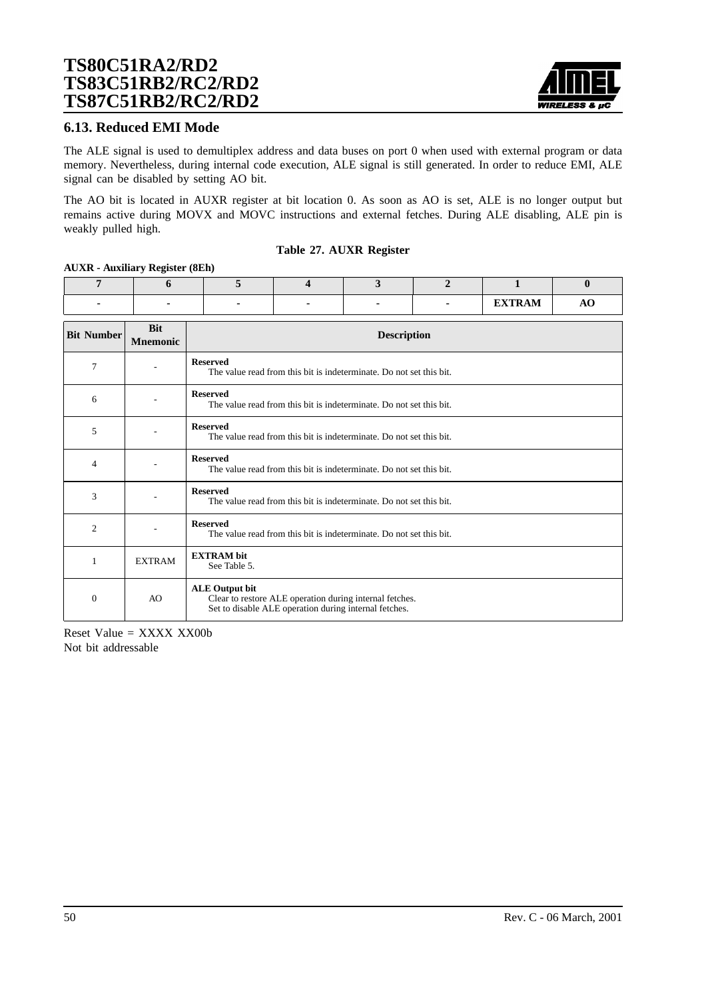

### **6.13. Reduced EMI Mode**

The ALE signal is used to demultiplex address and data buses on port 0 when used with external program or data memory. Nevertheless, during internal code execution, ALE signal is still generated. In order to reduce EMI, ALE signal can be disabled by setting AO bit.

The AO bit is located in AUXR register at bit location 0. As soon as AO is set, ALE is no longer output but remains active during MOVX and MOVC instructions and external fetches. During ALE disabling, ALE pin is weakly pulled high.

#### **Table 27. AUXR Register**

#### **AUXR - Auxiliary Register (8Eh)**

| $\overline{7}$    | 6                             | 5                                 | $\boldsymbol{\Delta}$                                                                                            | 3                                                                   | $\mathbf{2}$ | 1             | $\bf{0}$ |  |  |
|-------------------|-------------------------------|-----------------------------------|------------------------------------------------------------------------------------------------------------------|---------------------------------------------------------------------|--------------|---------------|----------|--|--|
|                   |                               |                                   |                                                                                                                  |                                                                     |              | <b>EXTRAM</b> | AO       |  |  |
| <b>Bit Number</b> | <b>Bit</b><br><b>Mnemonic</b> |                                   | <b>Description</b>                                                                                               |                                                                     |              |               |          |  |  |
| 7                 |                               | <b>Reserved</b>                   |                                                                                                                  | The value read from this bit is indeterminate. Do not set this bit. |              |               |          |  |  |
| 6                 |                               | <b>Reserved</b>                   |                                                                                                                  | The value read from this bit is indeterminate. Do not set this bit. |              |               |          |  |  |
| 5                 |                               | <b>Reserved</b>                   | The value read from this bit is indeterminate. Do not set this bit.                                              |                                                                     |              |               |          |  |  |
| 4                 |                               | <b>Reserved</b>                   | The value read from this bit is indeterminate. Do not set this bit.                                              |                                                                     |              |               |          |  |  |
| 3                 |                               | <b>Reserved</b>                   |                                                                                                                  | The value read from this bit is indeterminate. Do not set this bit. |              |               |          |  |  |
| $\overline{c}$    |                               | <b>Reserved</b>                   | The value read from this bit is indeterminate. Do not set this bit.                                              |                                                                     |              |               |          |  |  |
| 1                 | <b>EXTRAM</b>                 | <b>EXTRAM</b> bit<br>See Table 5. |                                                                                                                  |                                                                     |              |               |          |  |  |
| $\mathbf{0}$      | AO                            | <b>ALE Output bit</b>             | Clear to restore ALE operation during internal fetches.<br>Set to disable ALE operation during internal fetches. |                                                                     |              |               |          |  |  |

Reset Value = XXXX XX00b Not bit addressable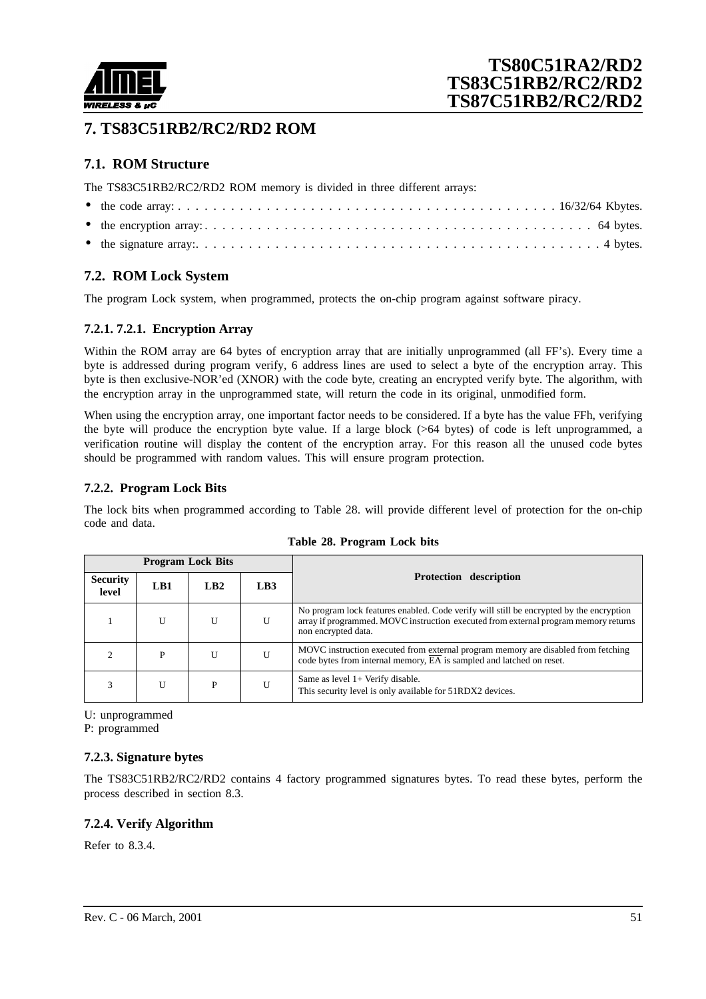

# **7. TS83C51RB2/RC2/RD2 ROM**

## **7.1. ROM Structure**

The TS83C51RB2/RC2/RD2 ROM memory is divided in three different arrays:

## **7.2. ROM Lock System**

The program Lock system, when programmed, protects the on-chip program against software piracy.

## **7.2.1. 7.2.1. Encryption Array**

Within the ROM array are 64 bytes of encryption array that are initially unprogrammed (all FF's). Every time a byte is addressed during program verify, 6 address lines are used to select a byte of the encryption array. This byte is then exclusive-NOR'ed (XNOR) with the code byte, creating an encrypted verify byte. The algorithm, with the encryption array in the unprogrammed state, will return the code in its original, unmodified form.

When using the encryption array, one important factor needs to be considered. If a byte has the value FFh, verifying the byte will produce the encryption byte value. If a large block (>64 bytes) of code is left unprogrammed, a verification routine will display the content of the encryption array. For this reason all the unused code bytes should be programmed with random values. This will ensure program protection.

### **7.2.2. Program Lock Bits**

The lock bits when programmed according to Table 28. will provide different level of protection for the on-chip code and data.

|                          |     | <b>Program Lock Bits</b> |                 |                                                                                                                                                                                                       |  |
|--------------------------|-----|--------------------------|-----------------|-------------------------------------------------------------------------------------------------------------------------------------------------------------------------------------------------------|--|
| <b>Security</b><br>level | LB1 | LB2                      | LB <sub>3</sub> | <b>Protection description</b>                                                                                                                                                                         |  |
|                          | U   | U                        | U               | No program lock features enabled. Code verify will still be encrypted by the encryption<br>array if programmed. MOVC instruction executed from external program memory returns<br>non encrypted data. |  |
|                          | P   | U                        | U               | MOVC instruction executed from external program memory are disabled from fetching<br>code bytes from internal memory, $\overline{EA}$ is sampled and latched on reset.                                |  |
|                          | U   | P                        | U               | Same as level $1+$ Verify disable.<br>This security level is only available for 51RDX2 devices.                                                                                                       |  |

|  |  | Table 28. Program Lock bits |  |  |
|--|--|-----------------------------|--|--|
|--|--|-----------------------------|--|--|

U: unprogrammed

P: programmed

### **7.2.3. Signature bytes**

The TS83C51RB2/RC2/RD2 contains 4 factory programmed signatures bytes. To read these bytes, perform the process described in section 8.3.

### **7.2.4. Verify Algorithm**

Refer to [8.3.4.](#page-53-0)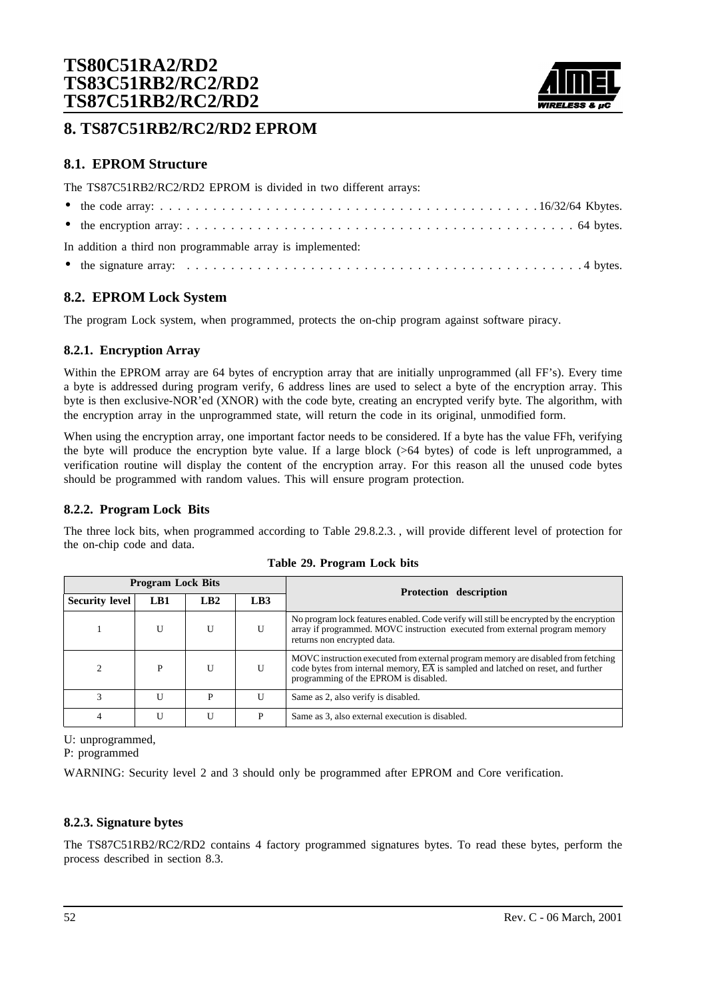

## **8. TS87C51RB2/RC2/RD2 EPROM**

## **8.1. EPROM Structure**

The TS87C51RB2/RC2/RD2 EPROM is divided in two different arrays:

| In addition a third non programmable array is implemented: |
|------------------------------------------------------------|
|                                                            |

## **8.2. EPROM Lock System**

The program Lock system, when programmed, protects the on-chip program against software piracy.

### **8.2.1. Encryption Array**

Within the EPROM array are 64 bytes of encryption array that are initially unprogrammed (all FF's). Every time a byte is addressed during program verify, 6 address lines are used to select a byte of the encryption array. This byte is then exclusive-NOR'ed (XNOR) with the code byte, creating an encrypted verify byte. The algorithm, with the encryption array in the unprogrammed state, will return the code in its original, unmodified form.

When using the encryption array, one important factor needs to be considered. If a byte has the value FFh, verifying the byte will produce the encryption byte value. If a large block (>64 bytes) of code is left unprogrammed, a verification routine will display the content of the encryption array. For this reason all the unused code bytes should be programmed with random values. This will ensure program protection.

### **8.2.2. Program Lock Bits**

The three lock bits, when programmed according to Table 29.8.2.3. , will provide different level of protection for the on-chip code and data.

| <b>Program Lock Bits</b> |     |              |                 | <b>Protection description</b>                                                                                                                                                                                               |
|--------------------------|-----|--------------|-----------------|-----------------------------------------------------------------------------------------------------------------------------------------------------------------------------------------------------------------------------|
| Security level           | LB1 | LB2          | LB <sub>3</sub> |                                                                                                                                                                                                                             |
|                          |     | $\mathbf{U}$ | U               | No program lock features enabled. Code verify will still be encrypted by the encryption<br>array if programmed. MOVC instruction executed from external program memory<br>returns non encrypted data.                       |
| $\overline{c}$           | P   | $\mathbf{U}$ | U               | MOVC instruction executed from external program memory are disabled from fetching<br>code bytes from internal memory, $\overline{EA}$ is sampled and latched on reset, and further<br>programming of the EPROM is disabled. |
| $\mathcal{R}$            |     | P            | U               | Same as 2, also verify is disabled.                                                                                                                                                                                         |
| 4                        |     | U            | P               | Same as 3, also external execution is disabled.                                                                                                                                                                             |

**Table 29. Program Lock bits**

U: unprogrammed,

P: programmed

WARNING: Security level 2 and 3 should only be programmed after EPROM and Core verification.

### **8.2.3. Signature bytes**

The TS87C51RB2/RC2/RD2 contains 4 factory programmed signatures bytes. To read these bytes, perform the process described in section 8.3.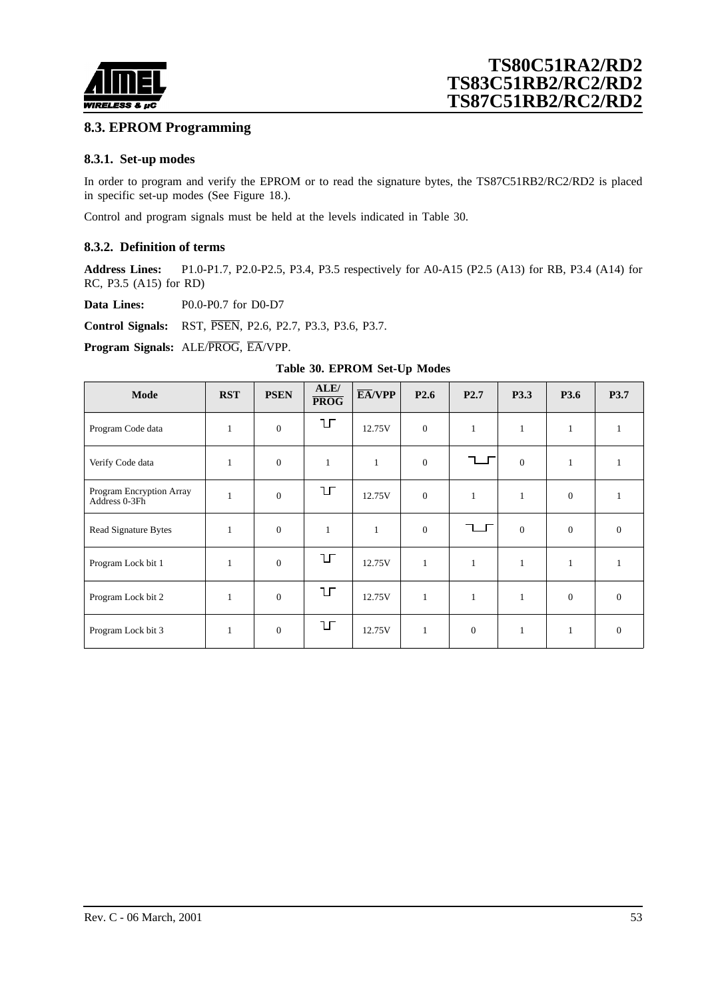

## **8.3. EPROM Programming**

### **8.3.1. Set-up modes**

In order to program and verify the EPROM or to read the signature bytes, the TS87C51RB2/RC2/RD2 is placed in specific set-up modes (See [Figure 18.\).](#page-53-0)

Control and program signals must be held at the levels indicated in Table 30.

#### **8.3.2. Definition of terms**

**Address Lines:** P1.0-P1.7, P2.0-P2.5, P3.4, P3.5 respectively for A0-A15 (P2.5 (A13) for RB, P3.4 (A14) for RC, P3.5 (A15) for RD)

**Data Lines:** P0.0-P0.7 for D0-D7

**Control Signals:** RST, PSEN, P2.6, P2.7, P3.3, P3.6, P3.7.

**Program Signals:** ALE/PROG, EA/VPP.

| Table 30. EPROM Set-Up Modes              |              |                  |                                  |                             |                  |                  |                |                |                |
|-------------------------------------------|--------------|------------------|----------------------------------|-----------------------------|------------------|------------------|----------------|----------------|----------------|
| Mode                                      | <b>RST</b>   | <b>PSEN</b>      | ALE/<br>$\overline{\text{PROG}}$ | $\overline{\text{EA}}$ /VPP | P <sub>2.6</sub> | P <sub>2.7</sub> | P3.3           | P3.6           | P3.7           |
| Program Code data                         | 1            | $\mathbf{0}$     | ЦF                               | 12.75V                      | $\mathbf{0}$     | $\mathbf{1}$     | $\mathbf{1}$   | $\mathbf{1}$   | $\mathbf{1}$   |
| Verify Code data                          | $\mathbf{1}$ | $\boldsymbol{0}$ | $\mathbf{1}$                     | $\mathbf{1}$                | $\mathbf{0}$     |                  | $\mathbf{0}$   | $\mathbf{1}$   | $\mathbf{1}$   |
| Program Encryption Array<br>Address 0-3Fh | $\mathbf{1}$ | $\mathbf{0}$     | IГ                               | 12.75V                      | $\mathbf{0}$     | $\mathbf{1}$     | $\mathbf{1}$   | $\overline{0}$ | $\mathbf{1}$   |
| Read Signature Bytes                      | 1            | $\mathbf{0}$     | $\mathbf{1}$                     | $\mathbf{1}$                | $\theta$         |                  | $\overline{0}$ | $\Omega$       | $\overline{0}$ |
| Program Lock bit 1                        | $\mathbf{1}$ | $\mathbf{0}$     | ЦL                               | 12.75V                      | $\mathbf{1}$     | $\mathbf{1}$     | $\mathbf{1}$   | $\mathbf{1}$   | $\mathbf{1}$   |
| Program Lock bit 2                        | $\mathbf{1}$ | $\mathbf{0}$     | ŢЦ                               | 12.75V                      | $\mathbf{1}$     | $\mathbf{1}$     | $\mathbf{1}$   | $\overline{0}$ | $\overline{0}$ |
| Program Lock bit 3                        | $\mathbf{1}$ | $\mathbf{0}$     | IГ                               | 12.75V                      | $\mathbf{1}$     | $\mathbf{0}$     | $\mathbf{1}$   | $\mathbf{1}$   | $\overline{0}$ |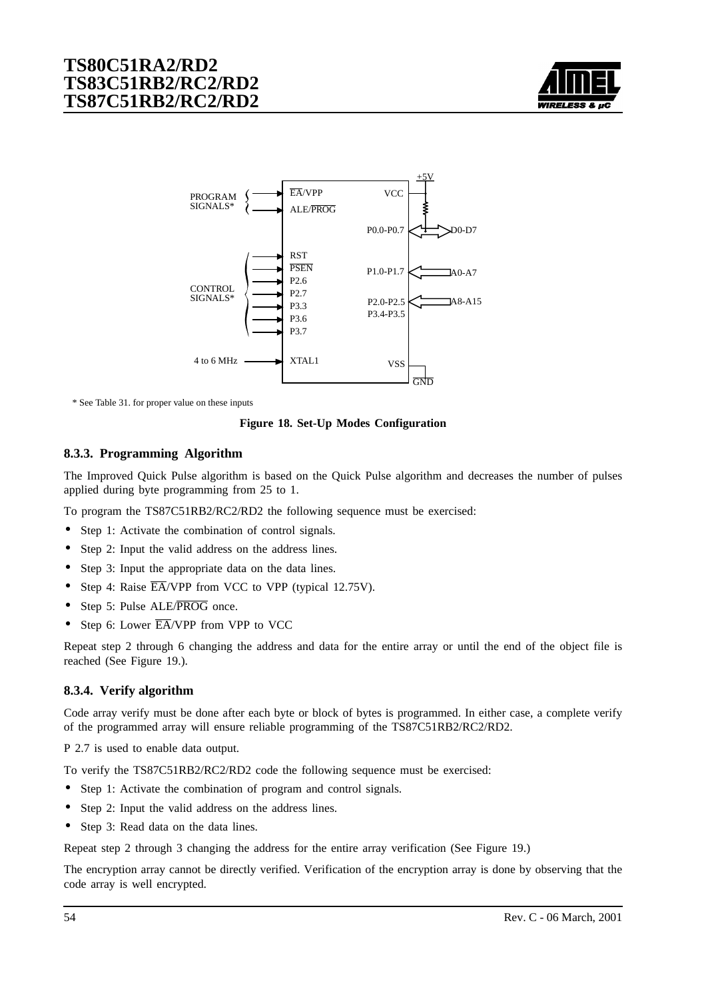

<span id="page-53-0"></span>

\* See Table 31. for proper value on these inputs

**Figure 18. Set-Up Modes Configuration**

### **8.3.3. Programming Algorithm**

The Improved Quick Pulse algorithm is based on the Quick Pulse algorithm and decreases the number of pulses applied during byte programming from 25 to 1.

To program the TS87C51RB2/RC2/RD2 the following sequence must be exercised:

- Step 1: Activate the combination of control signals.
- Step 2: Input the valid address on the address lines.
- Step 3: Input the appropriate data on the data lines.
- Step 4: Raise  $\overline{EA}/VPP$  from VCC to VPP (typical 12.75V).
- Step 5: Pulse ALE/PROG once.
- Step 6: Lower  $\overline{EA}$ /VPP from VPP to VCC

Repeat step 2 through 6 changing the address and data for the entire array or until the end of the object file is reached (See [Figure 19.\)](#page-54-0).

#### **8.3.4. Verify algorithm**

Code array verify must be done after each byte or block of bytes is programmed. In either case, a complete verify of the programmed array will ensure reliable programming of the TS87C51RB2/RC2/RD2.

P 2.7 is used to enable data output.

To verify the TS87C51RB2/RC2/RD2 code the following sequence must be exercised:

- Step 1: Activate the combination of program and control signals.
- Step 2: Input the valid address on the address lines.
- Step 3: Read data on the data lines.

Repeat step 2 through 3 changing the address for the entire array verification (See Figu[re 19.\)](#page-54-0)

The encryption array cannot be directly verified. Verification of the encryption array is done by observing that the code array is well encrypted.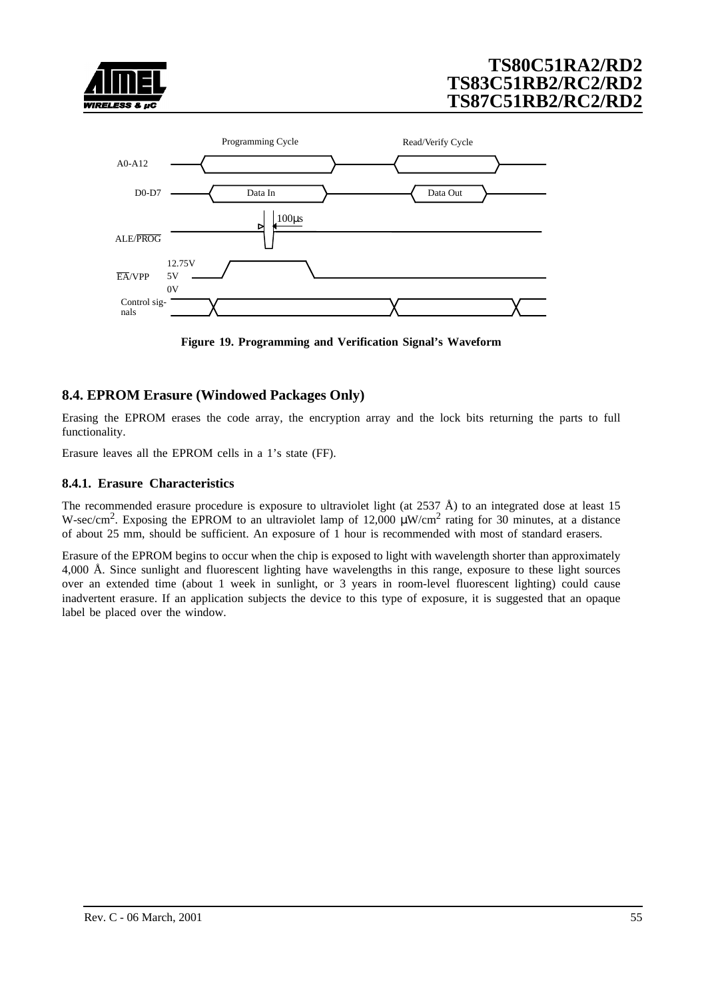<span id="page-54-0"></span>



**Figure 19. Programming and Verification Signal's Waveform**

## **8.4. EPROM Erasure (Windowed Packages Only)**

Erasing the EPROM erases the code array, the encryption array and the lock bits returning the parts to full functionality.

Erasure leaves all the EPROM cells in a 1's state (FF).

### **8.4.1. Erasure Characteristics**

The recommended erasure procedure is exposure to ultraviolet light (at 2537 Å) to an integrated dose at least 15 W-sec/cm<sup>2</sup>. Exposing the EPROM to an ultraviolet lamp of 12,000  $\mu$ W/cm<sup>2</sup> rating for 30 minutes, at a distance of about 25 mm, should be sufficient. An exposure of 1 hour is recommended with most of standard erasers.

Erasure of the EPROM begins to occur when the chip is exposed to light with wavelength shorter than approximately 4,000 Å. Since sunlight and fluorescent lighting have wavelengths in this range, exposure to these light sources over an extended time (about 1 week in sunlight, or 3 years in room-level fluorescent lighting) could cause inadvertent erasure. If an application subjects the device to this type of exposure, it is suggested that an opaque label be placed over the window.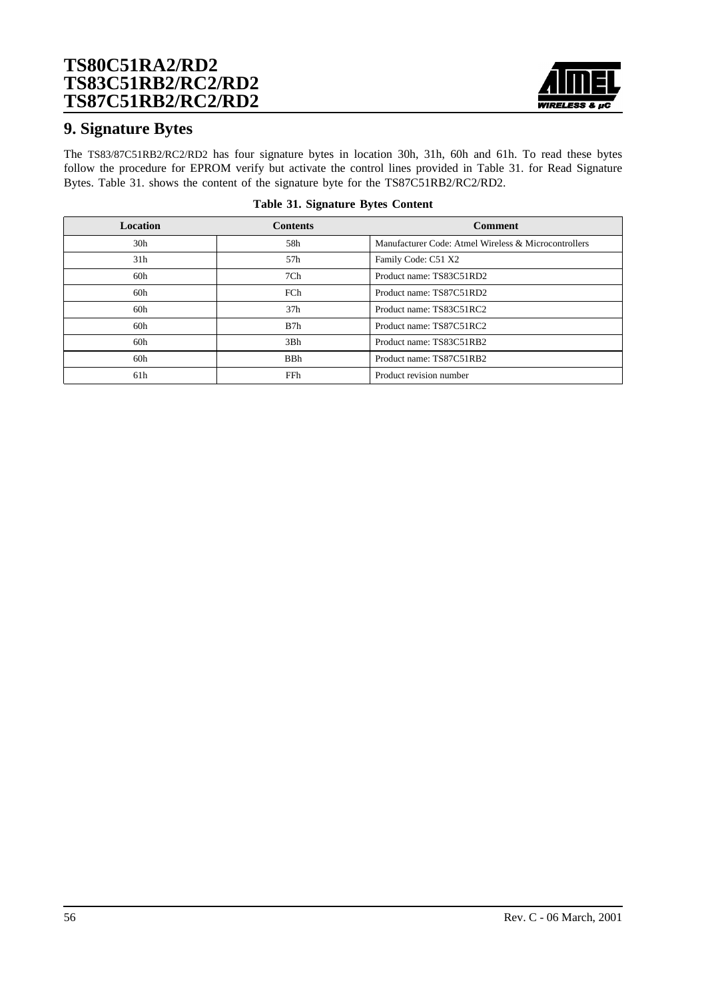

## **9. Signature Bytes**

The TS83/87C51RB2/RC2/RD2 has four signature bytes in location 30h, 31h, 60h and 61h. To read these bytes follow the procedure for EPROM verify but activate the control lines provided in Table 31. for Read Signature Bytes. Table 31. shows the content of the signature byte for the TS87C51RB2/RC2/RD2.

| <b>Location</b> | <b>Contents</b> | <b>Comment</b>                                       |
|-----------------|-----------------|------------------------------------------------------|
| 30 <sub>h</sub> | 58h             | Manufacturer Code: Atmel Wireless & Microcontrollers |
| 31 <sub>h</sub> | 57h             | Family Code: C51 X2                                  |
| 60h             | 7Ch             | Product name: TS83C51RD2                             |
| 60h             | FCh             | Product name: TS87C51RD2                             |
| 60h             | 37 <sub>h</sub> | Product name: TS83C51RC2                             |
| 60h             | B7h             | Product name: TS87C51RC2                             |
| 60h             | 3Bh             | Product name: TS83C51RB2                             |
| 60h             | <b>BBh</b>      | Product name: TS87C51RB2                             |
| 61h             | FFh             | Product revision number                              |

#### **Table 31. Signature Bytes Content**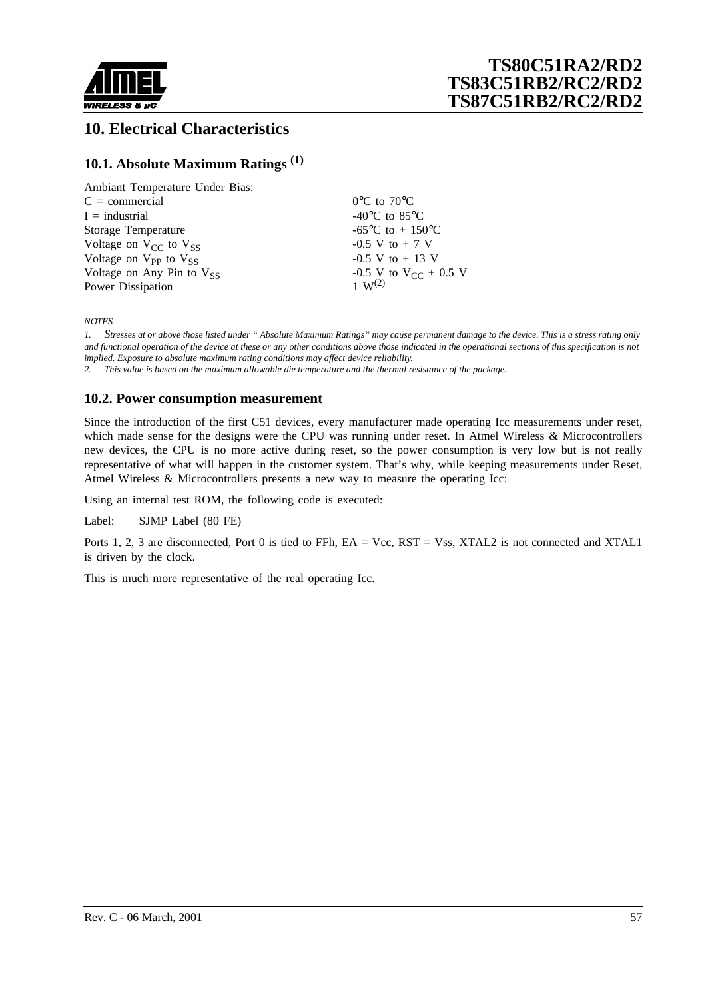

# **10. Electrical Characteristics**

## **10.1. Absolute Maximum Ratings (1)**

| Ambiant Temperature Under Bias: |                                             |
|---------------------------------|---------------------------------------------|
| $C = \text{commercial}$         | $0^{\circ}$ C to $70^{\circ}$ C             |
| $I =$ industrial                | -40 $\rm{^{\circ}C}$ to 85 $\rm{^{\circ}C}$ |
| Storage Temperature             | -65 <sup>o</sup> C to + 150 <sup>o</sup> C  |
| Voltage on $V_{CC}$ to $V_{SS}$ | $-0.5$ V to $+7$ V                          |
| Voltage on $V_{PP}$ to $V_{SS}$ | $-0.5$ V to $+13$ V                         |
| Voltage on Any Pin to $V_{SS}$  | $-0.5$ V to V <sub>CC</sub> + 0.5 V         |
| Power Dissipation               | $1 \, \text{W}^{(2)}$                       |

*NOTES*

*1. Stresses at or above those listed under " Absolute Maximum Ratings" may cause permanent damage to the device. This is a stress rating only and functional operation of the device at these or any other conditions above those indicated in the operational sections of this specification is not implied. Exposure to absolute maximum rating conditions may affect device reliability.*

*2. This value is based on the maximum allowable die temperature and the thermal resistance of the package.*

### **10.2. Power consumption measurement**

Since the introduction of the first C51 devices, every manufacturer made operating Icc measurements under reset, which made sense for the designs were the CPU was running under reset. In Atmel Wireless & Microcontrollers new devices, the CPU is no more active during reset, so the power consumption is very low but is not really representative of what will happen in the customer system. That's why, while keeping measurements under Reset, Atmel Wireless & Microcontrollers presents a new way to measure the operating Icc:

Using an internal test ROM, the following code is executed:

Label: SJMP Label (80 FE)

Ports 1, 2, 3 are disconnected, Port 0 is tied to FFh, EA = Vcc, RST = Vss, XTAL2 is not connected and XTAL1 is driven by the clock.

This is much more representative of the real operating Icc.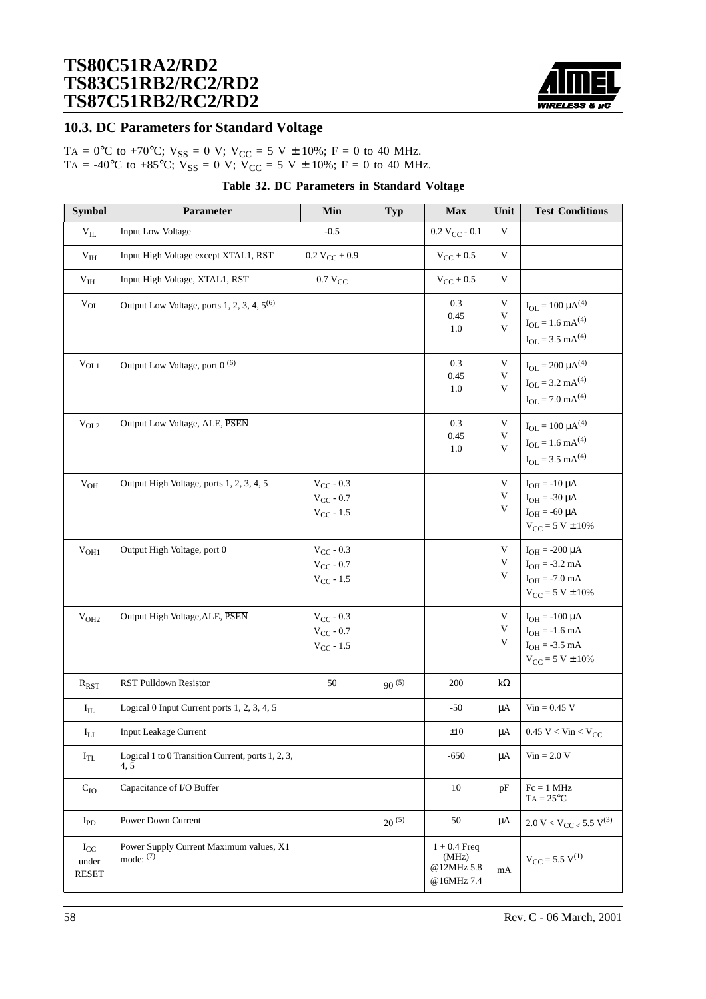

## **10.3. DC Parameters for Standard Voltage**

TA =  $0^{\circ}$ C to +70°C; V<sub>SS</sub> = 0 V; V<sub>CC</sub> = 5 V ± 10%; F = 0 to 40 MHz. TA = -40°C to +85°C;  $V_{SS} = 0$  V;  $V_{CC} = 5$  V  $\pm$  10%; F = 0 to 40 MHz.

|  |  | Table 32. DC Parameters in Standard Voltage |  |  |  |
|--|--|---------------------------------------------|--|--|--|
|--|--|---------------------------------------------|--|--|--|

| <b>Symbol</b>                     | Parameter                                                 | Min                                                | Typ        | <b>Max</b>                                          | Unit                                | <b>Test Conditions</b>                                                                             |
|-----------------------------------|-----------------------------------------------------------|----------------------------------------------------|------------|-----------------------------------------------------|-------------------------------------|----------------------------------------------------------------------------------------------------|
| $\rm{V_{II.}}$                    | <b>Input Low Voltage</b>                                  | $-0.5$                                             |            | $0.2 V_{CC} - 0.1$                                  | V                                   |                                                                                                    |
| $\rm V_{IH}$                      | Input High Voltage except XTAL1, RST                      | $0.2 V_{CC} + 0.9$                                 |            | $V_{CC}$ + 0.5                                      | $\mathbf V$                         |                                                                                                    |
| ${\rm V}_{\rm IH1}$               | Input High Voltage, XTAL1, RST                            | $0.7 V_{CC}$                                       |            | $V_{CC}$ + 0.5                                      | $\ensuremath{\mathsf{V}}$           |                                                                                                    |
| $\rm V_{OL}$                      | Output Low Voltage, ports 1, 2, 3, 4, 5 <sup>(6)</sup>    |                                                    |            | 0.3<br>0.45<br>1.0                                  | V<br>V<br>V                         | $I_{OL} = 100 \mu A^{(4)}$<br>$I_{OL} = 1.6$ mA <sup>(4)</sup><br>$I_{OL} = 3.5$ mA <sup>(4)</sup> |
| $V_{OL1}$                         | Output Low Voltage, port 0 <sup>(6)</sup>                 |                                                    |            | 0.3<br>0.45<br>1.0                                  | $\mathbf V$<br>V<br>V               | $I_{OL} = 200 \mu A^{(4)}$<br>$I_{OL} = 3.2$ mA <sup>(4)</sup><br>$I_{OL} = 7.0$ mA <sup>(4)</sup> |
| $V_{OL2}$                         | Output Low Voltage, ALE, PSEN                             |                                                    |            | 0.3<br>0.45<br>1.0                                  | V<br>V<br>V                         | $I_{OL} = 100 \mu A^{(4)}$<br>$I_{OL} = 1.6$ mA <sup>(4)</sup><br>$I_{OL} = 3.5$ mA <sup>(4)</sup> |
| $\rm V_{OH}$                      | Output High Voltage, ports 1, 2, 3, 4, 5                  | $V_{CC}$ - 0.3<br>$V_{CC}$ - 0.7<br>$V_{CC}$ - 1.5 |            |                                                     | V<br>V<br>V                         | $I_{OH} = -10 \mu A$<br>$I_{OH} = -30 \mu A$<br>$I_{OH} = -60 \mu A$<br>$V_{CC} = 5 V \pm 10\%$    |
| V <sub>OH1</sub>                  | Output High Voltage, port 0                               | $V_{CC}$ - 0.3<br>$V_{CC}$ - 0.7<br>$V_{CC} - 1.5$ |            |                                                     | V<br>$\ensuremath{\mathsf{V}}$<br>V | $I_{OH} = -200 \mu A$<br>$I_{OH} = -3.2$ mA<br>$I_{OH} = -7.0$ mA<br>$V_{CC} = 5 V \pm 10\%$       |
| V <sub>OH2</sub>                  | Output High Voltage, ALE, PSEN                            | $V_{CC}$ - 0.3<br>$V_{CC}$ - 0.7<br>$V_{CC}$ - 1.5 |            |                                                     | V<br>V<br>V                         | $I_{OH} = -100 \mu A$<br>$I_{OH} = -1.6$ mA<br>$I_{OH} = -3.5$ mA<br>$V_{CC} = 5 V \pm 10\%$       |
| $R_{RST}$                         | <b>RST Pulldown Resistor</b>                              | 50                                                 | $90^{(5)}$ | 200                                                 | $k\Omega$                           |                                                                                                    |
| $I_{IL}$                          | Logical 0 Input Current ports 1, 2, 3, 4, 5               |                                                    |            | $-50$                                               | $\mu A$                             | $Vin = 0.45$ V                                                                                     |
| $\mathrm{I}_{\mathrm{LI}}$        | Input Leakage Current                                     |                                                    |            | ±10                                                 | $\mu\mathrm{A}$                     | $0.45 \text{ V} < \text{Vin} < \text{V}_{\text{CC}}$                                               |
| $I_{TL}$                          | Logical 1 to 0 Transition Current, ports 1, 2, 3,<br>4, 5 |                                                    |            | -650                                                | μA                                  | $Vin = 2.0 V$                                                                                      |
| $\mathrm{C_{IO}}$                 | Capacitance of I/O Buffer                                 |                                                    |            | 10                                                  | pF                                  | $Fc = 1 MHz$<br>$TA = 25^{\circ}C$                                                                 |
| $I_{PD}$                          | Power Down Current                                        |                                                    | $20^{(5)}$ | 50                                                  | μA                                  | $2.0 V < V_{CC} < 5.5 V^{(3)}$                                                                     |
| $I_{CC}$<br>under<br><b>RESET</b> | Power Supply Current Maximum values, X1<br>mode: $(7)$    |                                                    |            | $1 + 0.4$ Freq<br>(MHz)<br>@12MHz 5.8<br>@16MHz 7.4 | mA                                  | $V_{CC}$ = 5.5 $V^{(1)}$                                                                           |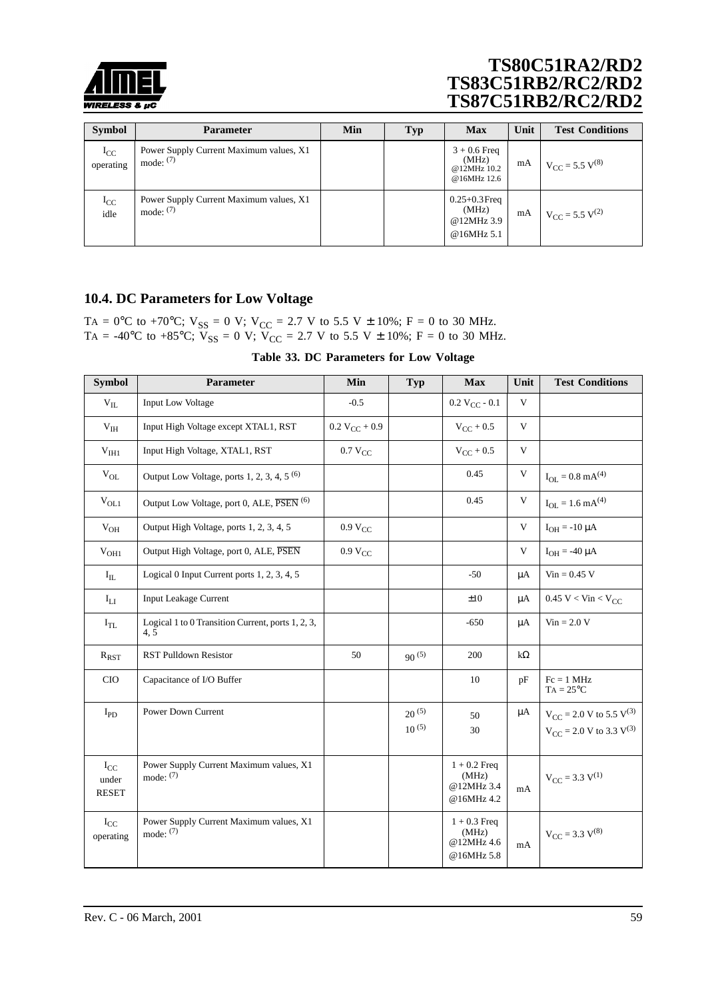

| <b>Symbol</b>         | Parameter                                              | Min | <b>Typ</b> | <b>Max</b>                                             | Unit | <b>Test Conditions</b>                 |
|-----------------------|--------------------------------------------------------|-----|------------|--------------------------------------------------------|------|----------------------------------------|
| $I_{CC}$<br>operating | Power Supply Current Maximum values, X1<br>mode: $(7)$ |     |            | $3 + 0.6$ Freq<br>(MHz)<br>@12MHz 10.2<br>@16MHz 12.6  | mA   | $V_{\text{CC}}$ = 5.5 V <sup>(8)</sup> |
| $I_{CC}$<br>idle      | Power Supply Current Maximum values, X1<br>mode: $(7)$ |     |            | $0.25 + 0.3$ Freq<br>(MHz)<br>@12MHz 3.9<br>@16MHz 5.1 | mA   | $V_{\text{CC}} = 5.5 \text{ V}^{(2)}$  |

## **10.4. DC Parameters for Low Voltage**

TA = 0°C to +70°C;  $V_{SS}$  = 0 V;  $V_{CC}$  = 2.7 V to 5.5 V ± 10%; F = 0 to 30 MHz. TA = -40°C to +85°C;  $V_{SS} = 0$  V;  $V_{CC} = 2.7$  V to 5.5 V  $\pm$  10%; F = 0 to 30 MHz.

|  |  | Table 33. DC Parameters for Low Voltage |  |  |  |
|--|--|-----------------------------------------|--|--|--|
|--|--|-----------------------------------------|--|--|--|

| <b>Symbol</b>                     | Parameter                                                 | Min                 | Typ                      | <b>Max</b>                                          | Unit         | <b>Test Conditions</b>                                                               |
|-----------------------------------|-----------------------------------------------------------|---------------------|--------------------------|-----------------------------------------------------|--------------|--------------------------------------------------------------------------------------|
| $V_{IL}$                          | <b>Input Low Voltage</b>                                  | $-0.5$              |                          | $0.2 V_{CC} - 0.1$                                  | $\mathbf{V}$ |                                                                                      |
| $V_{IH}$                          | Input High Voltage except XTAL1, RST                      | $0.2 V_{CC} + 0.9$  |                          | $V_{CC}$ + 0.5                                      | V            |                                                                                      |
| V <sub>III1</sub>                 | Input High Voltage, XTAL1, RST                            | $0.7 V_{CC}$        |                          | $V_{CC}$ + 0.5                                      | $\mathbf{V}$ |                                                                                      |
| $\rm V_{OL}$                      | Output Low Voltage, ports 1, 2, 3, 4, 5 $(6)$             |                     |                          | 0.45                                                | V            | $I_{OL} = 0.8$ mA <sup>(4)</sup>                                                     |
| $V_{OL1}$                         | Output Low Voltage, port 0, ALE, PSEN <sup>(6)</sup>      |                     |                          | 0.45                                                | $\mathbf{V}$ | $I_{OL} = 1.6$ mA <sup>(4)</sup>                                                     |
| $\rm{V}_{OH}$                     | Output High Voltage, ports 1, 2, 3, 4, 5                  | 0.9 V <sub>CC</sub> |                          |                                                     | $\mathbf{V}$ | $I_{OH} = -10 \mu A$                                                                 |
| V <sub>OH1</sub>                  | Output High Voltage, port 0, ALE, PSEN                    | 0.9 V <sub>CC</sub> |                          |                                                     | V            | $I_{OH} = -40 \mu A$                                                                 |
| $\rm I_{IL}$                      | Logical 0 Input Current ports 1, 2, 3, 4, 5               |                     |                          | $-50$                                               | $\mu A$      | $Vin = 0.45 V$                                                                       |
| $I_{LI}$                          | <b>Input Leakage Current</b>                              |                     |                          | ±10                                                 | μA           | 0.45 V < Vin < V <sub>CC</sub>                                                       |
| $I_{TL}$                          | Logical 1 to 0 Transition Current, ports 1, 2, 3,<br>4, 5 |                     |                          | $-650$                                              | $\mu A$      | $Vin = 2.0 V$                                                                        |
| $R_{RST}$                         | <b>RST Pulldown Resistor</b>                              | 50                  | $90^{(5)}$               | 200                                                 | $k\Omega$    |                                                                                      |
| <b>CIO</b>                        | Capacitance of I/O Buffer                                 |                     |                          | 10                                                  | pF           | $Fc = 1 MHz$<br>$TA = 25^{\circ}C$                                                   |
| $I_{PD}$                          | <b>Power Down Current</b>                                 |                     | $20^{(5)}$<br>$10^{(5)}$ | 50<br>30                                            | μA           | $V_{CC}$ = 2.0 V to 5.5 V <sup>(3)</sup><br>$V_{CC}$ = 2.0 V to 3.3 V <sup>(3)</sup> |
| $I_{CC}$<br>under<br><b>RESET</b> | Power Supply Current Maximum values, X1<br>mode: $(7)$    |                     |                          | $1 + 0.2$ Freq<br>(MHz)<br>@12MHz 3.4<br>@16MHz 4.2 | mA           | $V_{CC}$ = 3.3 $V^{(1)}$                                                             |
| $I_{CC}$<br>operating             | Power Supply Current Maximum values, X1<br>mode: $(7)$    |                     |                          | $1 + 0.3$ Freq<br>(MHz)<br>@12MHz 4.6<br>@16MHz 5.8 | mA           | $V_{CC} = 3.3 V^{(8)}$                                                               |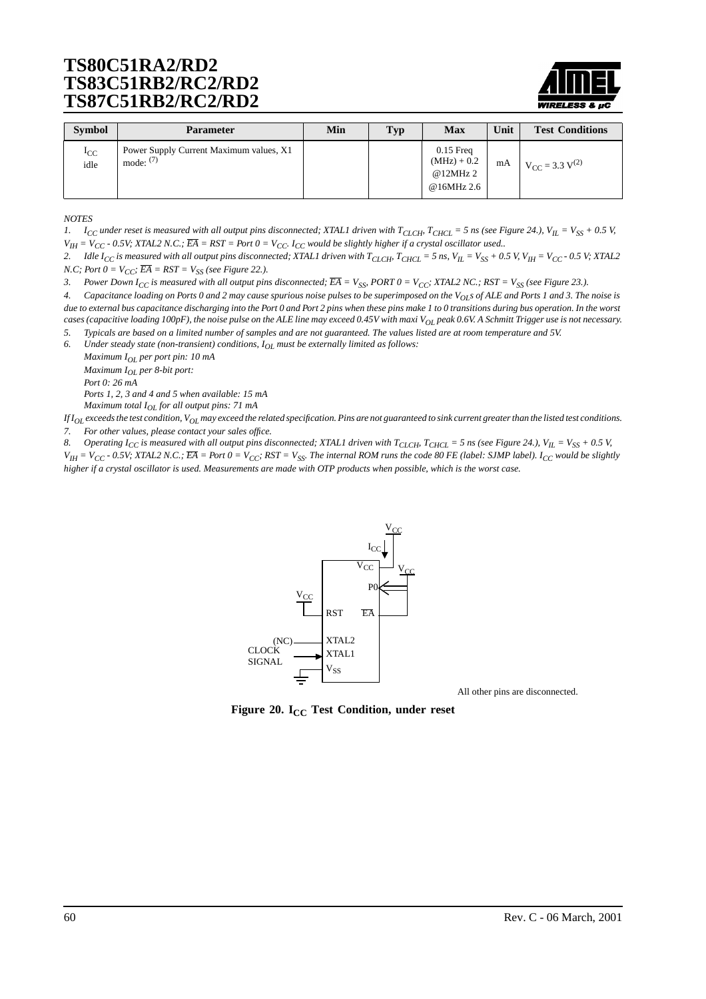

| <b>Symbol</b>       | <b>Parameter</b>                                       | Min | <b>Typ</b> | Max                                                   | Unit | <b>Test Conditions</b>   |
|---------------------|--------------------------------------------------------|-----|------------|-------------------------------------------------------|------|--------------------------|
| $_{\rm{c}}$<br>idle | Power Supply Current Maximum values, X1<br>mode: $(7)$ |     |            | $0.15$ Freq<br>$(MHz) + 0.2$<br>@12MHz2<br>@16MHz 2.6 | mA   | $V_{CC}$ = 3.3 $V^{(2)}$ |

*NOTES*

*1.*  $I_{CC}$  under reset is measured with all output pins disconnected; XTAL1 driven with  $T_{CLCH}$ ,  $T_{CHCL}$  = 5 ns (see [Figure 24.\)](#page-60-0),  $V_{IL} = V_{SS} + 0.5$  V,  $V_{IH} = V_{CC}$  - 0.5V; XTAL2 N.C.;  $\overline{EA} = RST = Port 0 = V_{CC}$ .  $I_{CC}$  would be slightly higher if a crystal oscillator used..

2. Idle  $I_{CC}$  is measured with all output pins disconnected; XTAL1 driven with  $T_{CLCH}$ ,  $T_{CHCL}$  = 5 ns,  $V_{IL}$  =  $V_{SS}$  + 0.5 V,  $V_{IH}$  =  $V_{CC}$  - 0.5 V; XTAL2 *N.C; Port*  $0 = V_{CC}$ *;*  $\overline{EA} = RST = V_{SS}$  *(see [Figure 22.\)](#page-60-0).* 

3. Power Down I<sub>CC</sub> is measured with all output pins disconnected;  $\overline{EA} = V_{SS}$ , PORT  $0 = V_{CC}$ ; XTAL2 NC.; RST =  $V_{SS}$  (see [Figure 23.\)](#page-60-0).

*4. Capacitance loading on Ports 0 and 2 may cause spurious noise pulses to be superimposed on the VOLs of ALE and Ports 1 and 3. The noise is due to external bus capacitance discharging into the Port 0 and Port 2 pins when these pins make 1 to 0 transitions during bus operation. In the worst cases (capacitive loading 100pF), the noise pulse on the ALE line may exceed 0.45V with maxi VOL peak 0.6V. A Schmitt Trigger use is not necessary.*

*5. Typicals are based on a limited number of samples and are not guaranteed. The values listed are at room temperature and 5V.*

*6. Under steady state (non-transient) conditions, IOL must be externally limited as follows:*

*Maximum IOL per port pin: 10 mA Maximum IOL per 8-bit port: Port 0: 26 mA Ports 1, 2, 3 and 4 and 5 when available: 15 mA*

*Maximum total IOL for all output pins: 71 mA*

*If IOL exceeds the test condition, VOL may exceed the related specification. Pins are not guaranteed to sink current greater than the listed test conditions. 7. For other values, please contact your sales office.*

8. Operating  $I_{CC}$  is measured with all output pins disconnected; XTAL1 driven with  $T_{CLCH}$ ,  $T_{CHCL}$  = 5 ns (see [Figure 24.\)](#page-60-0),  $V_{IL}$  =  $V_{SS}$  + 0.5 V,

 $V_{IH}$  =  $V_{CC}$  - 0.5V; XTAL2 N.C.;  $\overline{EA}$  = Port  $0 = V_{CC}$ ; RST =  $V_{SS}$ . The internal ROM runs the code 80 FE (label: SJMP label). I<sub>CC</sub> would be slightly *higher if a crystal oscillator is used. Measurements are made with OTP products when possible, which is the worst case.*



All other pins are disconnected.

**Figure 20. I<sub>CC</sub> Test Condition, under reset**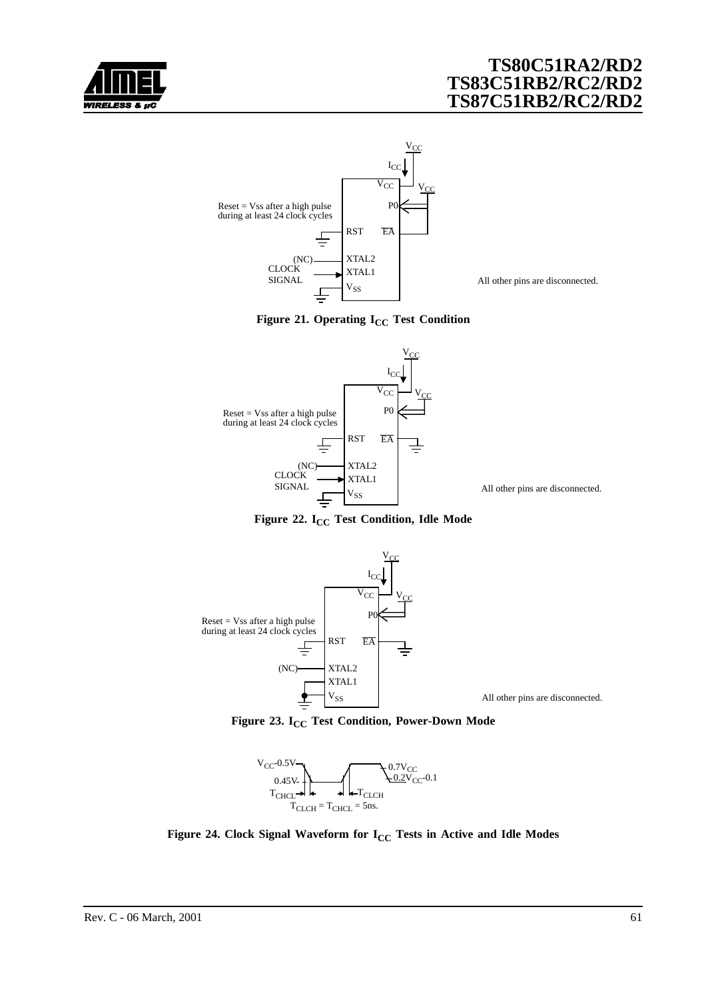<span id="page-60-0"></span>



All other pins are disconnected.





All other pins are disconnected.





Figure 23. I<sub>CC</sub> Test Condition, Power-Down Mode



**Figure 24. Clock Signal Waveform for I<sub>CC</sub> Tests in Active and Idle Modes**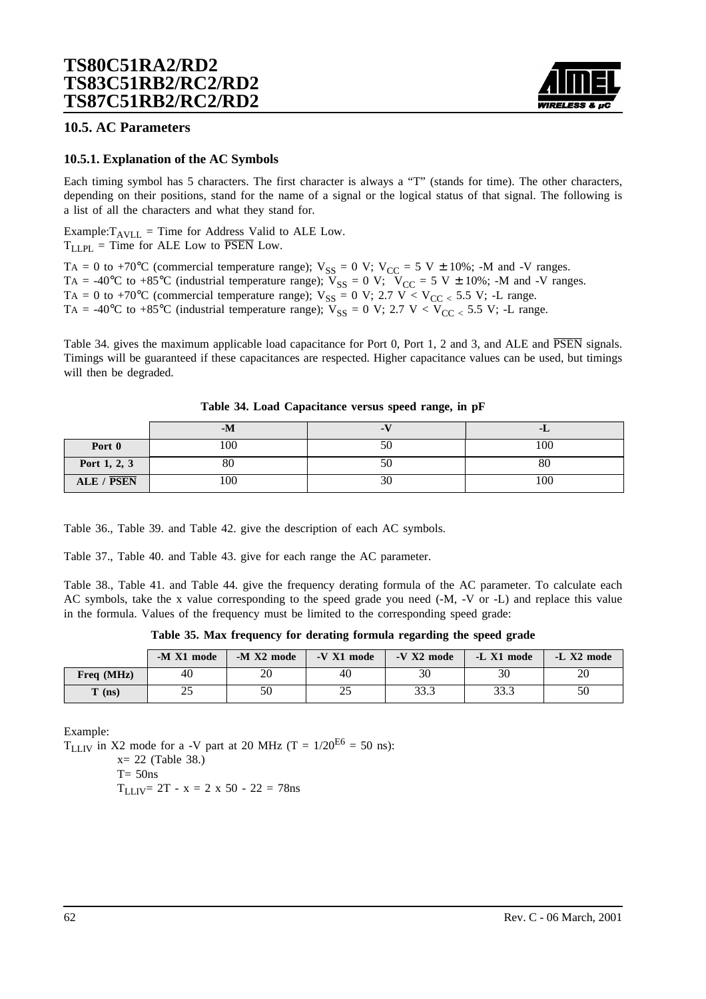

### **10.5. AC Parameters**

### **10.5.1. Explanation of the AC Symbols**

Each timing symbol has 5 characters. The first character is always a "T" (stands for time). The other characters, depending on their positions, stand for the name of a signal or the logical status of that signal. The following is a list of all the characters and what they stand for.

Example: $T_{AVLL}$  = Time for Address Valid to ALE Low.  $T_{LLPI}$  = Time for ALE Low to  $\overline{PSEN}$  Low.

TA = 0 to +70°C (commercial temperature range);  $V_{SS} = 0$  V;  $V_{CC} = 5$  V  $\pm$  10%; -M and -V ranges. TA = -40°C to +85°C (industrial temperature range);  $V_{SS} = 0$  V;  $V_{CC} = 5$  V  $\pm$  10%; -M and -V ranges. TA = 0 to +70°C (commercial temperature range);  $V_{SS} = 0$  V; 2.7 V < V<sub>CC <</sub> 5.5 V; -L range. TA = -40°C to +85°C (industrial temperature range);  $V_{SS} = 0$  V; 2.7 V <  $V_{CC}$  < 5.5 V; -L range.

Table 34. gives the maximum applicable load capacitance for Port 0, Port 1, 2 and 3, and ALE and PSEN signals. Timings will be guaranteed if these capacitances are respected. Higher capacitance values can be used, but timings will then be degraded.

|              | $-M$ | - 1                  | -L  |
|--------------|------|----------------------|-----|
| Port 0       | 100  |                      | 100 |
| Port 1, 2, 3 | 80   | эu                   | 80  |
| ALE / PSEN   | 100  | $\overline{c}$<br>3U | 100 |

|  | Table 34. Load Capacitance versus speed range, in pF |  |  |  |
|--|------------------------------------------------------|--|--|--|
|  |                                                      |  |  |  |

[Table 36.,](#page-62-0) [Table 39. a](#page-64-0)nd [Table 42. g](#page-67-0)ive the description of each AC symbols.

[Table 37.,](#page-62-0) [Table 40. a](#page-65-0)nd [Table 43. g](#page-67-0)ive for each range the AC parameter.

[Table 38.](#page-63-0), [Table 41.](#page-66-0) and [Table 44.](#page-68-0) give the frequency derating formula of the AC parameter. To calculate each AC symbols, take the x value corresponding to the speed grade you need (-M, -V or -L) and replace this value in the formula. Values of the frequency must be limited to the corresponding speed grade:

**Table 35. Max frequency for derating formula regarding the speed grade**

|              | -M X1 mode | -M X2 mode | -V X1 mode | $-V X2 mode$ | -L X1 mode   | -L X2 mode |
|--------------|------------|------------|------------|--------------|--------------|------------|
| Freq $(MHz)$ | 40         | 20         | 40         | 30           | 30           | 20         |
| $T$ (ns)     | つよ<br>ت    | 50         | ر_ر        | 33.3         | າາ າ<br>ں رو | 50         |

Example:

 $T_{LLIV}$  in X2 mode for a -V part at 20 MHz (T = 1/20<sup>E6</sup> = 50 ns):

 $x = 22$  ([Table 38.\)](#page-63-0)

 $T= 50$ ns

 $T_{LLIV}$  = 2T - x = 2 x 50 - 22 = 78ns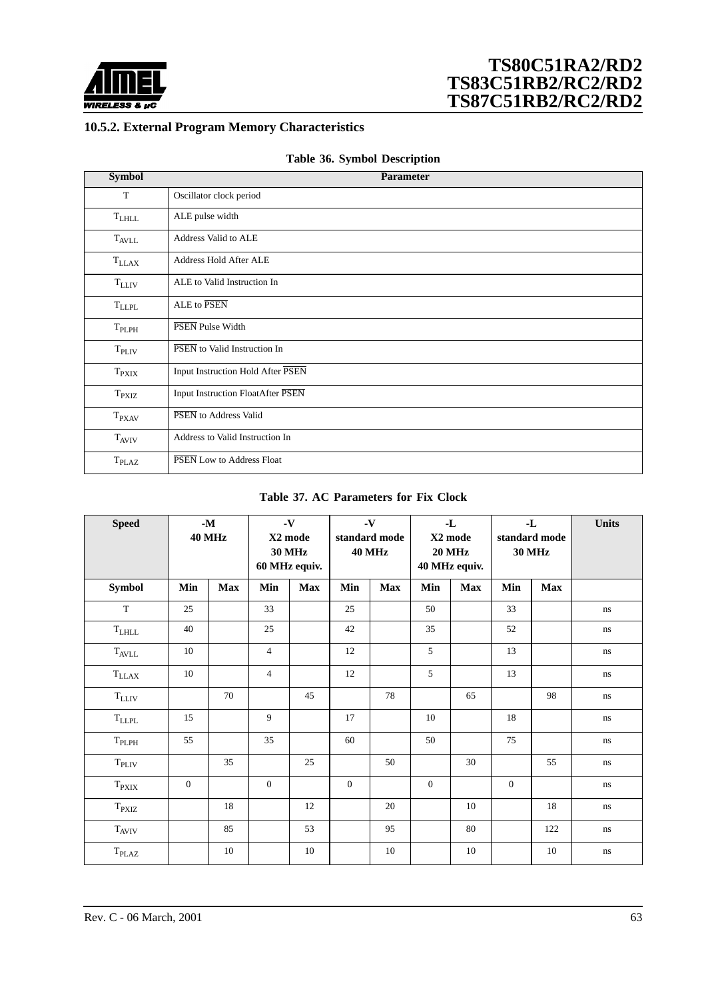<span id="page-62-0"></span>

## **10.5.2. External Program Memory Characteristics**

| Table 36. Symbol Description |  |  |  |  |
|------------------------------|--|--|--|--|
|------------------------------|--|--|--|--|

| <b>Symbol</b>     | <b>Parameter</b>                  |
|-------------------|-----------------------------------|
| T                 | Oscillator clock period           |
| $T_{LHLL}$        | ALE pulse width                   |
| <b>TAVLL</b>      | Address Valid to ALE              |
| $T_{LLAX}$        | Address Hold After ALE            |
| $T_{LLIV}$        | ALE to Valid Instruction In       |
| $T_{LLPL}$        | ALE to PSEN                       |
| $T_{PLPH}$        | PSEN Pulse Width                  |
| T <sub>PLIV</sub> | PSEN to Valid Instruction In      |
| $T_{\rm PXIX}$    | Input Instruction Hold After PSEN |
| $T_{\rm PXIZ}$    | Input Instruction FloatAfter PSEN |
| $T_{\rm P XAV}$   | PSEN to Address Valid             |
| $T_{AVIV}$        | Address to Valid Instruction In   |
| T <sub>PLAZ</sub> | PSEN Low to Address Float         |

#### **Table 37. AC Parameters for Fix Clock**

| <b>Speed</b>                 |                | $\mathbf{-M}$<br><b>40 MHz</b> |                | $\mathbf{-V}$<br>X2 mode<br><b>30 MHz</b><br>60 MHz equiv. |              | $\mathbf{-V}$<br>$-L$<br>standard mode<br>X2 mode<br><b>40 MHz</b><br><b>20 MHz</b><br>40 MHz equiv. |                | -L<br>standard mode<br><b>30 MHz</b> |              | Units      |          |
|------------------------------|----------------|--------------------------------|----------------|------------------------------------------------------------|--------------|------------------------------------------------------------------------------------------------------|----------------|--------------------------------------|--------------|------------|----------|
| <b>Symbol</b>                | Min            | <b>Max</b>                     | Min            | <b>Max</b>                                                 | Min          | <b>Max</b>                                                                                           | Min            | <b>Max</b>                           | Min          | <b>Max</b> |          |
| $\mathbf T$                  | 25             |                                | 33             |                                                            | 25           |                                                                                                      | 50             |                                      | 33           |            | ns       |
| $\rm T_{LHLL}$               | 40             |                                | 25             |                                                            | 42           |                                                                                                      | 35             |                                      | 52           |            | ns       |
| $T_{AVLL}$                   | 10             |                                | $\overline{4}$ |                                                            | 12           |                                                                                                      | 5              |                                      | 13           |            | ns       |
| $\mathrm{T}_{\rm LLAX}$      | 10             |                                | $\overline{4}$ |                                                            | $12\,$       |                                                                                                      | 5              |                                      | 13           |            | ns       |
| $\rm T_{LLIV}$               |                | 70                             |                | 45                                                         |              | 78                                                                                                   |                | 65                                   |              | 98         | ns       |
| $\rm T_{LLPL}$               | 15             |                                | 9              |                                                            | 17           |                                                                                                      | 10             |                                      | 18           |            | ns       |
| $\mathrm{T}_{\mathrm{PLPH}}$ | 55             |                                | 35             |                                                            | 60           |                                                                                                      | 50             |                                      | 75           |            | ns       |
| $\mathrm{T}_{\mathrm{PLIV}}$ |                | 35                             |                | 25                                                         |              | 50                                                                                                   |                | 30                                   |              | 55         | ns       |
| $\mathrm{T}_{\mathrm{PXIX}}$ | $\overline{0}$ |                                | $\overline{0}$ |                                                            | $\mathbf{0}$ |                                                                                                      | $\overline{0}$ |                                      | $\mathbf{0}$ |            | $\rm ns$ |
| $T_{\rm PXIZ}$               |                | 18                             |                | 12                                                         |              | 20                                                                                                   |                | 10                                   |              | 18         | ns       |
| $\rm T_{AVIV}$               |                | 85                             |                | 53                                                         |              | 95                                                                                                   |                | 80                                   |              | 122        | ns       |
| $\mathrm{T}_{\mathrm{PLAZ}}$ |                | 10                             |                | 10                                                         |              | 10                                                                                                   |                | 10                                   |              | 10         | $\rm ns$ |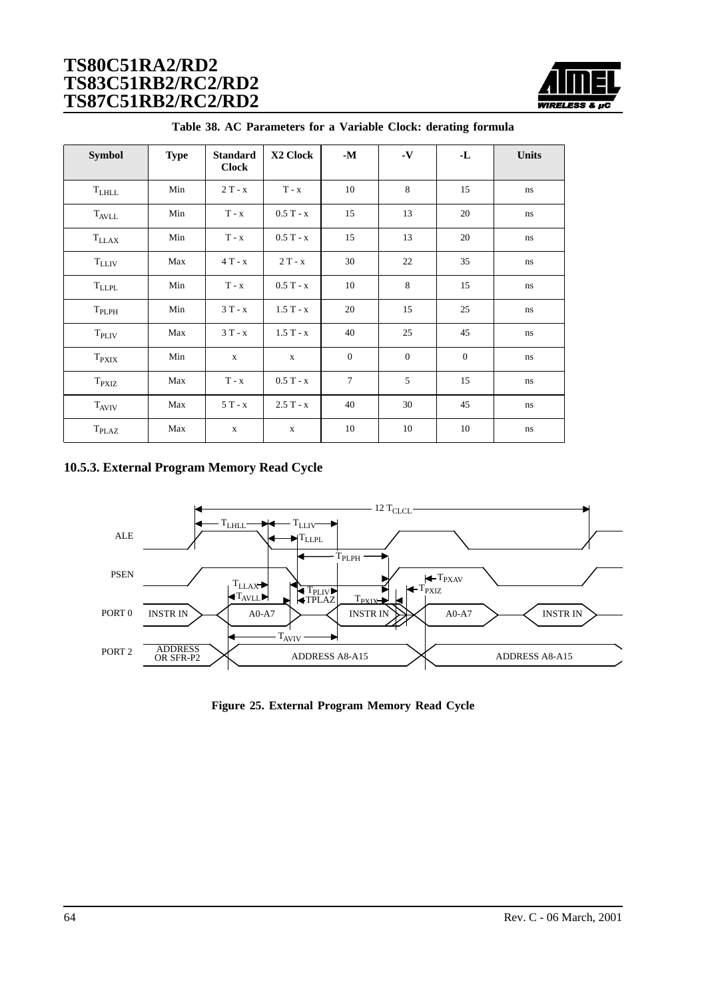

<span id="page-63-0"></span>

| <b>Symbol</b>     | <b>Type</b> | <b>Standard</b><br><b>Clock</b> | X2 Clock     | $\mathbf{-M}$  | $\mathbf{-V}$ | -L             | <b>Units</b> |
|-------------------|-------------|---------------------------------|--------------|----------------|---------------|----------------|--------------|
| $\rm T_{LHLL}$    | Min         | $2T - x$                        | $T - x$      | 10             | 8             | 15             | ns           |
| $T_{AVLL}$        | Min         | $T - x$                         | $0.5T - x$   | 15             | 13            | 20             | ns           |
| $T_{LLAX}$        | Min         | $T - x$                         | $0.5T - x$   | 15             | 13            | 20             | ns           |
| $T_{LLIV}$        | Max         | $4T - x$                        | $2T - x$     | 30             | 22            | 35             | ns           |
| <b>TLLPL</b>      | Min         | $T - x$                         | $0.5T - x$   | 10             | 8             | 15             | ns           |
| $T_{PLPH}$        | Min         | $3T - x$                        | $1.5T - x$   | 20             | 15            | 25             | ns           |
| T <sub>PLIV</sub> | Max         | $3T - x$                        | $1.5T - x$   | 40             | 25            | 45             | ns           |
| $T_{\rm PXIX}$    | Min         | $\mathbf{X}$                    | $\mathbf{x}$ | $\overline{0}$ | $\mathbf{0}$  | $\overline{0}$ | ns           |
| $T_{\rm PXIZ}$    | Max         | $T - x$                         | $0.5T - x$   | $\tau$         | 5             | 15             | ns           |
| $T_{AVIV}$        | Max         | $5T - x$                        | $2.5T - x$   | 40             | 30            | 45             | ns           |
| T <sub>PLAZ</sub> | Max         | $\mathbf X$                     | $\mathbf X$  | 10             | 10            | 10             | ns           |

|  |  |  |  |  | Table 38. AC Parameters for a Variable Clock: derating formula |  |
|--|--|--|--|--|----------------------------------------------------------------|--|
|--|--|--|--|--|----------------------------------------------------------------|--|

### **10.5.3. External Program Memory Read Cycle**



**Figure 25. External Program Memory Read Cycle**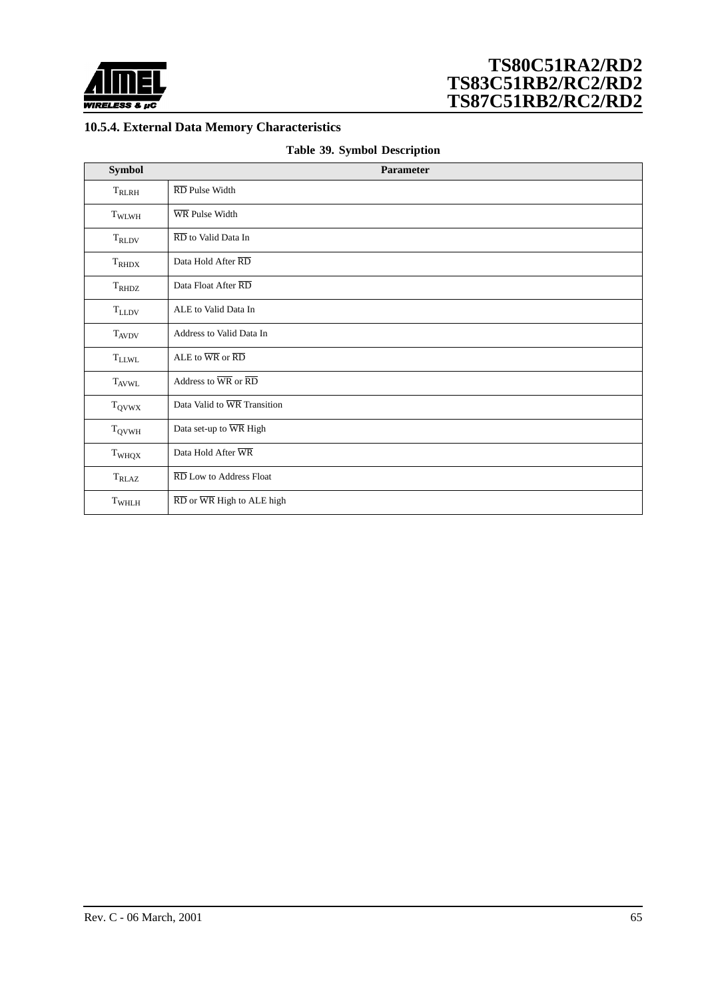<span id="page-64-0"></span>

## **10.5.4. External Data Memory Characteristics**

|  |  |  | Table 39. Symbol Description |
|--|--|--|------------------------------|
|--|--|--|------------------------------|

| <b>Symbol</b>     | Parameter                                                         |
|-------------------|-------------------------------------------------------------------|
| $T_{RLRH}$        | RD Pulse Width                                                    |
| T <sub>WLWH</sub> | WR Pulse Width                                                    |
| $\rm T_{RLDV}$    | $\overline{\text{RD}}$ to Valid Data In                           |
| $T_{RHDX}$        | Data Hold After RD                                                |
| $T_{RHDZ}$        | Data Float After RD                                               |
| $\rm T_{LLDV}$    | ALE to Valid Data In                                              |
| $T_{AVDV}$        | Address to Valid Data In                                          |
| $\rm T_{LLWL}$    | ALE to $\overline{\text{WR}}$ or $\overline{\text{RD}}$           |
| $T_{AVWL}$        | Address to $\overline{\text{WR}}$ or $\overline{\text{RD}}$       |
| $T_{QVWX}$        | Data Valid to WR Transition                                       |
| $\rm T_{QVWH}$    | Data set-up to WR High                                            |
| T <sub>WHQX</sub> | Data Hold After WR                                                |
| $T_{RLAZ}$        | RD Low to Address Float                                           |
| T <sub>WHLH</sub> | $\overline{\text{RD}}$ or $\overline{\text{WR}}$ High to ALE high |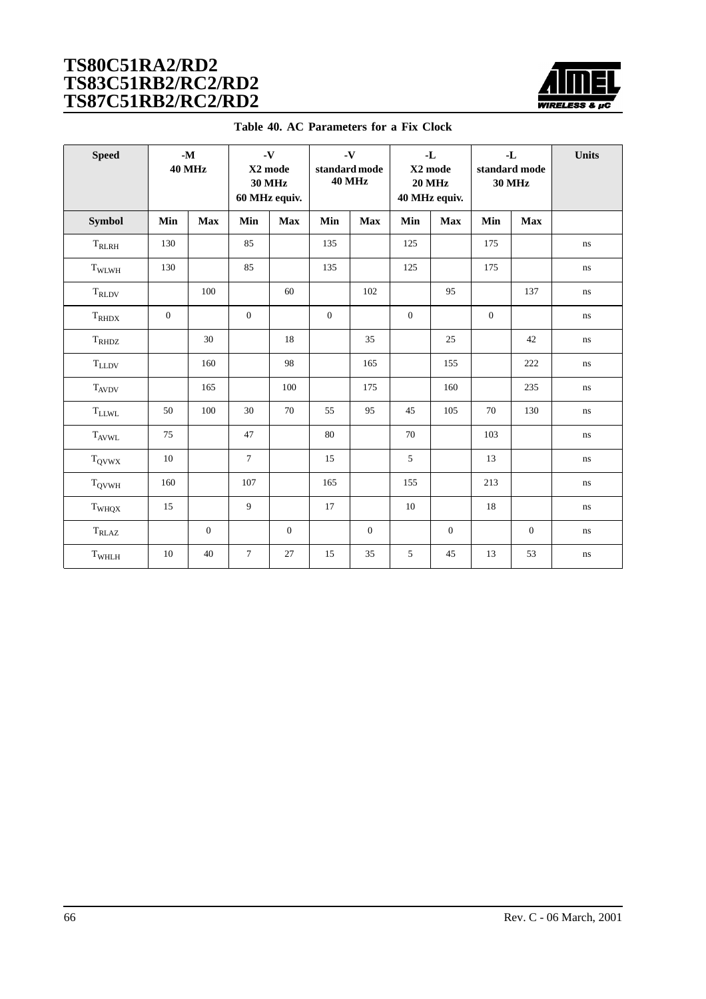

| Table 40. AC Parameters for a Fix Clock |  |
|-----------------------------------------|--|
|-----------------------------------------|--|

<span id="page-65-0"></span>

| <b>Speed</b>       |                  | $-M$<br><b>40 MHz</b> |                | $\mathbf{-V}$<br>X2 mode<br><b>30 MHz</b><br>60 MHz equiv. |                  | $\mathbf{-V}$<br>standard mode<br><b>40 MHz</b> | $-I$<br>X2 mode<br><b>20 MHz</b><br>40 MHz equiv. |              | $-L$<br>standard mode<br><b>30 MHz</b> |                | Units    |
|--------------------|------------------|-----------------------|----------------|------------------------------------------------------------|------------------|-------------------------------------------------|---------------------------------------------------|--------------|----------------------------------------|----------------|----------|
| Symbol             | Min              | <b>Max</b>            | Min            | <b>Max</b>                                                 | Min              | <b>Max</b>                                      | Min                                               | <b>Max</b>   | Min                                    | <b>Max</b>     |          |
| $\rm T_{RLRH}$     | 130              |                       | 85             |                                                            | 135              |                                                 | 125                                               |              | 175                                    |                | ns.      |
| $\rm T_{\rm WLWH}$ | 130              |                       | 85             |                                                            | 135              |                                                 | 125                                               |              | 175                                    |                | ns       |
| $T_{RLDV}$         |                  | 100                   |                | 60                                                         |                  | 102                                             |                                                   | 95           |                                        | 137            | ns       |
| $\rm T_{RHDX}$     | $\boldsymbol{0}$ |                       | $\mathbf{0}$   |                                                            | $\boldsymbol{0}$ |                                                 | $\mathbf{0}$                                      |              | $\boldsymbol{0}$                       |                | ns       |
| $\rm T_{RHDZ}$     |                  | 30                    |                | 18                                                         |                  | 35                                              |                                                   | 25           |                                        | 42             | ns       |
| $T_{LLDV}$         |                  | 160                   |                | 98                                                         |                  | 165                                             |                                                   | 155          |                                        | 222            | ns       |
| $T_{AVDV}$         |                  | 165                   |                | 100                                                        |                  | 175                                             |                                                   | 160          |                                        | 235            | ns       |
| $\rm T_{LLWL}$     | 50               | 100                   | 30             | 70                                                         | 55               | 95                                              | 45                                                | 105          | 70                                     | 130            | ns       |
| $T_{\rm AVWL}$     | 75               |                       | 47             |                                                            | 80               |                                                 | 70                                                |              | 103                                    |                | ns       |
| $T_{QVWX}$         | 10               |                       | $\overline{7}$ |                                                            | 15               |                                                 | 5                                                 |              | 13                                     |                | ns       |
| $T_{\rm QVWH}$     | 160              |                       | 107            |                                                            | 165              |                                                 | 155                                               |              | 213                                    |                | $\bf ns$ |
| $\rm T_{WHQX}$     | 15               |                       | 9              |                                                            | 17               |                                                 | 10                                                |              | 18                                     |                | $\bf ns$ |
| $T_{RLAZ}$         |                  | $\mathbf{0}$          |                | $\mathbf{0}$                                               |                  | $\overline{0}$                                  |                                                   | $\mathbf{0}$ |                                        | $\overline{0}$ | ns       |
| $\rm T_{WHLH}$     | 10               | 40                    | $\tau$         | 27                                                         | 15               | 35                                              | 5                                                 | 45           | 13                                     | 53             | $\rm ns$ |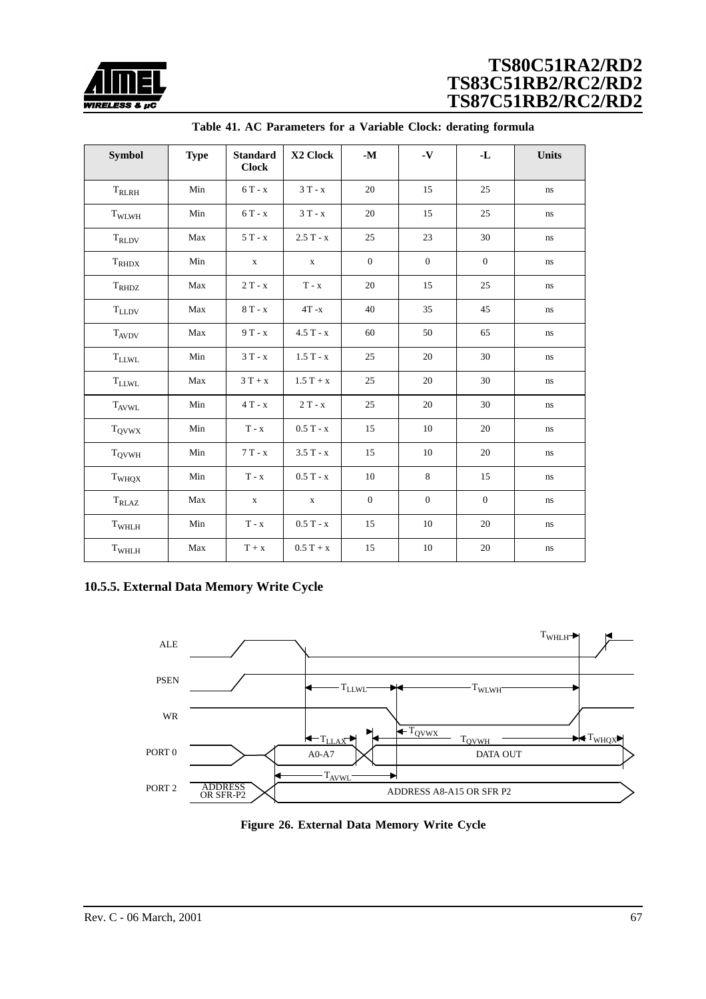<span id="page-66-0"></span>

| <b>Symbol</b>     | <b>Type</b> | <b>Standard</b><br><b>Clock</b> | X2 Clock    | $\mathbf{-M}$    | $\mathbf{-V}$ | -L           | <b>Units</b> |
|-------------------|-------------|---------------------------------|-------------|------------------|---------------|--------------|--------------|
| $T_{RLRH}$        | Min         | $6T - x$                        | $3T - x$    | 20               | 15            | 25           | $\rm ns$     |
| TWLWH             | Min         | $6T - x$                        | $3T - x$    | 20               | 15            | 25           | $\rm ns$     |
| $T_{RLDV}$        | Max         | $5T - x$                        | $2.5T - x$  | 25               | 23            | 30           | $\rm ns$     |
| $T_{RHDX}$        | Min         | X                               | $\mathbf X$ | $\boldsymbol{0}$ | $\mathbf{0}$  | $\mathbf{0}$ | ns           |
| $T_{RHDZ}$        | Max         | $2T - x$                        | $T - x$     | 20               | 15            | 25           | $\rm ns$     |
| $\rm T_{LLDV}$    | Max         | $8T - x$                        | $4T - x$    | 40               | 35            | 45           | $\rm ns$     |
| <b>TAVDV</b>      | Max         | $9T - x$                        | $4.5T - x$  | 60               | 50            | 65           | $\rm ns$     |
| $\rm T_{LLWL}$    | Min         | $3T - x$                        | $1.5T - x$  | 25               | 20            | 30           | $\bf ns$     |
| $\rm T_{LLWL}$    | Max         | $3T + x$                        | $1.5T + x$  | 25               | 20            | 30           | $\,ns\,$     |
| <b>TAVWL</b>      | Min         | $4T - x$                        | $2T - x$    | 25               | 20            | 30           | $\, \! ns$   |
| $T_{QVWX}$        | Min         | $T - x$                         | $0.5T - x$  | 15               | 10            | 20           | $\rm ns$     |
| $T_{\rm QVWH}$    | Min         | $7T - x$                        | $3.5T - x$  | 15               | 10            | 20           | $\rm ns$     |
| T <sub>WHQX</sub> | Min         | $T - x$                         | $0.5T - x$  | 10               | 8             | 15           | $\rm ns$     |
| $T_{RLAZ}$        | Max         | $\mathbf X$                     | $\mathbf X$ | $\overline{0}$   | $\mathbf{0}$  | $\mathbf{0}$ | $\rm ns$     |
| T <sub>WHLH</sub> | Min         | $T - x$                         | $0.5T - x$  | 15               | 10            | 20           | $\rm ns$     |
| $\rm T_{WHLH}$    | Max         | $T + x$                         | $0.5T + x$  | 15               | $10\,$        | $20\,$       | $\bf ns$     |

**Table 41. AC Parameters for a Variable Clock: derating formula**

### **10.5.5. External Data Memory Write Cycle**



**Figure 26. External Data Memory Write Cycle**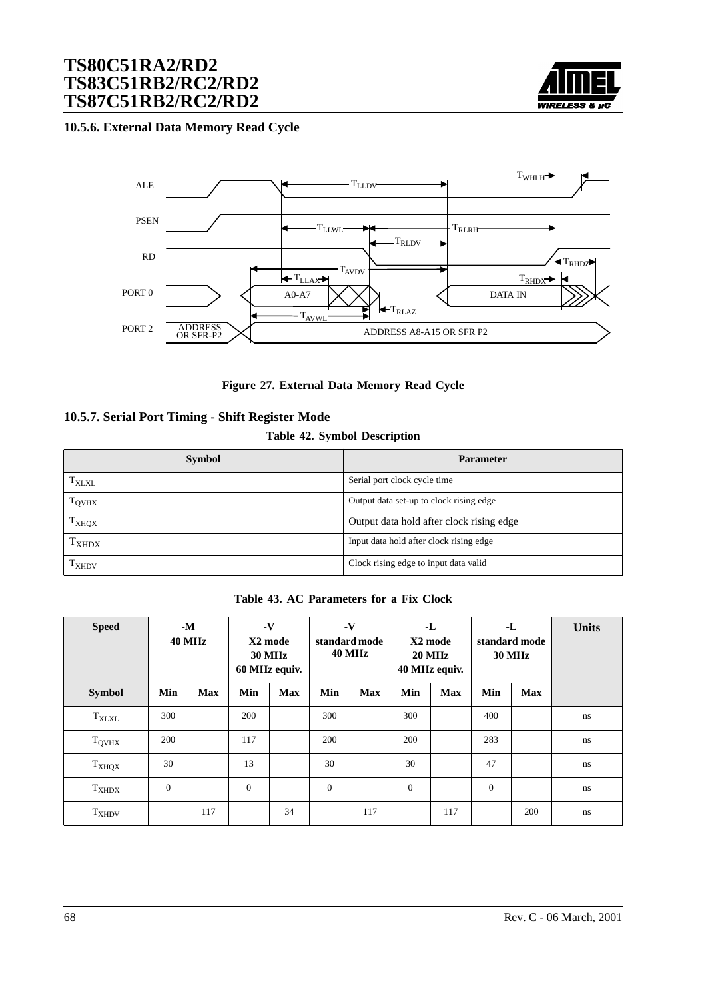

### <span id="page-67-0"></span>**10.5.6. External Data Memory Read Cycle**



**Figure 27. External Data Memory Read Cycle**

### **10.5.7. Serial Port Timing - Shift Register Mode**

### **Table 42. Symbol Description**

| <b>Symbol</b>     | <b>Parameter</b>                         |
|-------------------|------------------------------------------|
| $T_{\rm XLXL}$    | Serial port clock cycle time             |
| T <sub>QVHX</sub> | Output data set-up to clock rising edge  |
| T <sub>XHQX</sub> | Output data hold after clock rising edge |
| $T_{XHDX}$        | Input data hold after clock rising edge  |
| $T_{XHDV}$        | Clock rising edge to input data valid    |

**Table 43. AC Parameters for a Fix Clock**

| <b>Speed</b>      |              | $-M$<br><b>40 MHz</b> |              | $\mathbf{-V}$<br>X2 mode<br><b>30 MHz</b><br>60 MHz equiv. |              | $\mathbf{-V}$<br>$-L$<br>X2 mode<br>standard mode<br><b>40 MHz</b><br><b>20 MHz</b><br>40 MHz equiv. |              | -L<br>standard mode<br><b>30 MHz</b> |              | <b>Units</b> |               |
|-------------------|--------------|-----------------------|--------------|------------------------------------------------------------|--------------|------------------------------------------------------------------------------------------------------|--------------|--------------------------------------|--------------|--------------|---------------|
| <b>Symbol</b>     | Min          | <b>Max</b>            | Min          | <b>Max</b>                                                 | Min          | <b>Max</b>                                                                                           | Min          | <b>Max</b>                           | Min          | <b>Max</b>   |               |
| $T_{\rm{XLXL}}$   | 300          |                       | 200          |                                                            | 300          |                                                                                                      | 300          |                                      | 400          |              | <sub>ns</sub> |
| $T_{\text{QVHX}}$ | 200          |                       | 117          |                                                            | 200          |                                                                                                      | 200          |                                      | 283          |              | <sub>ns</sub> |
| $T_{XHQX}$        | 30           |                       | 13           |                                                            | 30           |                                                                                                      | 30           |                                      | 47           |              | ns            |
| $T_{XHDX}$        | $\mathbf{0}$ |                       | $\mathbf{0}$ |                                                            | $\mathbf{0}$ |                                                                                                      | $\mathbf{0}$ |                                      | $\mathbf{0}$ |              | ns            |
| $T_{XHDV}$        |              | 117                   |              | 34                                                         |              | 117                                                                                                  |              | 117                                  |              | 200          | ns            |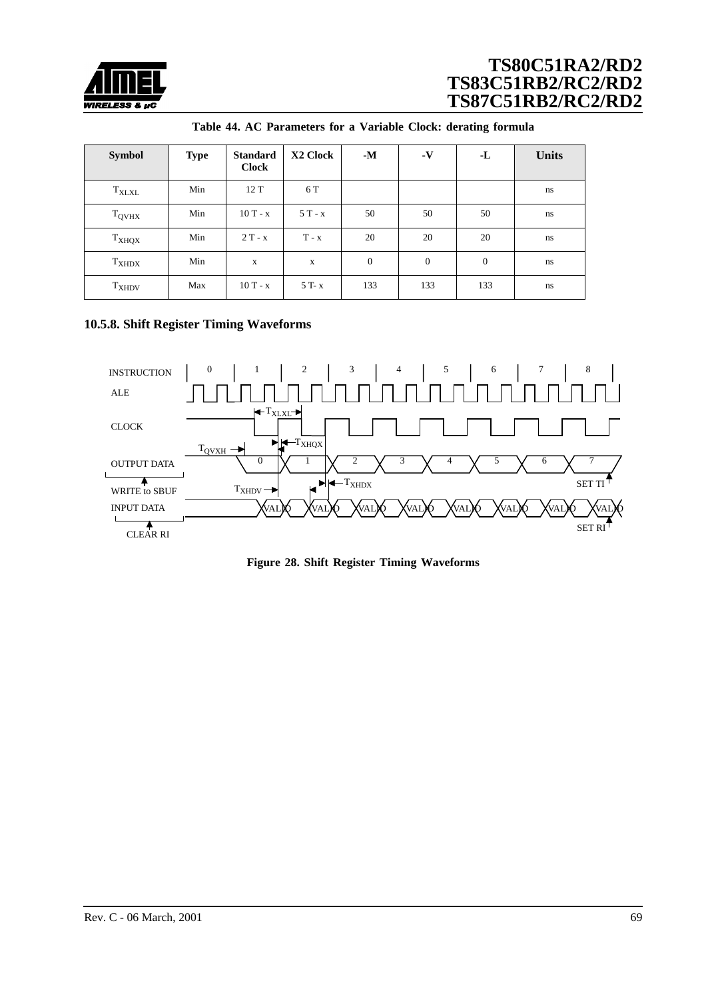<span id="page-68-0"></span>

| <b>Symbol</b>     | <b>Type</b> | <b>Standard</b><br><b>Clock</b> | X2 Clock    | $-M$             | $\mathbf{-V}$ | -L           | <b>Units</b> |
|-------------------|-------------|---------------------------------|-------------|------------------|---------------|--------------|--------------|
| $T_{\text{XLXL}}$ | Min         | 12T                             | 6 T         |                  |               |              | ns           |
| $T_{QVHX}$        | Min         | $10T - x$                       | $5T - x$    | 50               | 50            | 50           | ns           |
| T <sub>XHQX</sub> | Min         | $2T - x$                        | $T - x$     | 20               | 20            | 20           | ns           |
| $T_{XHDX}$        | Min         | $\mathbf x$                     | $\mathbf X$ | $\boldsymbol{0}$ | $\theta$      | $\mathbf{0}$ | ns           |
| $T_{XHDV}$        | Max         | $10T - x$                       | 5 T- x      | 133              | 133           | 133          | ns           |

| Table 44. AC Parameters for a Variable Clock: derating formula |  |  |  |  |  |  |
|----------------------------------------------------------------|--|--|--|--|--|--|
|----------------------------------------------------------------|--|--|--|--|--|--|

## **10.5.8. Shift Register Timing Waveforms**



**Figure 28. Shift Register Timing Waveforms**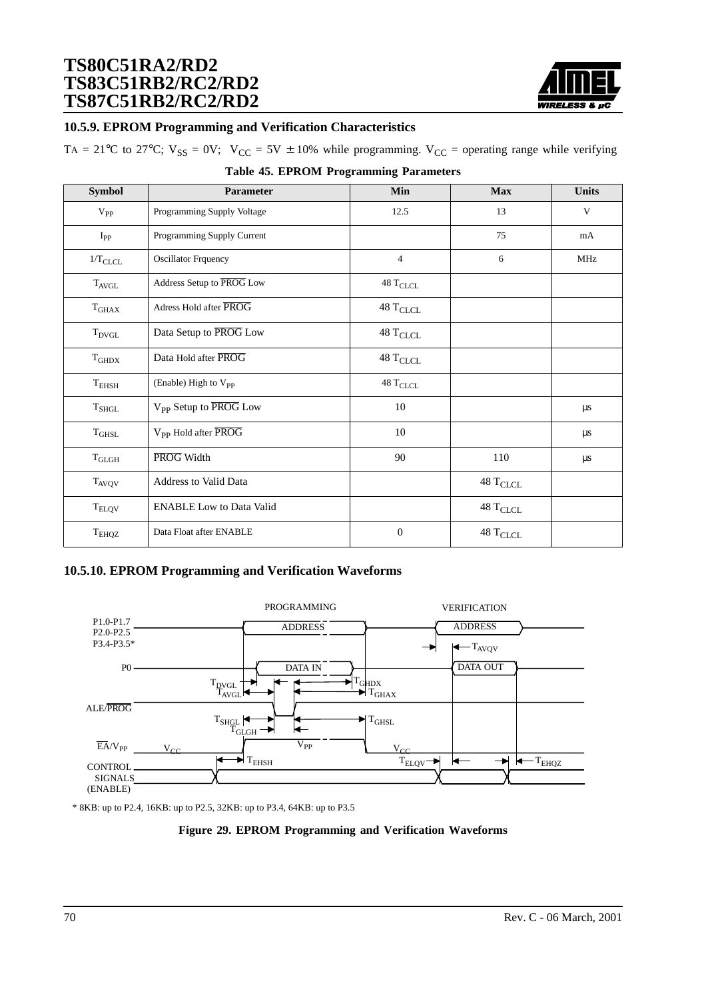

### **10.5.9. EPROM Programming and Verification Characteristics**

TA = 21°C to 27°C;  $V_{SS} = 0V$ ;  $V_{CC} = 5V \pm 10\%$  while programming.  $V_{CC}$  = operating range while verifying

| <b>Symbol</b>     | Parameter                         | Min                              | <b>Max</b>                       | <b>Units</b> |
|-------------------|-----------------------------------|----------------------------------|----------------------------------|--------------|
| $V_{PP}$          | Programming Supply Voltage        | 12.5                             | 13                               | V            |
| $I_{PP}$          | Programming Supply Current        |                                  | 75                               | mA           |
| $1/T_{CLCL}$      | <b>Oscillator Frquency</b>        | $\overline{4}$                   | 6                                | MHz          |
| $T_{AVGL}$        | Address Setup to PROG Low         | $48\;\mathrm{T_{CLCL}}$          |                                  |              |
| $T_{GHAX}$        | Adress Hold after PROG            | $48\,\mathrm{T}_{\mathrm{CLCL}}$ |                                  |              |
| $T_{DVGL}$        | Data Setup to PROG Low            | $48\;\mathrm{T}_{\mathrm{CLCL}}$ |                                  |              |
| T <sub>GHDX</sub> | Data Hold after PROG              | $48\,\mathrm{T}_{\mathrm{CLCL}}$ |                                  |              |
| $T_{EHSH}$        | (Enable) High to V <sub>PP</sub>  | $48\;\mathrm{T_{CLCL}}$          |                                  |              |
| $\rm T_{SHGL}$    | V <sub>PP</sub> Setup to PROG Low | 10                               |                                  | $\mu s$      |
| $T_{\rm GHSL}$    | V <sub>pp</sub> Hold after PROG   | 10                               |                                  | $\mu s$      |
| $\rm T_{GLGH}$    | PROG Width                        | 90                               | 110                              | $\mu s$      |
| $T_{AVQV}$        | <b>Address to Valid Data</b>      |                                  | $48\,\mathrm{T}_{\mathrm{CLCL}}$ |              |
| $T_{\rm ELQV}$    | <b>ENABLE Low to Data Valid</b>   |                                  | $48\ {\rm T_{CLCL}}$             |              |
| $T_{EHQZ}$        | Data Float after ENABLE           | $\boldsymbol{0}$                 | $48\,\mathrm{T}_{\mathrm{CLCL}}$ |              |

#### **Table 45. EPROM Programming Parameters**

### **10.5.10. EPROM Programming and Verification Waveforms**



\* 8KB: up to P2.4, 16KB: up to P2.5, 32KB: up to P3.4, 64KB: up to P3.5

#### **Figure 29. EPROM Programming and Verification Waveforms**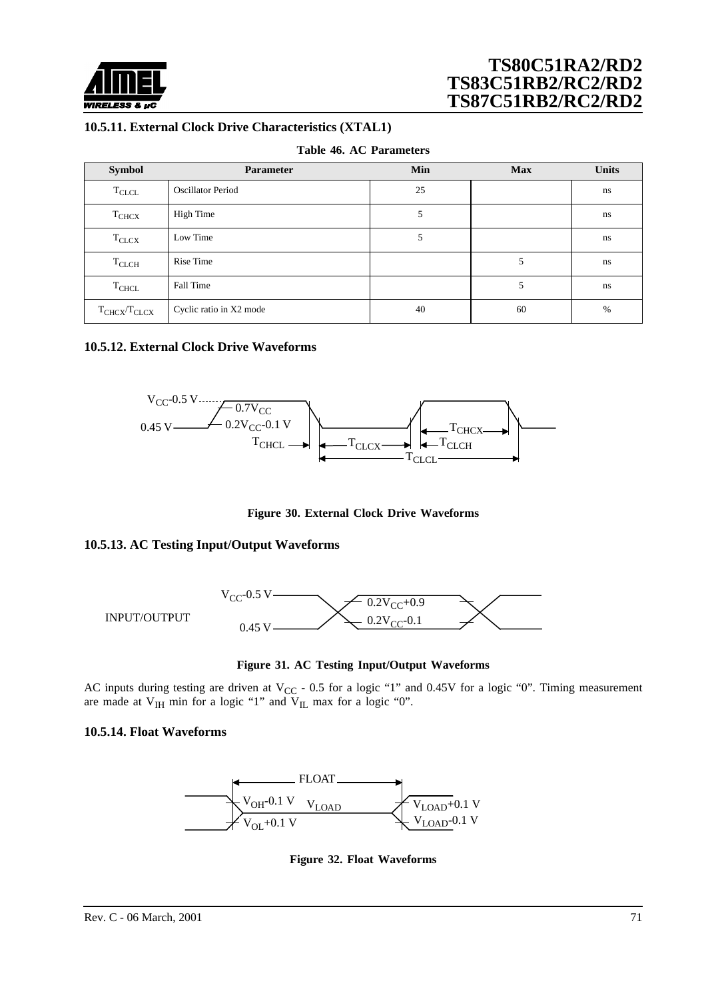

### **10.5.11. External Clock Drive Characteristics (XTAL1)**

|  |  |  | Table 46. AC Parameters |
|--|--|--|-------------------------|
|--|--|--|-------------------------|

| <b>Symbol</b>       | <b>Parameter</b>         | Min | <b>Max</b> | <b>Units</b> |
|---------------------|--------------------------|-----|------------|--------------|
| $\rm T_{CLCL}$      | <b>Oscillator Period</b> | 25  |            | ns           |
| T <sub>CHCX</sub>   | High Time                |     |            | ns           |
| $T_{CLCX}$          | Low Time                 | 5   |            | ns           |
| $T_{CLCH}$          | Rise Time                |     | 5          | ns           |
| $\rm T_{CHCL}$      | Fall Time                |     | 5          | ns           |
| $T_{CHCX}/T_{CLCX}$ | Cyclic ratio in X2 mode  | 40  | 60         | %            |

### **10.5.12. External Clock Drive Waveforms**



**Figure 30. External Clock Drive Waveforms**

### **10.5.13. AC Testing Input/Output Waveforms**



**Figure 31. AC Testing Input/Output Waveforms**

AC inputs during testing are driven at  $V_{CC}$  - 0.5 for a logic "1" and 0.45V for a logic "0". Timing measurement are made at  $V_{IH}$  min for a logic "1" and  $V_{IL}$  max for a logic "0".

### **10.5.14. Float Waveforms**



**Figure 32. Float Waveforms**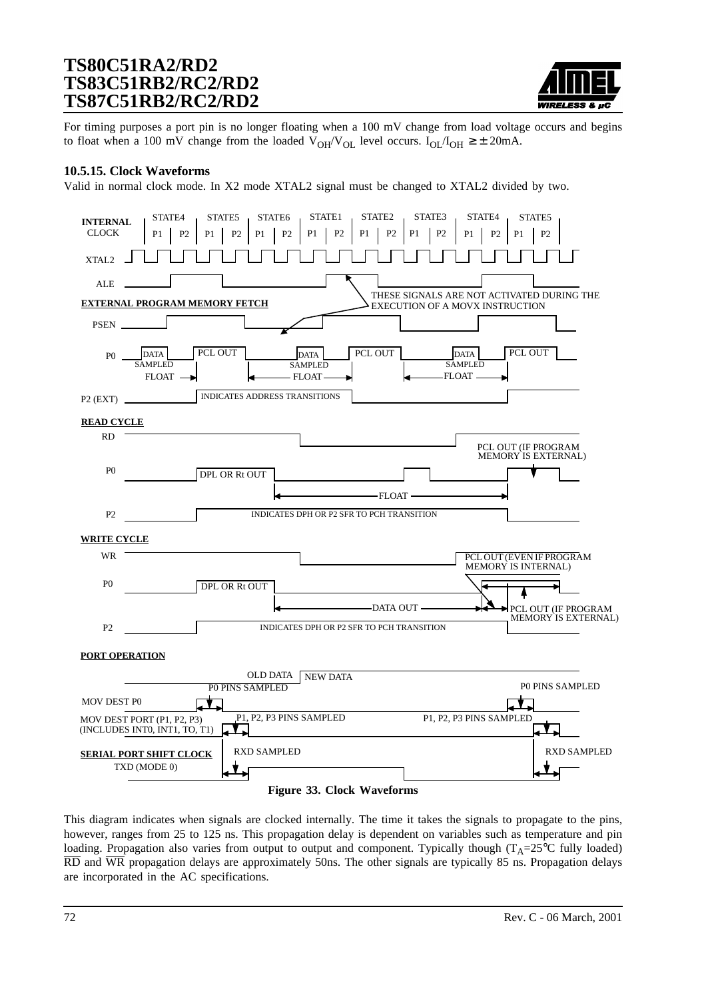

For timing purposes a port pin is no longer floating when a 100 mV change from load voltage occurs and begins to float when a 100 mV change from the loaded  $V_{OH}/V_{OL}$  level occurs.  $I_{OL}/I_{OH} \geq \pm 20$ mA.

#### **10.5.15. Clock Waveforms**

Valid in normal clock mode. In X2 mode XTAL2 signal must be changed to XTAL2 divided by two.



This diagram indicates when signals are clocked internally. The time it takes the signals to propagate to the pins, however, ranges from 25 to 125 ns. This propagation delay is dependent on variables such as temperature and pin loading. Propagation also varies from output to output and component. Typically though ( $T_A=25^{\circ}C$  fully loaded) RD and WR propagation delays are approximately 50ns. The other signals are typically 85 ns. Propagation delays are incorporated in the AC specifications.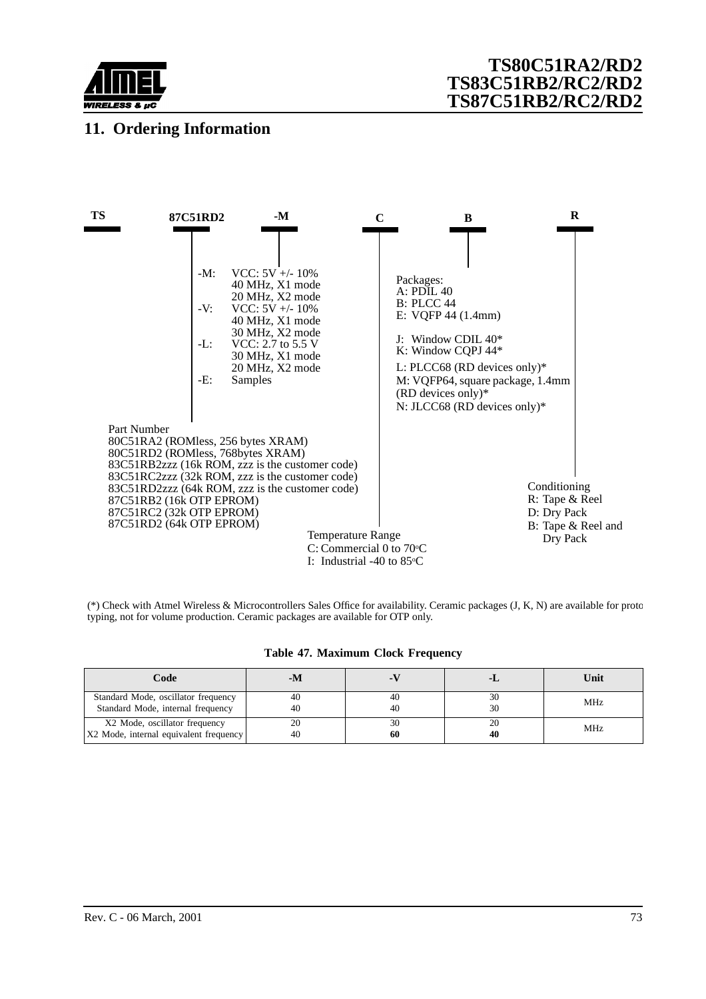

## **11. Ordering Information**



(\*) Check with Atmel Wireless & Microcontrollers Sales Office for availability. Ceramic packages (J, K, N) are available for proto typing, not for volume production. Ceramic packages are available for OTP only.

|  |  |  |  | Table 47. Maximum Clock Frequency |
|--|--|--|--|-----------------------------------|
|--|--|--|--|-----------------------------------|

| Code                                                                     | - M      |          | - 1 | Unit       |
|--------------------------------------------------------------------------|----------|----------|-----|------------|
| Standard Mode, oscillator frequency<br>Standard Mode, internal frequency | 40<br>40 | 40<br>40 | 30  | <b>MHz</b> |
| X2 Mode, oscillator frequency<br>X2 Mode, internal equivalent frequency  | 20<br>40 | 30<br>60 | 40  | <b>MHz</b> |